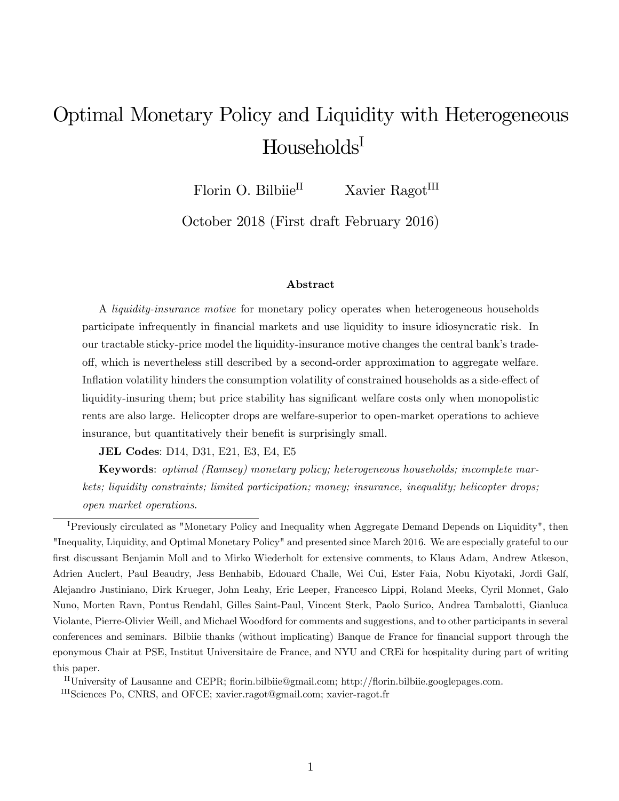# Optimal Monetary Policy and Liquidity with Heterogeneous Households<sup>I</sup>

Florin O. Bilbiie<sup>II</sup> Xavier Ragot<sup>III</sup>

October 2018 (First draft February 2016)

#### Abstract

A liquidity-insurance motive for monetary policy operates when heterogeneous households participate infrequently in Önancial markets and use liquidity to insure idiosyncratic risk. In our tractable sticky-price model the liquidity-insurance motive changes the central bank's tradeoff, which is nevertheless still described by a second-order approximation to aggregate welfare. Inflation volatility hinders the consumption volatility of constrained households as a side-effect of liquidity-insuring them; but price stability has significant welfare costs only when monopolistic rents are also large. Helicopter drops are welfare-superior to open-market operations to achieve insurance, but quantitatively their benefit is surprisingly small.

JEL Codes: D14, D31, E21, E3, E4, E5

Keywords: optimal (Ramsey) monetary policy; heterogeneous households; incomplete markets; liquidity constraints; limited participation; money; insurance, inequality; helicopter drops; open market operations.

<sup>I</sup>Previously circulated as "Monetary Policy and Inequality when Aggregate Demand Depends on Liquidity", then "Inequality, Liquidity, and Optimal Monetary Policy" and presented since March 2016. We are especially grateful to our Örst discussant Benjamin Moll and to Mirko Wiederholt for extensive comments, to Klaus Adam, Andrew Atkeson, Adrien Auclert, Paul Beaudry, Jess Benhabib, Edouard Challe, Wei Cui, Ester Faia, Nobu Kiyotaki, Jordi Galí, Alejandro Justiniano, Dirk Krueger, John Leahy, Eric Leeper, Francesco Lippi, Roland Meeks, Cyril Monnet, Galo Nuno, Morten Ravn, Pontus Rendahl, Gilles Saint-Paul, Vincent Sterk, Paolo Surico, Andrea Tambalotti, Gianluca Violante, Pierre-Olivier Weill, and Michael Woodford for comments and suggestions, and to other participants in several conferences and seminars. Bilbiie thanks (without implicating) Banque de France for financial support through the eponymous Chair at PSE, Institut Universitaire de France, and NYU and CREi for hospitality during part of writing this paper.

IIUniversity of Lausanne and CEPR; áorin.bilbiie@gmail.com; http://áorin.bilbiie.googlepages.com.

IIISciences Po, CNRS, and OFCE; xavier.ragot@gmail.com; xavier-ragot.fr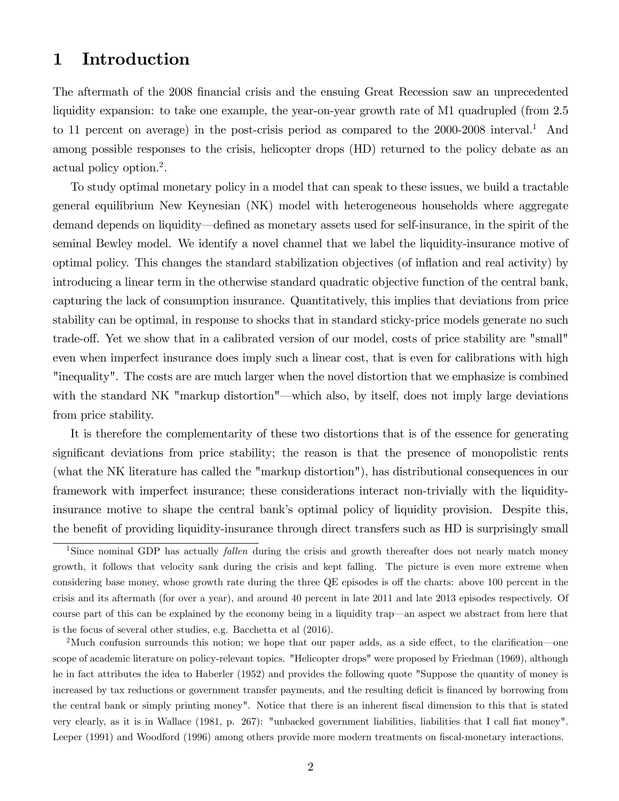# 1 Introduction

The aftermath of the 2008 financial crisis and the ensuing Great Recession saw an unprecedented liquidity expansion: to take one example, the year-on-year growth rate of M1 quadrupled (from 2.5 to 11 percent on average) in the post-crisis period as compared to the  $2000-2008$  interval.<sup>1</sup> And among possible responses to the crisis, helicopter drops (HD) returned to the policy debate as an actual policy option.<sup>2</sup>.

To study optimal monetary policy in a model that can speak to these issues, we build a tractable general equilibrium New Keynesian (NK) model with heterogeneous households where aggregate demand depends on liquidity—defined as monetary assets used for self-insurance, in the spirit of the seminal Bewley model. We identify a novel channel that we label the liquidity-insurance motive of optimal policy. This changes the standard stabilization objectives (of ináation and real activity) by introducing a linear term in the otherwise standard quadratic objective function of the central bank, capturing the lack of consumption insurance. Quantitatively, this implies that deviations from price stability can be optimal, in response to shocks that in standard sticky-price models generate no such trade-off. Yet we show that in a calibrated version of our model, costs of price stability are "small" even when imperfect insurance does imply such a linear cost, that is even for calibrations with high "inequality". The costs are are much larger when the novel distortion that we emphasize is combined with the standard NK "markup distortion"—which also, by itself, does not imply large deviations from price stability.

It is therefore the complementarity of these two distortions that is of the essence for generating significant deviations from price stability; the reason is that the presence of monopolistic rents (what the NK literature has called the "markup distortion"), has distributional consequences in our framework with imperfect insurance; these considerations interact non-trivially with the liquidityinsurance motive to shape the central bankís optimal policy of liquidity provision. Despite this, the benefit of providing liquidity-insurance through direct transfers such as HD is surprisingly small

<sup>2</sup>Much confusion surrounds this notion; we hope that our paper adds, as a side effect, to the clarification—one scope of academic literature on policy-relevant topics. "Helicopter drops" were proposed by Friedman (1969), although he in fact attributes the idea to Haberler (1952) and provides the following quote "Suppose the quantity of money is increased by tax reductions or government transfer payments, and the resulting deficit is financed by borrowing from the central bank or simply printing money". Notice that there is an inherent fiscal dimension to this that is stated very clearly, as it is in Wallace (1981, p. 267): "unbacked government liabilities, liabilities that I call fiat money". Leeper (1991) and Woodford (1996) among others provide more modern treatments on fiscal-monetary interactions.

<sup>&</sup>lt;sup>1</sup>Since nominal GDP has actually *fallen* during the crisis and growth thereafter does not nearly match money growth, it follows that velocity sank during the crisis and kept falling. The picture is even more extreme when considering base money, whose growth rate during the three QE episodes is off the charts: above 100 percent in the crisis and its aftermath (for over a year), and around 40 percent in late 2011 and late 2013 episodes respectively. Of course part of this can be explained by the economy being in a liquidity trap—an aspect we abstract from here that is the focus of several other studies, e.g. Bacchetta et al (2016).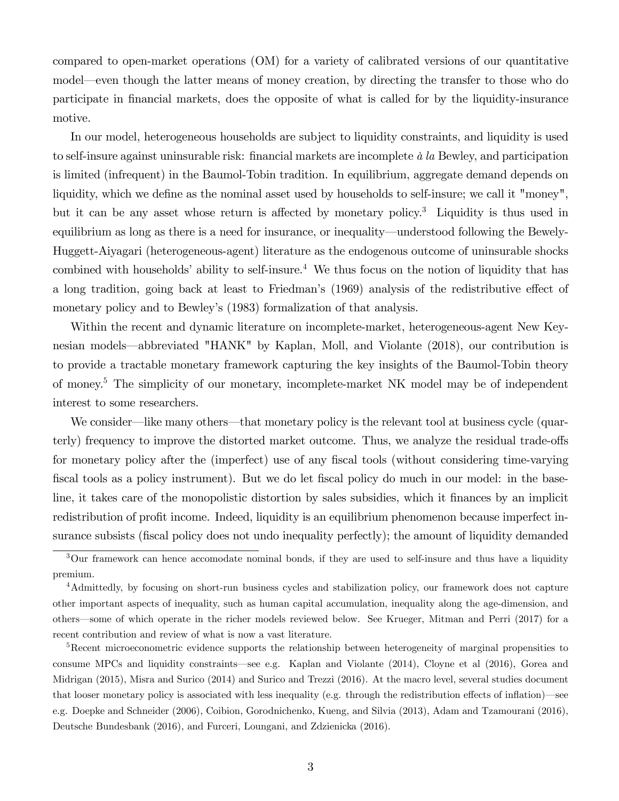compared to open-market operations (OM) for a variety of calibrated versions of our quantitative model—even though the latter means of money creation, by directing the transfer to those who do participate in financial markets, does the opposite of what is called for by the liquidity-insurance motive.

In our model, heterogeneous households are subject to liquidity constraints, and liquidity is used to self-insure against uninsurable risk: financial markets are incomplete  $\dot{a}$  la Bewley, and participation is limited (infrequent) in the Baumol-Tobin tradition. In equilibrium, aggregate demand depends on liquidity, which we define as the nominal asset used by households to self-insure; we call it "money", but it can be any asset whose return is affected by monetary policy.<sup>3</sup> Liquidity is thus used in equilibrium as long as there is a need for insurance, or inequality—understood following the Bewely-Huggett-Aiyagari (heterogeneous-agent) literature as the endogenous outcome of uninsurable shocks combined with households' ability to self-insure.<sup>4</sup> We thus focus on the notion of liquidity that has a long tradition, going back at least to Friedman's (1969) analysis of the redistributive effect of monetary policy and to Bewley's (1983) formalization of that analysis.

Within the recent and dynamic literature on incomplete-market, heterogeneous-agent New Keynesian models—abbreviated "HANK" by Kaplan, Moll, and Violante (2018), our contribution is to provide a tractable monetary framework capturing the key insights of the Baumol-Tobin theory of money.<sup>5</sup> The simplicity of our monetary, incomplete-market NK model may be of independent interest to some researchers.

We consider—like many others—that monetary policy is the relevant tool at business cycle (quarterly) frequency to improve the distorted market outcome. Thus, we analyze the residual trade-offs for monetary policy after the (imperfect) use of any fiscal tools (without considering time-varying fiscal tools as a policy instrument). But we do let fiscal policy do much in our model: in the baseline, it takes care of the monopolistic distortion by sales subsidies, which it finances by an implicit redistribution of profit income. Indeed, liquidity is an equilibrium phenomenon because imperfect insurance subsists (fiscal policy does not undo inequality perfectly); the amount of liquidity demanded

<sup>&</sup>lt;sup>3</sup>Our framework can hence accomodate nominal bonds, if they are used to self-insure and thus have a liquidity premium.

<sup>4</sup>Admittedly, by focusing on short-run business cycles and stabilization policy, our framework does not capture other important aspects of inequality, such as human capital accumulation, inequality along the age-dimension, and others—some of which operate in the richer models reviewed below. See Krueger, Mitman and Perri (2017) for a recent contribution and review of what is now a vast literature.

<sup>&</sup>lt;sup>5</sup>Recent microeconometric evidence supports the relationship between heterogeneity of marginal propensities to consume MPCs and liquidity constraints—see e.g. Kaplan and Violante (2014), Cloyne et al (2016), Gorea and Midrigan (2015), Misra and Surico (2014) and Surico and Trezzi (2016). At the macro level, several studies document that looser monetary policy is associated with less inequality (e.g. through the redistribution effects of inflation)—see e.g. Doepke and Schneider (2006), Coibion, Gorodnichenko, Kueng, and Silvia (2013), Adam and Tzamourani (2016), Deutsche Bundesbank (2016), and Furceri, Loungani, and Zdzienicka (2016).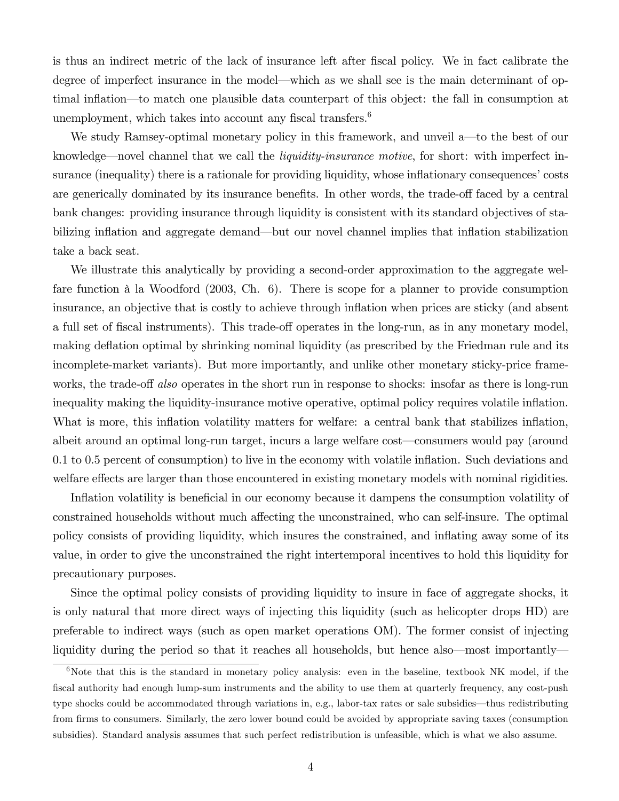is thus an indirect metric of the lack of insurance left after Öscal policy. We in fact calibrate the degree of imperfect insurance in the model—which as we shall see is the main determinant of optimal inflation—to match one plausible data counterpart of this object: the fall in consumption at unemployment, which takes into account any fiscal transfers. $6$ 

We study Ramsey-optimal monetary policy in this framework, and unveil a—to the best of our knowledge—novel channel that we call the *liquidity-insurance motive*, for short: with imperfect insurance (inequality) there is a rationale for providing liquidity, whose inflationary consequences' costs are generically dominated by its insurance benefits. In other words, the trade-off faced by a central bank changes: providing insurance through liquidity is consistent with its standard objectives of stabilizing inflation and aggregate demand—but our novel channel implies that inflation stabilization take a back seat.

We illustrate this analytically by providing a second-order approximation to the aggregate welfare function  $\alpha$  la Woodford (2003, Ch. 6). There is scope for a planner to provide consumption insurance, an objective that is costly to achieve through ináation when prices are sticky (and absent a full set of fiscal instruments). This trade-off operates in the long-run, as in any monetary model, making deflation optimal by shrinking nominal liquidity (as prescribed by the Friedman rule and its incomplete-market variants). But more importantly, and unlike other monetary sticky-price frameworks, the trade-off also operates in the short run in response to shocks: insofar as there is long-run inequality making the liquidity-insurance motive operative, optimal policy requires volatile ináation. What is more, this inflation volatility matters for welfare: a central bank that stabilizes inflation, albeit around an optimal long-run target, incurs a large welfare cost—consumers would pay (around 0.1 to 0.5 percent of consumption) to live in the economy with volatile inflation. Such deviations and welfare effects are larger than those encountered in existing monetary models with nominal rigidities.

Inflation volatility is beneficial in our economy because it dampens the consumption volatility of constrained households without much affecting the unconstrained, who can self-insure. The optimal policy consists of providing liquidity, which insures the constrained, and inflating away some of its value, in order to give the unconstrained the right intertemporal incentives to hold this liquidity for precautionary purposes.

Since the optimal policy consists of providing liquidity to insure in face of aggregate shocks, it is only natural that more direct ways of injecting this liquidity (such as helicopter drops HD) are preferable to indirect ways (such as open market operations OM). The former consist of injecting liquidity during the period so that it reaches all households, but hence also—most importantly—

 $6$ Note that this is the standard in monetary policy analysis: even in the baseline, textbook NK model, if the fiscal authority had enough lump-sum instruments and the ability to use them at quarterly frequency, any cost-push type shocks could be accommodated through variations in, e.g., labor-tax rates or sale subsidies—thus redistributing from firms to consumers. Similarly, the zero lower bound could be avoided by appropriate saving taxes (consumption subsidies). Standard analysis assumes that such perfect redistribution is unfeasible, which is what we also assume.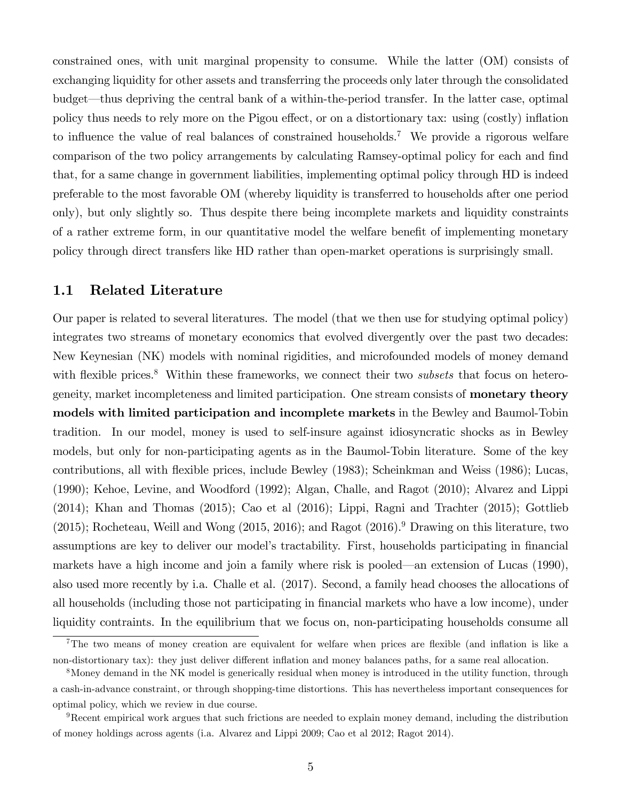constrained ones, with unit marginal propensity to consume. While the latter (OM) consists of exchanging liquidity for other assets and transferring the proceeds only later through the consolidated budget—thus depriving the central bank of a within-the-period transfer. In the latter case, optimal policy thus needs to rely more on the Pigou effect, or on a distortionary tax: using (costly) inflation to influence the value of real balances of constrained households.<sup>7</sup> We provide a rigorous welfare comparison of the two policy arrangements by calculating Ramsey-optimal policy for each and find that, for a same change in government liabilities, implementing optimal policy through HD is indeed preferable to the most favorable OM (whereby liquidity is transferred to households after one period only), but only slightly so. Thus despite there being incomplete markets and liquidity constraints of a rather extreme form, in our quantitative model the welfare benefit of implementing monetary policy through direct transfers like HD rather than open-market operations is surprisingly small.

## 1.1 Related Literature

Our paper is related to several literatures. The model (that we then use for studying optimal policy) integrates two streams of monetary economics that evolved divergently over the past two decades: New Keynesian (NK) models with nominal rigidities, and microfounded models of money demand with flexible prices.<sup>8</sup> Within these frameworks, we connect their two *subsets* that focus on heterogeneity, market incompleteness and limited participation. One stream consists of monetary theory models with limited participation and incomplete markets in the Bewley and Baumol-Tobin tradition. In our model, money is used to self-insure against idiosyncratic shocks as in Bewley models, but only for non-participating agents as in the Baumol-Tobin literature. Some of the key contributions, all with áexible prices, include Bewley (1983); Scheinkman and Weiss (1986); Lucas, (1990); Kehoe, Levine, and Woodford (1992); Algan, Challe, and Ragot (2010); Alvarez and Lippi (2014); Khan and Thomas (2015); Cao et al (2016); Lippi, Ragni and Trachter (2015); Gottlieb (2015); Rocheteau, Weill and Wong (2015, 2016); and Ragot (2016).<sup>9</sup> Drawing on this literature, two assumptions are key to deliver our model's tractability. First, households participating in financial markets have a high income and join a family where risk is pooled—an extension of Lucas  $(1990)$ , also used more recently by i.a. Challe et al. (2017). Second, a family head chooses the allocations of all households (including those not participating in financial markets who have a low income), under liquidity contraints. In the equilibrium that we focus on, non-participating households consume all

<sup>&</sup>lt;sup>7</sup>The two means of money creation are equivalent for welfare when prices are flexible (and inflation is like a non-distortionary tax): they just deliver different inflation and money balances paths, for a same real allocation.

<sup>8</sup>Money demand in the NK model is generically residual when money is introduced in the utility function, through a cash-in-advance constraint, or through shopping-time distortions. This has nevertheless important consequences for optimal policy, which we review in due course.

<sup>&</sup>lt;sup>9</sup>Recent empirical work argues that such frictions are needed to explain money demand, including the distribution of money holdings across agents (i.a. Alvarez and Lippi 2009; Cao et al 2012; Ragot 2014).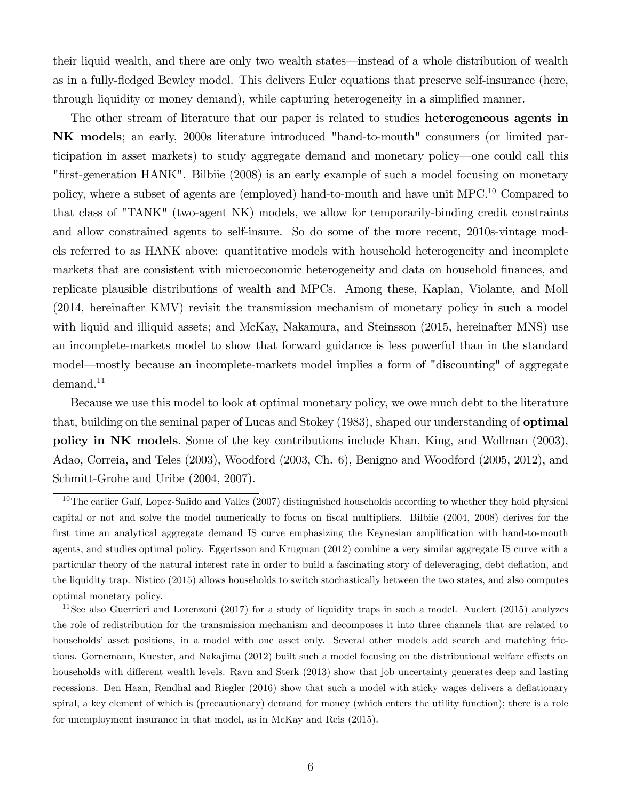their liquid wealth, and there are only two wealth states—instead of a whole distribution of wealth as in a fully-fledged Bewley model. This delivers Euler equations that preserve self-insurance (here, through liquidity or money demand), while capturing heterogeneity in a simplified manner.

The other stream of literature that our paper is related to studies heterogeneous agents in NK models; an early, 2000s literature introduced "hand-to-mouth" consumers (or limited participation in asset markets) to study aggregate demand and monetary policy—one could call this "Örst-generation HANK". Bilbiie (2008) is an early example of such a model focusing on monetary policy, where a subset of agents are (employed) hand-to-mouth and have unit MPC.<sup>10</sup> Compared to that class of "TANK" (two-agent NK) models, we allow for temporarily-binding credit constraints and allow constrained agents to self-insure. So do some of the more recent, 2010s-vintage models referred to as HANK above: quantitative models with household heterogeneity and incomplete markets that are consistent with microeconomic heterogeneity and data on household finances, and replicate plausible distributions of wealth and MPCs. Among these, Kaplan, Violante, and Moll (2014, hereinafter KMV) revisit the transmission mechanism of monetary policy in such a model with liquid and illiquid assets; and McKay, Nakamura, and Steinsson (2015, hereinafter MNS) use an incomplete-markets model to show that forward guidance is less powerful than in the standard model—mostly because an incomplete-markets model implies a form of "discounting" of aggregate  $\mathrm{demand.}^{11}$ 

Because we use this model to look at optimal monetary policy, we owe much debt to the literature that, building on the seminal paper of Lucas and Stokey (1983), shaped our understanding of optimal policy in NK models. Some of the key contributions include Khan, King, and Wollman (2003), Adao, Correia, and Teles (2003), Woodford (2003, Ch. 6), Benigno and Woodford (2005, 2012), and Schmitt-Grohe and Uribe (2004, 2007).

 $11$ See also Guerrieri and Lorenzoni (2017) for a study of liquidity traps in such a model. Auclert (2015) analyzes the role of redistribution for the transmission mechanism and decomposes it into three channels that are related to households' asset positions, in a model with one asset only. Several other models add search and matching frictions. Gornemann, Kuester, and Nakajima (2012) built such a model focusing on the distributional welfare effects on households with different wealth levels. Ravn and Sterk (2013) show that job uncertainty generates deep and lasting recessions. Den Haan, Rendhal and Riegler (2016) show that such a model with sticky wages delivers a deflationary spiral, a key element of which is (precautionary) demand for money (which enters the utility function); there is a role for unemployment insurance in that model, as in McKay and Reis (2015).

 $10$ The earlier Galí, Lopez-Salido and Valles (2007) distinguished households according to whether they hold physical capital or not and solve the model numerically to focus on fiscal multipliers. Bilbiie (2004, 2008) derives for the first time an analytical aggregate demand IS curve emphasizing the Keynesian amplification with hand-to-mouth agents, and studies optimal policy. Eggertsson and Krugman (2012) combine a very similar aggregate IS curve with a particular theory of the natural interest rate in order to build a fascinating story of deleveraging, debt deflation, and the liquidity trap. Nistico (2015) allows households to switch stochastically between the two states, and also computes optimal monetary policy.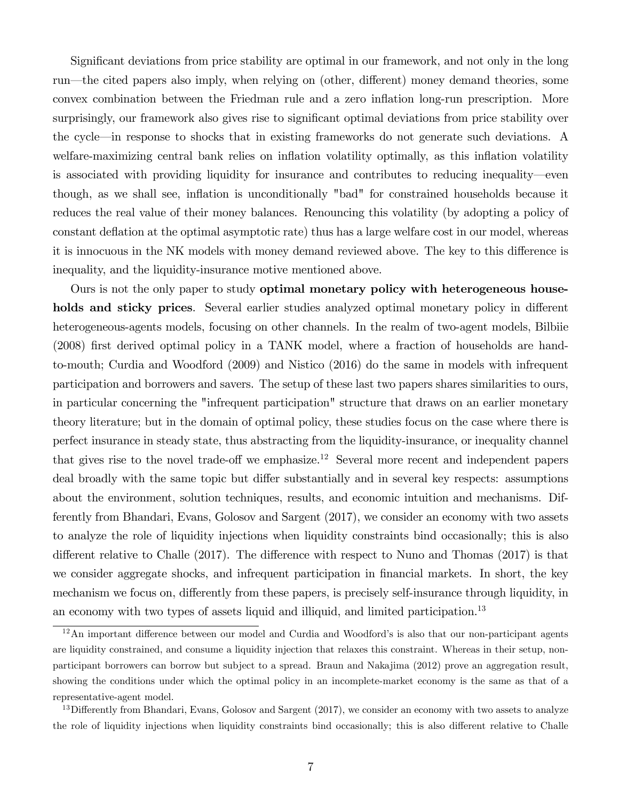Significant deviations from price stability are optimal in our framework, and not only in the long run—the cited papers also imply, when relying on (other, different) money demand theories, some convex combination between the Friedman rule and a zero inflation long-run prescription. More surprisingly, our framework also gives rise to significant optimal deviations from price stability over the cycle—in response to shocks that in existing frameworks do not generate such deviations. A welfare-maximizing central bank relies on inflation volatility optimally, as this inflation volatility is associated with providing liquidity for insurance and contributes to reducing inequality—even though, as we shall see, inflation is unconditionally "bad" for constrained households because it reduces the real value of their money balances. Renouncing this volatility (by adopting a policy of constant deáation at the optimal asymptotic rate) thus has a large welfare cost in our model, whereas it is innocuous in the NK models with money demand reviewed above. The key to this difference is inequality, and the liquidity-insurance motive mentioned above.

Ours is not the only paper to study optimal monetary policy with heterogeneous households and sticky prices. Several earlier studies analyzed optimal monetary policy in different heterogeneous-agents models, focusing on other channels. In the realm of two-agent models, Bilbiie (2008) first derived optimal policy in a TANK model, where a fraction of households are handto-mouth; Curdia and Woodford (2009) and Nistico (2016) do the same in models with infrequent participation and borrowers and savers. The setup of these last two papers shares similarities to ours, in particular concerning the "infrequent participation" structure that draws on an earlier monetary theory literature; but in the domain of optimal policy, these studies focus on the case where there is perfect insurance in steady state, thus abstracting from the liquidity-insurance, or inequality channel that gives rise to the novel trade-off we emphasize.<sup>12</sup> Several more recent and independent papers deal broadly with the same topic but differ substantially and in several key respects: assumptions about the environment, solution techniques, results, and economic intuition and mechanisms. Differently from Bhandari, Evans, Golosov and Sargent (2017), we consider an economy with two assets to analyze the role of liquidity injections when liquidity constraints bind occasionally; this is also different relative to Challe  $(2017)$ . The difference with respect to Nuno and Thomas  $(2017)$  is that we consider aggregate shocks, and infrequent participation in financial markets. In short, the key mechanism we focus on, differently from these papers, is precisely self-insurance through liquidity, in an economy with two types of assets liquid and illiquid, and limited participation.<sup>13</sup>

 $12$ An important difference between our model and Curdia and Woodford's is also that our non-participant agents are liquidity constrained, and consume a liquidity injection that relaxes this constraint. Whereas in their setup, nonparticipant borrowers can borrow but subject to a spread. Braun and Nakajima (2012) prove an aggregation result, showing the conditions under which the optimal policy in an incomplete-market economy is the same as that of a representative-agent model.

 $13$ Differently from Bhandari, Evans, Golosov and Sargent (2017), we consider an economy with two assets to analyze the role of liquidity injections when liquidity constraints bind occasionally; this is also different relative to Challe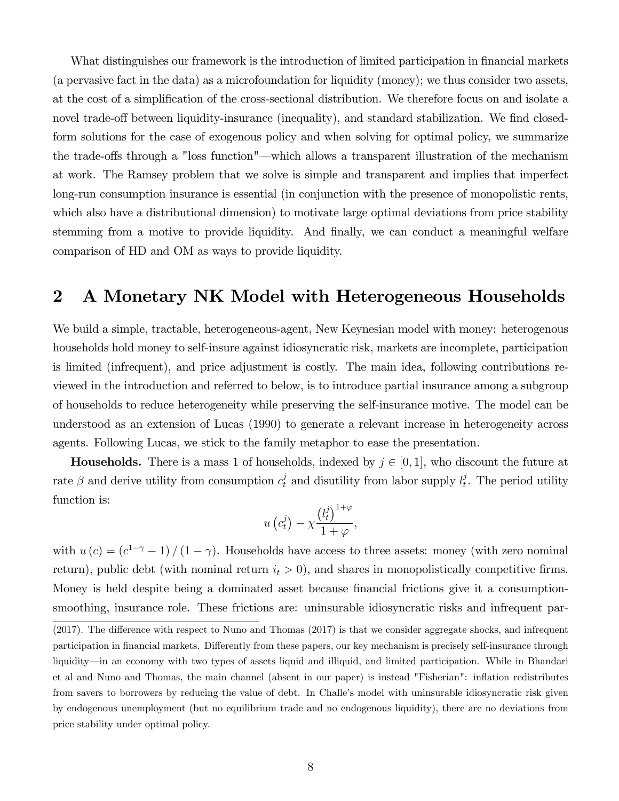What distinguishes our framework is the introduction of limited participation in financial markets (a pervasive fact in the data) as a microfoundation for liquidity (money); we thus consider two assets, at the cost of a simplification of the cross-sectional distribution. We therefore focus on and isolate a novel trade-off between liquidity-insurance (inequality), and standard stabilization. We find closedform solutions for the case of exogenous policy and when solving for optimal policy, we summarize the trade-offs through a "loss function"—which allows a transparent illustration of the mechanism at work. The Ramsey problem that we solve is simple and transparent and implies that imperfect long-run consumption insurance is essential (in conjunction with the presence of monopolistic rents, which also have a distributional dimension) to motivate large optimal deviations from price stability stemming from a motive to provide liquidity. And finally, we can conduct a meaningful welfare comparison of HD and OM as ways to provide liquidity.

# 2 A Monetary NK Model with Heterogeneous Households

We build a simple, tractable, heterogeneous-agent, New Keynesian model with money: heterogenous households hold money to self-insure against idiosyncratic risk, markets are incomplete, participation is limited (infrequent), and price adjustment is costly. The main idea, following contributions reviewed in the introduction and referred to below, is to introduce partial insurance among a subgroup of households to reduce heterogeneity while preserving the self-insurance motive. The model can be understood as an extension of Lucas (1990) to generate a relevant increase in heterogeneity across agents. Following Lucas, we stick to the family metaphor to ease the presentation.

**Households.** There is a mass 1 of households, indexed by  $j \in [0, 1]$ , who discount the future at rate  $\beta$  and derive utility from consumption  $c_t^j$  and disutility from labor supply  $l_t^j$  $t<sub>t</sub>$ . The period utility function is:

$$
u\left(c_t^j\right) - \chi \frac{\left(l_t^j\right)^{1+\varphi}}{1+\varphi},
$$

with  $u(c) = (c^{1-\gamma} - 1)/(1 - \gamma)$ . Households have access to three assets: money (with zero nominal return), public debt (with nominal return  $i_t > 0$ ), and shares in monopolistically competitive firms. Money is held despite being a dominated asset because financial frictions give it a consumptionsmoothing, insurance role. These frictions are: uninsurable idiosyncratic risks and infrequent par-

 $(2017)$ . The difference with respect to Nuno and Thomas  $(2017)$  is that we consider aggregate shocks, and infrequent participation in financial markets. Differently from these papers, our key mechanism is precisely self-insurance through liquidity—in an economy with two types of assets liquid and illiquid, and limited participation. While in Bhandari et al and Nuno and Thomas, the main channel (absent in our paper) is instead "Fisherian": inflation redistributes from savers to borrowers by reducing the value of debt. In Challe's model with uninsurable idiosyncratic risk given by endogenous unemployment (but no equilibrium trade and no endogenous liquidity), there are no deviations from price stability under optimal policy.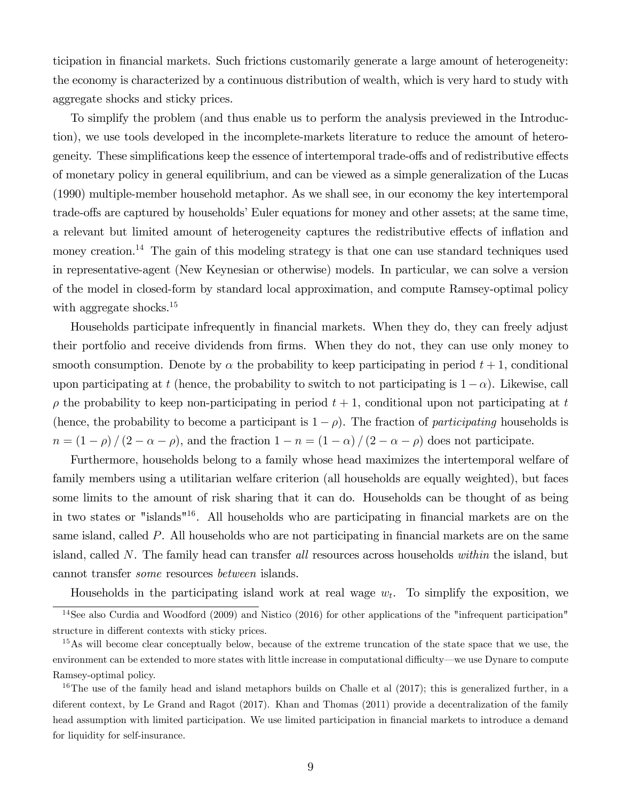ticipation in financial markets. Such frictions customarily generate a large amount of heterogeneity: the economy is characterized by a continuous distribution of wealth, which is very hard to study with aggregate shocks and sticky prices.

To simplify the problem (and thus enable us to perform the analysis previewed in the Introduction), we use tools developed in the incomplete-markets literature to reduce the amount of heterogeneity. These simplifications keep the essence of intertemporal trade-offs and of redistributive effects of monetary policy in general equilibrium, and can be viewed as a simple generalization of the Lucas (1990) multiple-member household metaphor. As we shall see, in our economy the key intertemporal trade-offs are captured by households' Euler equations for money and other assets; at the same time, a relevant but limited amount of heterogeneity captures the redistributive effects of inflation and money creation.<sup>14</sup> The gain of this modeling strategy is that one can use standard techniques used in representative-agent (New Keynesian or otherwise) models. In particular, we can solve a version of the model in closed-form by standard local approximation, and compute Ramsey-optimal policy with aggregate shocks.<sup>15</sup>

Households participate infrequently in financial markets. When they do, they can freely adjust their portfolio and receive dividends from firms. When they do not, they can use only money to smooth consumption. Denote by  $\alpha$  the probability to keep participating in period  $t + 1$ , conditional upon participating at t (hence, the probability to switch to not participating is  $1-\alpha$ ). Likewise, call  $\rho$  the probability to keep non-participating in period  $t + 1$ , conditional upon not participating at t (hence, the probability to become a participant is  $1 - \rho$ ). The fraction of *participating* households is  $n = (1 - \rho) / (2 - \alpha - \rho)$ , and the fraction  $1 - n = (1 - \alpha) / (2 - \alpha - \rho)$  does not participate.

Furthermore, households belong to a family whose head maximizes the intertemporal welfare of family members using a utilitarian welfare criterion (all households are equally weighted), but faces some limits to the amount of risk sharing that it can do. Households can be thought of as being in two states or "islands"<sup>16</sup>. All households who are participating in financial markets are on the same island, called  $P$ . All households who are not participating in financial markets are on the same island, called N. The family head can transfer all resources across households within the island, but cannot transfer some resources between islands.

Households in the participating island work at real wage  $w_t$ . To simplify the exposition, we

<sup>14</sup>See also Curdia and Woodford (2009) and Nistico (2016) for other applications of the "infrequent participation" structure in different contexts with sticky prices.

<sup>&</sup>lt;sup>15</sup>As will become clear conceptually below, because of the extreme truncation of the state space that we use, the environment can be extended to more states with little increase in computational difficulty—we use Dynare to compute Ramsey-optimal policy.

 $16$ The use of the family head and island metaphors builds on Challe et al (2017); this is generalized further, in a diferent context, by Le Grand and Ragot (2017). Khan and Thomas (2011) provide a decentralization of the family head assumption with limited participation. We use limited participation in financial markets to introduce a demand for liquidity for self-insurance.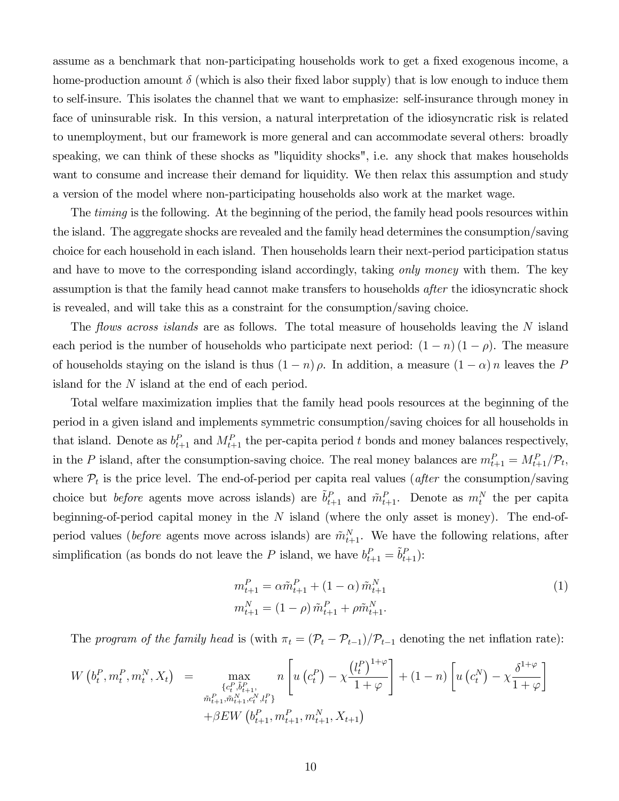assume as a benchmark that non-participating households work to get a fixed exogenous income, a home-production amount  $\delta$  (which is also their fixed labor supply) that is low enough to induce them to self-insure. This isolates the channel that we want to emphasize: self-insurance through money in face of uninsurable risk. In this version, a natural interpretation of the idiosyncratic risk is related to unemployment, but our framework is more general and can accommodate several others: broadly speaking, we can think of these shocks as "liquidity shocks", i.e. any shock that makes households want to consume and increase their demand for liquidity. We then relax this assumption and study a version of the model where non-participating households also work at the market wage.

The *timing* is the following. At the beginning of the period, the family head pools resources within the island. The aggregate shocks are revealed and the family head determines the consumption/saving choice for each household in each island. Then households learn their next-period participation status and have to move to the corresponding island accordingly, taking only money with them. The key assumption is that the family head cannot make transfers to households after the idiosyncratic shock is revealed, and will take this as a constraint for the consumption/saving choice.

The *flows across islands* are as follows. The total measure of households leaving the  $N$  island each period is the number of households who participate next period:  $(1 - n)(1 - \rho)$ . The measure of households staying on the island is thus  $(1 - n)\rho$ . In addition, a measure  $(1 - \alpha)n$  leaves the P island for the N island at the end of each period.

Total welfare maximization implies that the family head pools resources at the beginning of the period in a given island and implements symmetric consumption/saving choices for all households in that island. Denote as  $b_{t+1}^P$  and  $M_{t+1}^P$  the per-capita period t bonds and money balances respectively, in the P island, after the consumption-saving choice. The real money balances are  $m_{t+1}^P = M_{t+1}^P / \mathcal{P}_t$ , where  $P_t$  is the price level. The end-of-period per capita real values (*after* the consumption/saving choice but *before* agents move across islands) are  $\tilde{b}_{t+1}^P$  and  $\tilde{m}_{t+1}^P$ . Denote as  $m_t^N$  the per capita beginning-of-period capital money in the  $N$  island (where the only asset is money). The end-ofperiod values (*before* agents move across islands) are  $\tilde{m}_{t+1}^N$ . We have the following relations, after simplification (as bonds do not leave the P island, we have  $b_{t+1}^P = \tilde{b}_{t+1}^P$ ):

$$
m_{t+1}^P = \alpha \tilde{m}_{t+1}^P + (1 - \alpha) \tilde{m}_{t+1}^N
$$
  
\n
$$
m_{t+1}^N = (1 - \rho) \tilde{m}_{t+1}^P + \rho \tilde{m}_{t+1}^N.
$$
\n(1)

The program of the family head is (with  $\pi_t = (\mathcal{P}_t - \mathcal{P}_{t-1})/\mathcal{P}_{t-1}$  denoting the net inflation rate):

$$
W\left(b_t^P, m_t^P, m_t^N, X_t\right) = \max_{\substack{\{c_t^P, \tilde{b}_{t+1}^P,\\ \tilde{m}_{t+1}^P, \tilde{m}_{t+1}^N, c_t^N, l_t^P\}}} n\left[u\left(c_t^P\right) - \chi \frac{\left(l_t^P\right)^{1+\varphi}}{1+\varphi}\right] + (1-n)\left[u\left(c_t^N\right) - \chi \frac{\delta^{1+\varphi}}{1+\varphi}\right] + \beta EW\left(b_{t+1}^P, m_{t+1}^P, m_{t+1}^N, X_{t+1}\right)
$$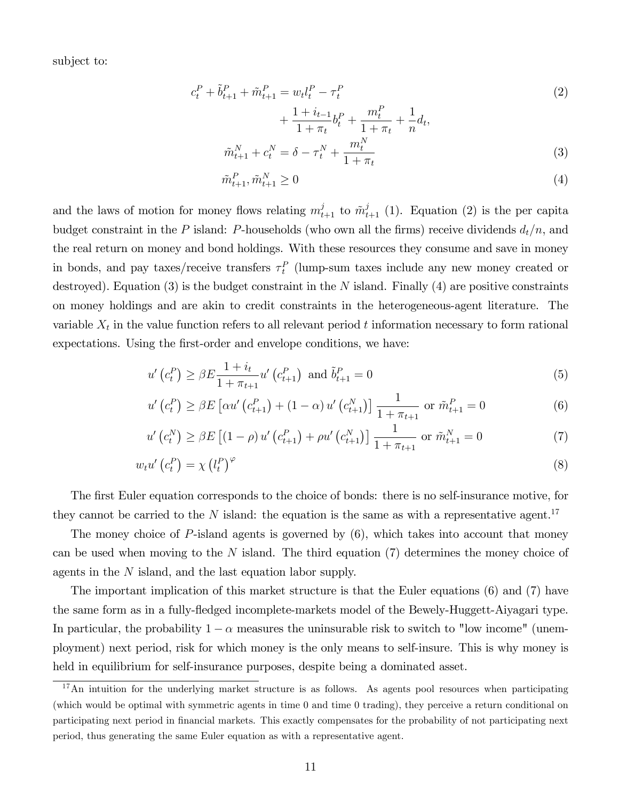subject to:

$$
c_t^P + \tilde{b}_{t+1}^P + \tilde{m}_{t+1}^P = w_t l_t^P - \tau_t^P
$$
  
+ 
$$
\frac{1 + i_{t-1}}{1 + \pi_t} b_t^P + \frac{m_t^P}{1 + \pi_t} + \frac{1}{n} d_t,
$$
  

$$
\tilde{c}_t^N + \tilde{c}_t^N + \tilde{c}_t^N + \frac{m_t^N}{1 + \pi_t} d_t,
$$
 (2)

$$
\tilde{m}_{t+1}^N + c_t^N = \delta - \tau_t^N + \frac{m_t^N}{1 + \pi_t} \tag{3}
$$

$$
\tilde{m}_{t+1}^P, \tilde{m}_{t+1}^N \ge 0 \tag{4}
$$

and the laws of motion for money flows relating  $m_{t+1}^j$  to  $\tilde{m}_{t+1}^j$  (1). Equation (2) is the per capita budget constraint in the P island: P-households (who own all the firms) receive dividends  $d_t/n$ , and the real return on money and bond holdings. With these resources they consume and save in money in bonds, and pay taxes/receive transfers  $\tau_t^P$  (lump-sum taxes include any new money created or destroyed). Equation  $(3)$  is the budget constraint in the N island. Finally  $(4)$  are positive constraints on money holdings and are akin to credit constraints in the heterogeneous-agent literature. The variable  $X_t$  in the value function refers to all relevant period t information necessary to form rational expectations. Using the first-order and envelope conditions, we have:

$$
u'\left(c_t^P\right) \ge \beta E \frac{1+i_t}{1+\pi_{t+1}} u'\left(c_{t+1}^P\right) \text{ and } \tilde{b}_{t+1}^P = 0 \tag{5}
$$

$$
u'\left(c_t^P\right) \ge \beta E\left[\alpha u'\left(c_{t+1}^P\right) + (1-\alpha) u'\left(c_{t+1}^N\right)\right] \frac{1}{1+\pi_{t+1}} \text{ or } \tilde{m}_{t+1}^P = 0 \tag{6}
$$

$$
u'\left(c_t^N\right) \ge \beta E\left[\left(1-\rho\right)u'\left(c_{t+1}^P\right) + \rho u'\left(c_{t+1}^N\right)\right] \frac{1}{1+\pi_{t+1}} \text{ or } \tilde{m}_{t+1}^N = 0 \tag{7}
$$

$$
w_t u' \left( c_t^P \right) = \chi \left( l_t^P \right)^\varphi \tag{8}
$$

The first Euler equation corresponds to the choice of bonds: there is no self-insurance motive, for they cannot be carried to the  $N$  island: the equation is the same as with a representative agent.<sup>17</sup>

The money choice of P-island agents is governed by (6), which takes into account that money can be used when moving to the  $N$  island. The third equation  $(7)$  determines the money choice of agents in the N island, and the last equation labor supply.

The important implication of this market structure is that the Euler equations (6) and (7) have the same form as in a fully-fledged incomplete-markets model of the Bewely-Huggett-Aiyagari type. In particular, the probability  $1 - \alpha$  measures the uninsurable risk to switch to "low income" (unemployment) next period, risk for which money is the only means to self-insure. This is why money is held in equilibrium for self-insurance purposes, despite being a dominated asset.

 $17$ An intuition for the underlying market structure is as follows. As agents pool resources when participating (which would be optimal with symmetric agents in time 0 and time 0 trading), they perceive a return conditional on participating next period in Önancial markets. This exactly compensates for the probability of not participating next period, thus generating the same Euler equation as with a representative agent.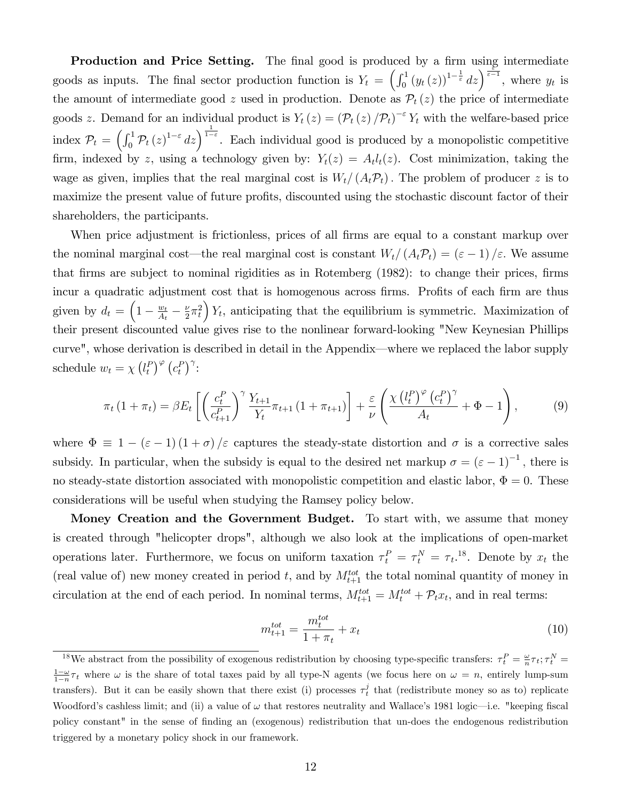Production and Price Setting. The final good is produced by a firm using intermediate goods as inputs. The final sector production function is  $Y_t = \left(\int_0^1 (y_t(z))^{1-\frac{1}{\varepsilon}} dz\right)^{\frac{\varepsilon}{\varepsilon-1}}$ , where  $y_t$  is the amount of intermediate good z used in production. Denote as  $\mathcal{P}_t(z)$  the price of intermediate goods z. Demand for an individual product is  $Y_t(z) = (\mathcal{P}_t(z)/\mathcal{P}_t)^{-\varepsilon} Y_t$  with the welfare-based price index  $\mathcal{P}_t = \left(\int_0^1 \mathcal{P}_t(z)^{1-\varepsilon} dz\right)^{\frac{1}{1-\varepsilon}}$ . Each individual good is produced by a monopolistic competitive firm, indexed by z, using a technology given by:  $Y_t(z) = A_t l_t(z)$ . Cost minimization, taking the wage as given, implies that the real marginal cost is  $W_t/(A_t\mathcal{P}_t)$ . The problem of producer z is to maximize the present value of future profits, discounted using the stochastic discount factor of their shareholders, the participants.

When price adjustment is frictionless, prices of all firms are equal to a constant markup over the nominal marginal cost—the real marginal cost is constant  $W_t/(A_t \mathcal{P}_t) = (\varepsilon - 1)/\varepsilon$ . We assume that firms are subject to nominal rigidities as in Rotemberg  $(1982)$ : to change their prices, firms incur a quadratic adjustment cost that is homogenous across firms. Profits of each firm are thus given by  $d_t = \left(1 - \frac{w_t}{A_t}\right)$  $\frac{w_t}{A_t} - \frac{\nu}{2}$  $\frac{\nu}{2}\pi_t^2$  $(Y_t)$ , anticipating that the equilibrium is symmetric. Maximization of their present discounted value gives rise to the nonlinear forward-looking "New Keynesian Phillips curve", whose derivation is described in detail in the Appendix—where we replaced the labor supply schedule  $w_t = \chi \left(l_t^P\right)^{\varphi} \left(c_t^P\right)^{\gamma}$ :

$$
\pi_t \left(1 + \pi_t\right) = \beta E_t \left[ \left(\frac{c_t^P}{c_{t+1}^P}\right)^{\gamma} \frac{Y_{t+1}}{Y_t} \pi_{t+1} \left(1 + \pi_{t+1}\right) \right] + \frac{\varepsilon}{\nu} \left(\frac{\chi \left(l_t^P\right)^{\varphi} \left(c_t^P\right)^{\gamma}}{A_t} + \Phi - 1\right),\tag{9}
$$

where  $\Phi \equiv 1 - (\varepsilon - 1)(1 + \sigma)/\varepsilon$  captures the steady-state distortion and  $\sigma$  is a corrective sales subsidy. In particular, when the subsidy is equal to the desired net markup  $\sigma = (\varepsilon - 1)^{-1}$ , there is no steady-state distortion associated with monopolistic competition and elastic labor,  $\Phi = 0$ . These considerations will be useful when studying the Ramsey policy below.

Money Creation and the Government Budget. To start with, we assume that money is created through "helicopter drops", although we also look at the implications of open-market operations later. Furthermore, we focus on uniform taxation  $\tau_t^P = \tau_t^N = \tau_t^{18}$ . Denote by  $x_t$  the (real value of) new money created in period t, and by  $M_{t+1}^{tot}$  the total nominal quantity of money in circulation at the end of each period. In nominal terms,  $M_{t+1}^{tot} = M_t^{tot} + \mathcal{P}_t x_t$ , and in real terms:

$$
m_{t+1}^{tot} = \frac{m_t^{tot}}{1 + \pi_t} + x_t
$$
\n(10)

<sup>&</sup>lt;sup>18</sup>We abstract from the possibility of exogenous redistribution by choosing type-specific transfers:  $\tau_t^P = \frac{\omega}{n} \tau_t$ ;  $\tau_t^N =$  $\frac{1-\omega}{1-n}\tau_t$  where  $\omega$  is the share of total taxes paid by all type-N agents (we focus here on  $\omega = n$ , entirely lump-sum transfers). But it can be easily shown that there exist (i) processes  $\tau_t^j$  that (redistribute money so as to) replicate Woodford's cashless limit; and (ii) a value of  $\omega$  that restores neutrality and Wallace's 1981 logic—i.e. "keeping fiscal policy constant" in the sense of Önding an (exogenous) redistribution that un-does the endogenous redistribution triggered by a monetary policy shock in our framework.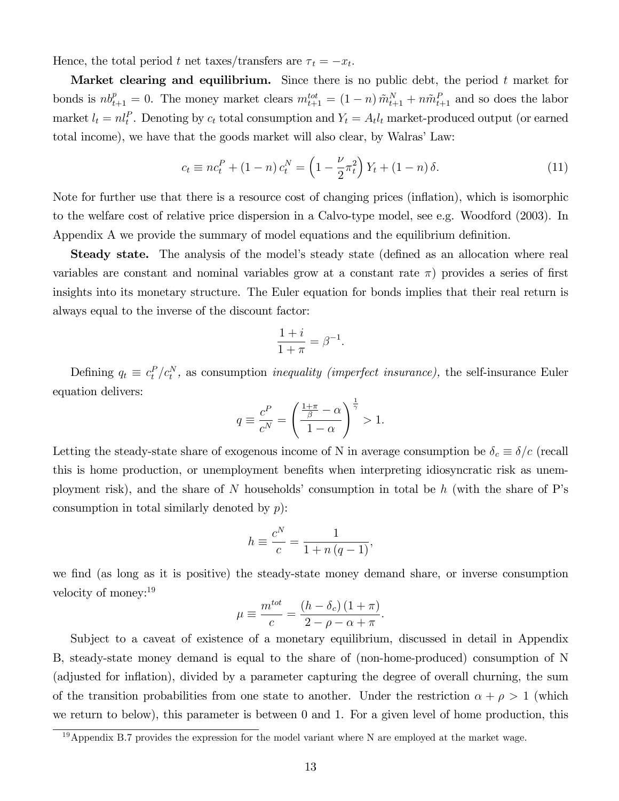Hence, the total period t net taxes/transfers are  $\tau_t = -x_t$ .

**Market clearing and equilibrium.** Since there is no public debt, the period  $t$  market for bonds is  $nb_{t+1}^p = 0$ . The money market clears  $m_{t+1}^{tot} = (1 - n) \tilde{m}_{t+1}^N + n \tilde{m}_{t+1}^P$  and so does the labor market  $l_t = n l_t^P$ . Denoting by  $c_t$  total consumption and  $Y_t = A_t l_t$  market-produced output (or earned total income), we have that the goods market will also clear, by Walras' Law:

$$
c_t \equiv nc_t^P + (1 - n) c_t^N = \left(1 - \frac{\nu}{2} \pi_t^2\right) Y_t + (1 - n) \delta. \tag{11}
$$

Note for further use that there is a resource cost of changing prices (inflation), which is isomorphic to the welfare cost of relative price dispersion in a Calvo-type model, see e.g. Woodford (2003). In Appendix A we provide the summary of model equations and the equilibrium definition.

**Steady state.** The analysis of the model's steady state (defined as an allocation where real variables are constant and nominal variables grow at a constant rate  $\pi$ ) provides a series of first insights into its monetary structure. The Euler equation for bonds implies that their real return is always equal to the inverse of the discount factor:

$$
\frac{1+i}{1+\pi} = \beta^{-1}.
$$

Defining  $q_t \equiv c_t^P/c_t^N$ , as consumption *inequality (imperfect insurance)*, the self-insurance Euler equation delivers:

$$
q \equiv \frac{c^P}{c^N} = \left(\frac{\frac{1+\pi}{\beta} - \alpha}{1 - \alpha}\right)^{\frac{1}{\gamma}} > 1.
$$

Letting the steady-state share of exogenous income of N in average consumption be  $\delta_c \equiv \delta/c$  (recall this is home production, or unemployment benefits when interpreting idiosyncratic risk as unemployment risk), and the share of N households' consumption in total be  $h$  (with the share of P's consumption in total similarly denoted by  $p$ ):

$$
h \equiv \frac{c^N}{c} = \frac{1}{1 + n (q - 1)},
$$

we find (as long as it is positive) the steady-state money demand share, or inverse consumption velocity of money:<sup>19</sup>

$$
\mu \equiv \frac{m^{tot}}{c} = \frac{(h - \delta_c)(1 + \pi)}{2 - \rho - \alpha + \pi}
$$

:

Subject to a caveat of existence of a monetary equilibrium, discussed in detail in Appendix B, steady-state money demand is equal to the share of (non-home-produced) consumption of N (adjusted for inflation), divided by a parameter capturing the degree of overall churning, the sum of the transition probabilities from one state to another. Under the restriction  $\alpha + \rho > 1$  (which we return to below), this parameter is between 0 and 1. For a given level of home production, this

 $19$ Appendix B.7 provides the expression for the model variant where N are employed at the market wage.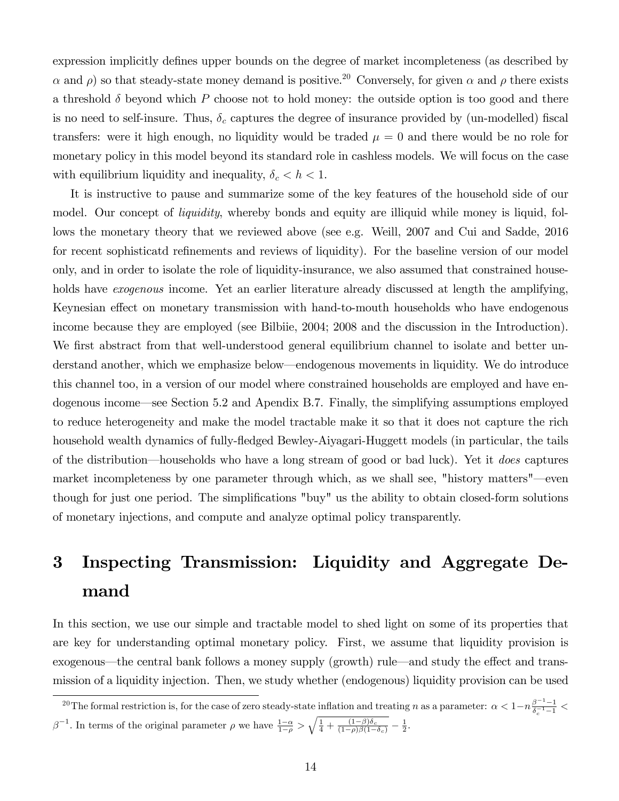expression implicitly defines upper bounds on the degree of market incompleteness (as described by  $\alpha$  and  $\rho$ ) so that steady-state money demand is positive.<sup>20</sup> Conversely, for given  $\alpha$  and  $\rho$  there exists a threshold  $\delta$  beyond which P choose not to hold money: the outside option is too good and there is no need to self-insure. Thus,  $\delta_c$  captures the degree of insurance provided by (un-modelled) fiscal transfers: were it high enough, no liquidity would be traded  $\mu = 0$  and there would be no role for monetary policy in this model beyond its standard role in cashless models. We will focus on the case with equilibrium liquidity and inequality,  $\delta_c < h < 1$ .

It is instructive to pause and summarize some of the key features of the household side of our model. Our concept of *liquidity*, whereby bonds and equity are illiquid while money is liquid, follows the monetary theory that we reviewed above (see e.g. Weill, 2007 and Cui and Sadde, 2016 for recent sophisticatd refinements and reviews of liquidity). For the baseline version of our model only, and in order to isolate the role of liquidity-insurance, we also assumed that constrained households have *exogenous* income. Yet an earlier literature already discussed at length the amplifying, Keynesian effect on monetary transmission with hand-to-mouth households who have endogenous income because they are employed (see Bilbiie, 2004; 2008 and the discussion in the Introduction). We first abstract from that well-understood general equilibrium channel to isolate and better understand another, which we emphasize below—endogenous movements in liquidity. We do introduce this channel too, in a version of our model where constrained households are employed and have endogenous income—see Section 5.2 and Apendix B.7. Finally, the simplifying assumptions employed to reduce heterogeneity and make the model tractable make it so that it does not capture the rich household wealth dynamics of fully-fledged Bewley-Aiyagari-Huggett models (in particular, the tails of the distribution—households who have a long stream of good or bad luck). Yet it *does* captures market incompleteness by one parameter through which, as we shall see, "history matters"—even though for just one period. The simplifications "buy" us the ability to obtain closed-form solutions of monetary injections, and compute and analyze optimal policy transparently.

# 3 Inspecting Transmission: Liquidity and Aggregate Demand

In this section, we use our simple and tractable model to shed light on some of its properties that are key for understanding optimal monetary policy. First, we assume that liquidity provision is exogenous—the central bank follows a money supply (growth) rule—and study the effect and transmission of a liquidity injection. Then, we study whether (endogenous) liquidity provision can be used

<sup>&</sup>lt;sup>20</sup>The formal restriction is, for the case of zero steady-state inflation and treating n as a parameter:  $\alpha < 1-n \frac{\beta^{-1}-1}{\delta_c^{-1}-1}$  $\beta^{-1}$ . In terms of the original parameter  $\rho$  we have  $\frac{1-\alpha}{1-\rho} > \sqrt{\frac{1}{4} + \frac{(1-\beta)\delta_c}{(1-\rho)\beta(1-\delta_c)}} - \frac{1}{2}$ .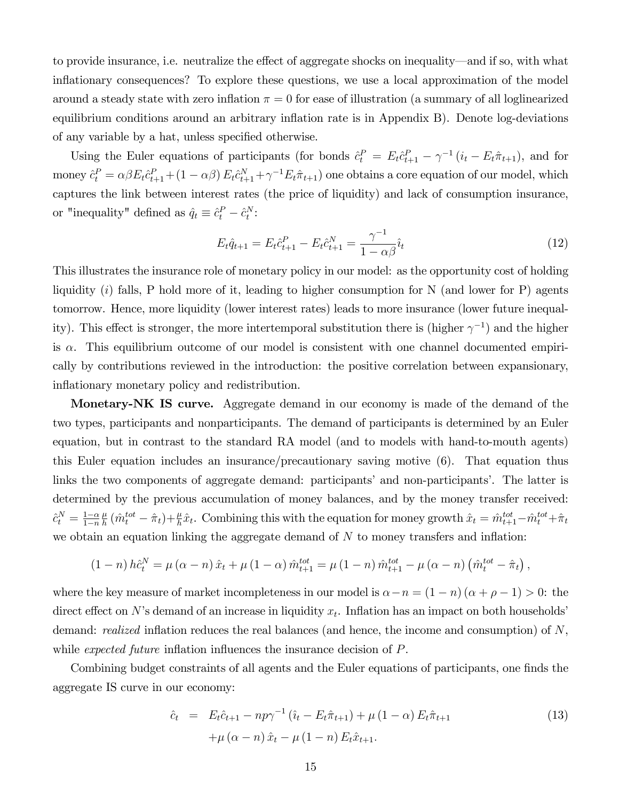to provide insurance, i.e. neutralize the effect of aggregate shocks on inequality—and if so, with what inflationary consequences? To explore these questions, we use a local approximation of the model around a steady state with zero inflation  $\pi = 0$  for ease of illustration (a summary of all loglinearized equilibrium conditions around an arbitrary inflation rate is in Appendix B). Denote log-deviations of any variable by a hat, unless specified otherwise.

Using the Euler equations of participants (for bonds  $\hat{c}_t^P = E_t \hat{c}_{t+1}^P - \gamma^{-1} (i_t - E_t \hat{\pi}_{t+1})$ , and for money  $\hat{c}_t^P = \alpha \beta E_t \hat{c}_{t+1}^P + (1 - \alpha \beta) E_t \hat{c}_{t+1}^N + \gamma^{-1} E_t \hat{\pi}_{t+1}$  one obtains a core equation of our model, which captures the link between interest rates (the price of liquidity) and lack of consumption insurance, or "inequality" defined as  $\hat{q}_t \equiv \hat{c}_t^P - \hat{c}_t^N$ :

$$
E_t \hat{q}_{t+1} = E_t \hat{c}_{t+1}^P - E_t \hat{c}_{t+1}^N = \frac{\gamma^{-1}}{1 - \alpha \beta} \hat{i}_t \tag{12}
$$

This illustrates the insurance role of monetary policy in our model: as the opportunity cost of holding liquidity  $(i)$  falls, P hold more of it, leading to higher consumption for N (and lower for P) agents tomorrow. Hence, more liquidity (lower interest rates) leads to more insurance (lower future inequality). This effect is stronger, the more intertemporal substitution there is (higher  $\gamma^{-1}$ ) and the higher is  $\alpha$ . This equilibrium outcome of our model is consistent with one channel documented empirically by contributions reviewed in the introduction: the positive correlation between expansionary, inflationary monetary policy and redistribution.

Monetary-NK IS curve. Aggregate demand in our economy is made of the demand of the two types, participants and nonparticipants. The demand of participants is determined by an Euler equation, but in contrast to the standard RA model (and to models with hand-to-mouth agents) this Euler equation includes an insurance/precautionary saving motive (6). That equation thus links the two components of aggregate demand: participants' and non-participants'. The latter is determined by the previous accumulation of money balances, and by the money transfer received:  $\hat{c}_t^N = \frac{1-\alpha}{1-n}$  $1-n$  $\mu$  $\frac{\mu}{h} (\hat{m}^{tot}_t - \hat{\pi}_t) + \frac{\mu}{h} \hat{x}_t$ . Combining this with the equation for money growth  $\hat{x}_t = \hat{m}^{tot}_{t+1} - \hat{m}^{tot}_t + \hat{\pi}_t$ we obtain an equation linking the aggregate demand of  $N$  to money transfers and inflation:

$$
(1-n) h\hat{c}_t^N = \mu (\alpha - n) \hat{x}_t + \mu (1 - \alpha) \hat{m}_{t+1}^{tot} = \mu (1 - n) \hat{m}_{t+1}^{tot} - \mu (\alpha - n) (\hat{m}_t^{tot} - \hat{\pi}_t),
$$

where the key measure of market incompleteness in our model is  $\alpha - n = (1 - n)(\alpha + \rho - 1) > 0$ : the direct effect on N's demand of an increase in liquidity  $x_t$ . Inflation has an impact on both households' demand: *realized* inflation reduces the real balances (and hence, the income and consumption) of  $N$ , while *expected future* inflation influences the insurance decision of  $P$ .

Combining budget constraints of all agents and the Euler equations of participants, one finds the aggregate IS curve in our economy:

$$
\hat{c}_t = E_t \hat{c}_{t+1} - n p \gamma^{-1} (\hat{i}_t - E_t \hat{\pi}_{t+1}) + \mu (1 - \alpha) E_t \hat{\pi}_{t+1} \n+ \mu (\alpha - n) \hat{x}_t - \mu (1 - n) E_t \hat{x}_{t+1}.
$$
\n(13)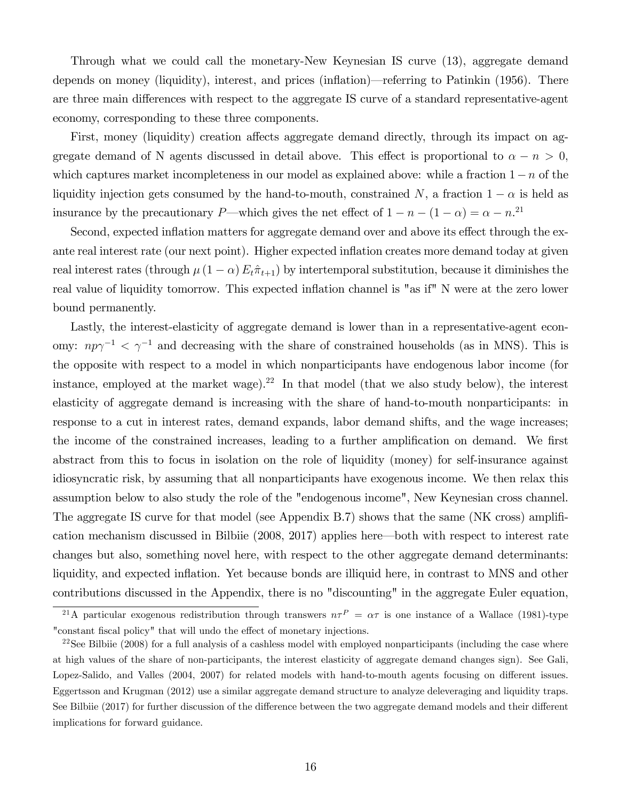Through what we could call the monetary-New Keynesian IS curve (13), aggregate demand depends on money (liquidity), interest, and prices (inflation)—referring to Patinkin  $(1956)$ . There are three main differences with respect to the aggregate IS curve of a standard representative-agent economy, corresponding to these three components.

First, money (liquidity) creation affects aggregate demand directly, through its impact on aggregate demand of N agents discussed in detail above. This effect is proportional to  $\alpha - n > 0$ , which captures market incompleteness in our model as explained above: while a fraction  $1-n$  of the liquidity injection gets consumed by the hand-to-mouth, constrained N, a fraction  $1 - \alpha$  is held as insurance by the precautionary P—which gives the net effect of  $1 - n - (1 - \alpha) = \alpha - n^{21}$ 

Second, expected inflation matters for aggregate demand over and above its effect through the exante real interest rate (our next point). Higher expected inflation creates more demand today at given real interest rates (through  $\mu (1 - \alpha) E_t \hat{\pi}_{t+1}$ ) by intertemporal substitution, because it diminishes the real value of liquidity tomorrow. This expected inflation channel is "as if" N were at the zero lower bound permanently.

Lastly, the interest-elasticity of aggregate demand is lower than in a representative-agent economy:  $np\gamma^{-1} < \gamma^{-1}$  and decreasing with the share of constrained households (as in MNS). This is the opposite with respect to a model in which nonparticipants have endogenous labor income (for instance, employed at the market wage).<sup>22</sup> In that model (that we also study below), the interest elasticity of aggregate demand is increasing with the share of hand-to-mouth nonparticipants: in response to a cut in interest rates, demand expands, labor demand shifts, and the wage increases; the income of the constrained increases, leading to a further amplification on demand. We first abstract from this to focus in isolation on the role of liquidity (money) for self-insurance against idiosyncratic risk, by assuming that all nonparticipants have exogenous income. We then relax this assumption below to also study the role of the "endogenous income", New Keynesian cross channel. The aggregate IS curve for that model (see Appendix  $B.7$ ) shows that the same (NK cross) amplification mechanism discussed in Bilbiie  $(2008, 2017)$  applies here—both with respect to interest rate changes but also, something novel here, with respect to the other aggregate demand determinants: liquidity, and expected inflation. Yet because bonds are illiquid here, in contrast to MNS and other contributions discussed in the Appendix, there is no "discounting" in the aggregate Euler equation,

<sup>&</sup>lt;sup>21</sup>A particular exogenous redistribution through transwers  $n\tau^P = \alpha\tau$  is one instance of a Wallace (1981)-type "constant fiscal policy" that will undo the effect of monetary injections.

 $^{22}$ See Bilbiie (2008) for a full analysis of a cashless model with employed nonparticipants (including the case where at high values of the share of non-participants, the interest elasticity of aggregate demand changes sign). See Gali, Lopez-Salido, and Valles (2004, 2007) for related models with hand-to-mouth agents focusing on different issues. Eggertsson and Krugman (2012) use a similar aggregate demand structure to analyze deleveraging and liquidity traps. See Bilbiie (2017) for further discussion of the difference between the two aggregate demand models and their different implications for forward guidance.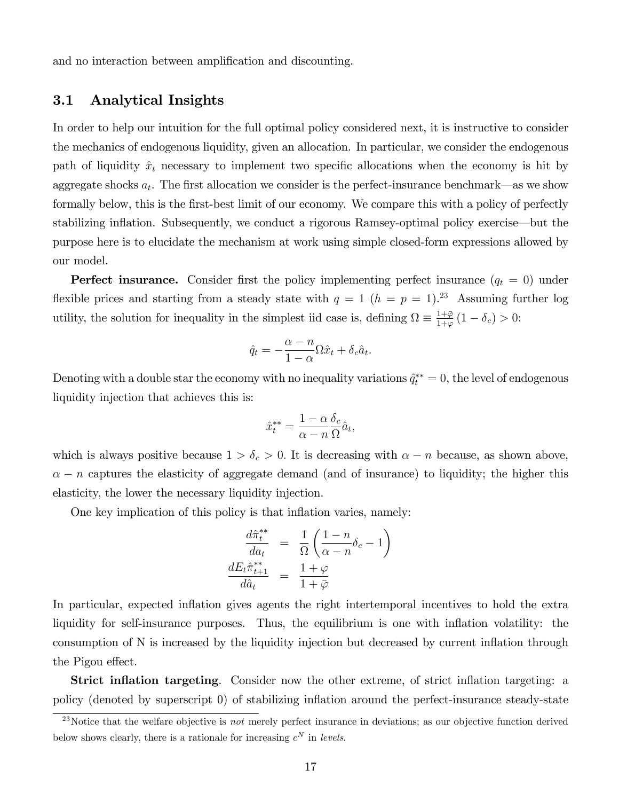and no interaction between amplification and discounting.

### 3.1 Analytical Insights

In order to help our intuition for the full optimal policy considered next, it is instructive to consider the mechanics of endogenous liquidity, given an allocation. In particular, we consider the endogenous path of liquidity  $\hat{x}_t$  necessary to implement two specific allocations when the economy is hit by aggregate shocks  $a_t$ . The first allocation we consider is the perfect-insurance benchmark—as we show formally below, this is the first-best limit of our economy. We compare this with a policy of perfectly stabilizing inflation. Subsequently, we conduct a rigorous Ramsey-optimal policy exercise—but the purpose here is to elucidate the mechanism at work using simple closed-form expressions allowed by our model.

**Perfect insurance.** Consider first the policy implementing perfect insurance  $(q_t = 0)$  under flexible prices and starting from a steady state with  $q = 1$  ( $h = p = 1$ ).<sup>23</sup> Assuming further log utility, the solution for inequality in the simplest iid case is, defining  $\Omega \equiv \frac{1+\bar{\varphi}}{1+\varphi}$  $\frac{1+\varphi}{1+\varphi}(1-\delta_c)>0$ :

$$
\hat{q}_t = -\frac{\alpha - n}{1 - \alpha} \Omega \hat{x}_t + \delta_c \hat{a}_t.
$$

Denoting with a double star the economy with no inequality variations  $\hat{q}_t^{**} = 0$ , the level of endogenous liquidity injection that achieves this is:

$$
\hat{x}_t^{**} = \frac{1 - \alpha}{\alpha - n} \frac{\delta_c}{\Omega} \hat{a}_t,
$$

which is always positive because  $1 > \delta_c > 0$ . It is decreasing with  $\alpha - n$  because, as shown above,  $\alpha - n$  captures the elasticity of aggregate demand (and of insurance) to liquidity; the higher this elasticity, the lower the necessary liquidity injection.

One key implication of this policy is that inflation varies, namely:

$$
\frac{d\hat{\pi}_t^{**}}{da_t} = \frac{1}{\Omega} \left( \frac{1-n}{\alpha - n} \delta_c - 1 \right)
$$
\n
$$
\frac{dE_t \hat{\pi}_{t+1}^{**}}{d\hat{a}_t} = \frac{1+\varphi}{1+\bar{\varphi}}
$$

In particular, expected inflation gives agents the right intertemporal incentives to hold the extra liquidity for self-insurance purposes. Thus, the equilibrium is one with inflation volatility: the consumption of N is increased by the liquidity injection but decreased by current inflation through the Pigou effect.

**Strict inflation targeting.** Consider now the other extreme, of strict inflation targeting: a policy (denoted by superscript 0) of stabilizing ináation around the perfect-insurance steady-state

<sup>&</sup>lt;sup>23</sup>Notice that the welfare objective is not merely perfect insurance in deviations; as our objective function derived below shows clearly, there is a rationale for increasing  $c^N$  in levels.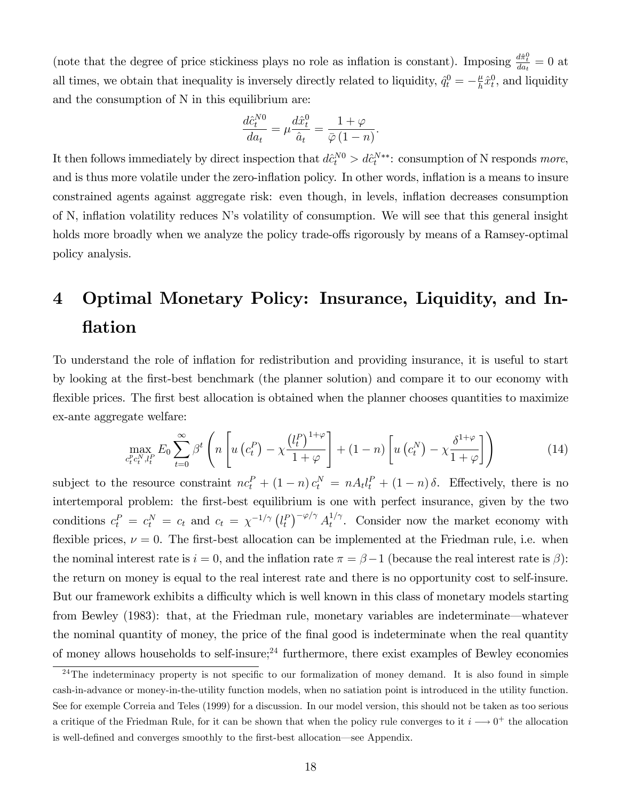(note that the degree of price stickiness plays no role as inflation is constant). Imposing  $\frac{d\hat{\pi}^0_t}{da_t} = 0$  at all times, we obtain that inequality is inversely directly related to liquidity,  $\hat{q}_t^0 = -\frac{\mu}{h}$  $\frac{\mu}{h}\hat{x}_t^0$ , and liquidity and the consumption of N in this equilibrium are:

$$
\frac{d\hat{c}_t^{N0}}{da_t} = \mu \frac{d\hat{x}_t^0}{\hat{a}_t} = \frac{1+\varphi}{\bar{\varphi}(1-n)}.
$$

It then follows immediately by direct inspection that  $d\hat{c}_t^{N0} > d\hat{c}_t^{N**}$ : consumption of N responds more, and is thus more volatile under the zero-inflation policy. In other words, inflation is a means to insure constrained agents against aggregate risk: even though, in levels, inflation decreases consumption of N, ináation volatility reduces Nís volatility of consumption. We will see that this general insight holds more broadly when we analyze the policy trade-offs rigorously by means of a Ramsey-optimal policy analysis.

# 4 Optimal Monetary Policy: Insurance, Liquidity, and Inflation

To understand the role of inflation for redistribution and providing insurance, it is useful to start by looking at the Örst-best benchmark (the planner solution) and compare it to our economy with flexible prices. The first best allocation is obtained when the planner chooses quantities to maximize ex-ante aggregate welfare:

$$
\max_{c_t^p c_t^N, l_t^P} E_0 \sum_{t=0}^{\infty} \beta^t \left( n \left[ u \left( c_t^P \right) - \chi \frac{\left( l_t^P \right)^{1+\varphi}}{1+\varphi} \right] + (1-n) \left[ u \left( c_t^N \right) - \chi \frac{\delta^{1+\varphi}}{1+\varphi} \right] \right) \tag{14}
$$

subject to the resource constraint  $nc_t^P + (1 - n)c_t^N = nA_t l_t^P + (1 - n)\delta$ . Effectively, there is no intertemporal problem: the Örst-best equilibrium is one with perfect insurance, given by the two conditions  $c_t^P = c_t^N = c_t$  and  $c_t = \chi^{-1/\gamma} (l_t^P)^{-\varphi/\gamma} A_t^{1/\gamma}$  $t^{1/\gamma}$ . Consider now the market economy with flexible prices,  $\nu = 0$ . The first-best allocation can be implemented at the Friedman rule, i.e. when the nominal interest rate is  $i = 0$ , and the inflation rate  $\pi = \beta - 1$  (because the real interest rate is  $\beta$ ): the return on money is equal to the real interest rate and there is no opportunity cost to self-insure. But our framework exhibits a difficulty which is well known in this class of monetary models starting from Bewley (1983): that, at the Friedman rule, monetary variables are indeterminate—whatever the nominal quantity of money, the price of the final good is indeterminate when the real quantity of money allows households to self-insure;<sup>24</sup> furthermore, there exist examples of Bewley economies

 $^{24}$ The indeterminacy property is not specific to our formalization of money demand. It is also found in simple cash-in-advance or money-in-the-utility function models, when no satiation point is introduced in the utility function. See for exemple Correia and Teles (1999) for a discussion. In our model version, this should not be taken as too serious a critique of the Friedman Rule, for it can be shown that when the policy rule converges to it  $i \rightarrow 0^+$  the allocation is well-defined and converges smoothly to the first-best allocation—see Appendix.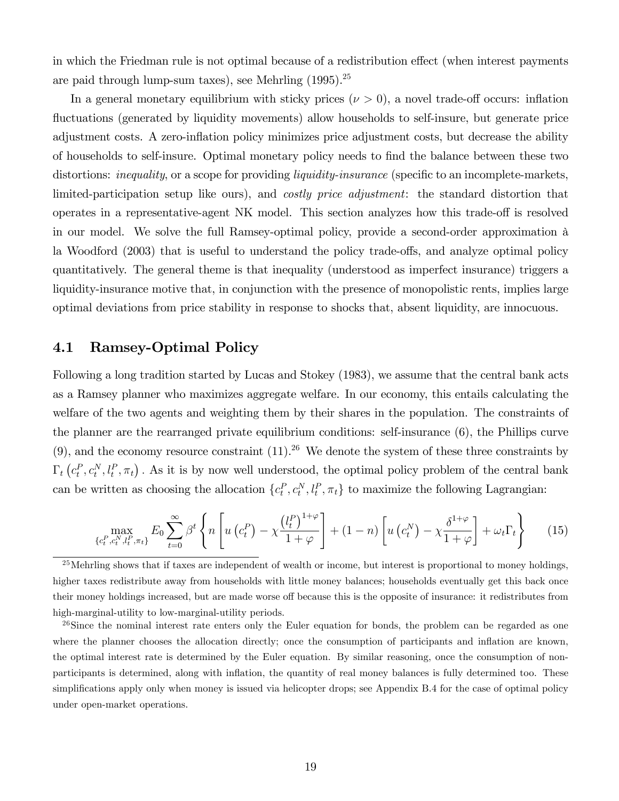in which the Friedman rule is not optimal because of a redistribution effect (when interest payments are paid through lump-sum taxes), see Mehrling  $(1995).^{25}$ 

In a general monetary equilibrium with sticky prices  $(\nu > 0)$ , a novel trade-off occurs: inflation fluctuations (generated by liquidity movements) allow households to self-insure, but generate price adjustment costs. A zero-inflation policy minimizes price adjustment costs, but decrease the ability of households to self-insure. Optimal monetary policy needs to Önd the balance between these two distortions: *inequality*, or a scope for providing *liquidity-insurance* (specific to an incomplete-markets, limited-participation setup like ours), and costly price adjustment: the standard distortion that operates in a representative-agent NK model. This section analyzes how this trade-off is resolved in our model. We solve the full Ramsey-optimal policy, provide a second-order approximation à la Woodford (2003) that is useful to understand the policy trade-offs, and analyze optimal policy quantitatively. The general theme is that inequality (understood as imperfect insurance) triggers a liquidity-insurance motive that, in conjunction with the presence of monopolistic rents, implies large optimal deviations from price stability in response to shocks that, absent liquidity, are innocuous.

### 4.1 Ramsey-Optimal Policy

Following a long tradition started by Lucas and Stokey (1983), we assume that the central bank acts as a Ramsey planner who maximizes aggregate welfare. In our economy, this entails calculating the welfare of the two agents and weighting them by their shares in the population. The constraints of the planner are the rearranged private equilibrium conditions: self-insurance (6), the Phillips curve  $(9)$ , and the economy resource constraint  $(11).^{26}$  We denote the system of these three constraints by  $\Gamma_t\left(c_t^P, c_t^N, l_t^P, \pi_t\right)$ . As it is by now well understood, the optimal policy problem of the central bank can be written as choosing the allocation  $\{c_t^P, c_t^N, l_t^P, \pi_t\}$  to maximize the following Lagrangian:

$$
\max_{\{c_t^P, c_t^N, l_t^P, \pi_t\}} E_0 \sum_{t=0}^{\infty} \beta^t \left\{ n \left[ u \left( c_t^P \right) - \chi \frac{\left( l_t^P \right)^{1+\varphi}}{1+\varphi} \right] + (1-n) \left[ u \left( c_t^N \right) - \chi \frac{\delta^{1+\varphi}}{1+\varphi} \right] + \omega_t \Gamma_t \right\} \tag{15}
$$

<sup>&</sup>lt;sup>25</sup>Mehrling shows that if taxes are independent of wealth or income, but interest is proportional to money holdings, higher taxes redistribute away from households with little money balances; households eventually get this back once their money holdings increased, but are made worse off because this is the opposite of insurance: it redistributes from high-marginal-utility to low-marginal-utility periods.

<sup>&</sup>lt;sup>26</sup>Since the nominal interest rate enters only the Euler equation for bonds, the problem can be regarded as one where the planner chooses the allocation directly; once the consumption of participants and inflation are known, the optimal interest rate is determined by the Euler equation. By similar reasoning, once the consumption of nonparticipants is determined, along with inflation, the quantity of real money balances is fully determined too. These simplifications apply only when money is issued via helicopter drops; see Appendix B.4 for the case of optimal policy under open-market operations.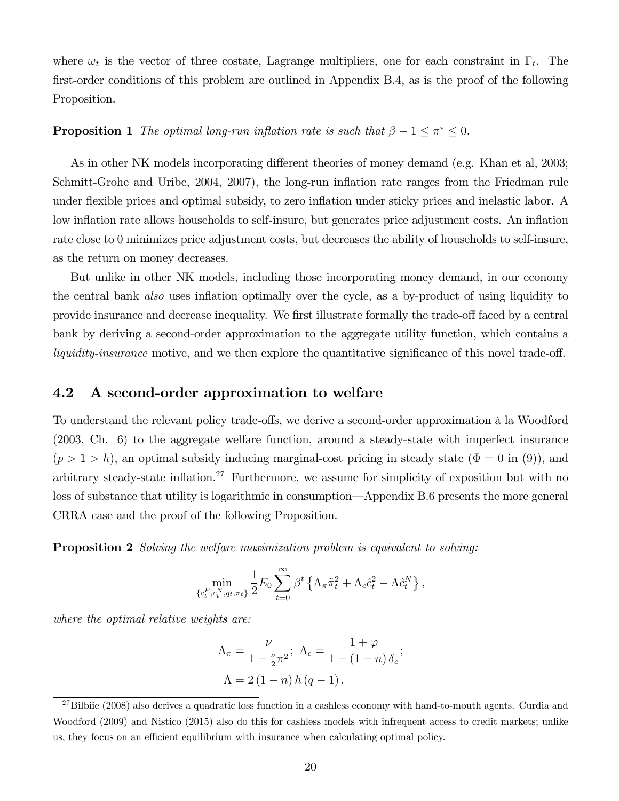where  $\omega_t$  is the vector of three costate, Lagrange multipliers, one for each constraint in  $\Gamma_t$ . The first-order conditions of this problem are outlined in Appendix B.4, as is the proof of the following Proposition.

# **Proposition 1** The optimal long-run inflation rate is such that  $\beta - 1 \leq \pi^* \leq 0$ .

As in other NK models incorporating different theories of money demand (e.g. Khan et al, 2003; Schmitt-Grohe and Uribe, 2004, 2007), the long-run inflation rate ranges from the Friedman rule under flexible prices and optimal subsidy, to zero inflation under sticky prices and inelastic labor. A low inflation rate allows households to self-insure, but generates price adjustment costs. An inflation rate close to 0 minimizes price adjustment costs, but decreases the ability of households to self-insure, as the return on money decreases.

But unlike in other NK models, including those incorporating money demand, in our economy the central bank *also* uses inflation optimally over the cycle, as a by-product of using liquidity to provide insurance and decrease inequality. We first illustrate formally the trade-off faced by a central bank by deriving a second-order approximation to the aggregate utility function, which contains a liquidity-insurance motive, and we then explore the quantitative significance of this novel trade-off.

#### 4.2 A second-order approximation to welfare

To understand the relevant policy trade-offs, we derive a second-order approximation à la Woodford (2003, Ch. 6) to the aggregate welfare function, around a steady-state with imperfect insurance  $(p > 1 > h)$ , an optimal subsidy inducing marginal-cost pricing in steady state  $(\Phi = 0 \text{ in } (9))$ , and arbitrary steady-state inflation.<sup>27</sup> Furthermore, we assume for simplicity of exposition but with no loss of substance that utility is logarithmic in consumption—Appendix B.6 presents the more general CRRA case and the proof of the following Proposition.

**Proposition 2** Solving the welfare maximization problem is equivalent to solving:

$$
\min_{\{c_t^P, c_t^N, q_t, \pi_t\}} \frac{1}{2} E_0 \sum_{t=0}^{\infty} \beta^t \left\{ \Lambda_\pi \tilde{\pi}_t^2 + \Lambda_c \hat{c}_t^2 - \Lambda \hat{c}_t^N \right\},\,
$$

where the optimal relative weights are:

$$
\Lambda_{\pi} = \frac{\nu}{1 - \frac{\nu}{2}\pi^2}; \ \Lambda_c = \frac{1 + \varphi}{1 - (1 - n)\,\delta_c};
$$

$$
\Lambda = 2(1 - n) h (q - 1).
$$

 $27$ Bilbiie (2008) also derives a quadratic loss function in a cashless economy with hand-to-mouth agents. Curdia and Woodford (2009) and Nistico (2015) also do this for cashless models with infrequent access to credit markets; unlike us, they focus on an efficient equilibrium with insurance when calculating optimal policy.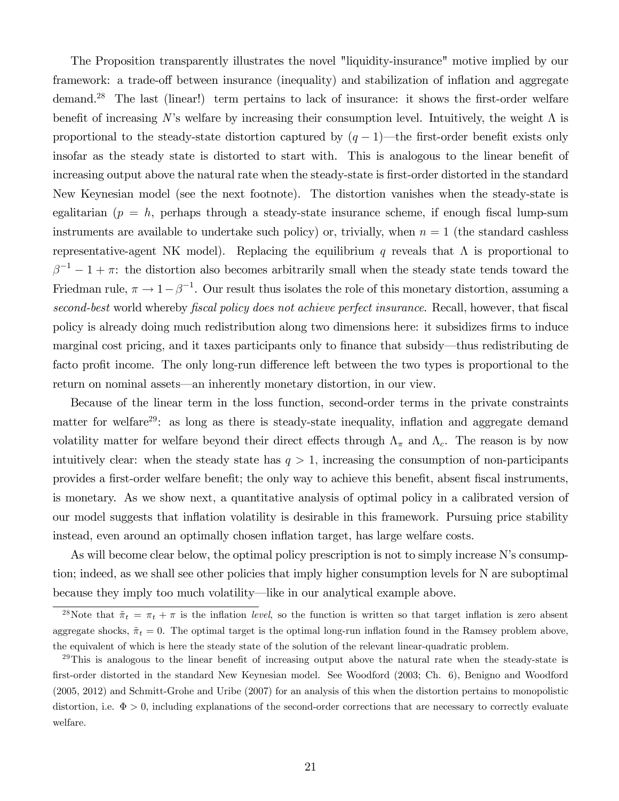The Proposition transparently illustrates the novel "liquidity-insurance" motive implied by our framework: a trade-off between insurance (inequality) and stabilization of inflation and aggregate demand.<sup>28</sup> The last (linear!) term pertains to lack of insurance: it shows the first-order welfare benefit of increasing N's welfare by increasing their consumption level. Intuitively, the weight  $\Lambda$  is proportional to the steady-state distortion captured by  $(q-1)$ —the first-order benefit exists only insofar as the steady state is distorted to start with. This is analogous to the linear benefit of increasing output above the natural rate when the steady-state is first-order distorted in the standard New Keynesian model (see the next footnote). The distortion vanishes when the steady-state is egalitarian ( $p = h$ , perhaps through a steady-state insurance scheme, if enough fiscal lump-sum instruments are available to undertake such policy) or, trivially, when  $n = 1$  (the standard cashless representative-agent NK model). Replacing the equilibrium  $q$  reveals that  $\Lambda$  is proportional to  $\beta^{-1} - 1 + \pi$ : the distortion also becomes arbitrarily small when the steady state tends toward the Friedman rule,  $\pi \to 1 - \beta^{-1}$ . Our result thus isolates the role of this monetary distortion, assuming a second-best world whereby fiscal policy does not achieve perfect insurance. Recall, however, that fiscal policy is already doing much redistribution along two dimensions here: it subsidizes firms to induce marginal cost pricing, and it taxes participants only to finance that subsidy—thus redistributing de facto profit income. The only long-run difference left between the two types is proportional to the return on nominal assets—an inherently monetary distortion, in our view.

Because of the linear term in the loss function, second-order terms in the private constraints matter for welfare<sup>29</sup>: as long as there is steady-state inequality, inflation and aggregate demand volatility matter for welfare beyond their direct effects through  $\Lambda_{\pi}$  and  $\Lambda_{c}$ . The reason is by now intuitively clear: when the steady state has  $q > 1$ , increasing the consumption of non-participants provides a first-order welfare benefit; the only way to achieve this benefit, absent fiscal instruments, is monetary. As we show next, a quantitative analysis of optimal policy in a calibrated version of our model suggests that inflation volatility is desirable in this framework. Pursuing price stability instead, even around an optimally chosen ináation target, has large welfare costs.

As will become clear below, the optimal policy prescription is not to simply increase N's consumption; indeed, as we shall see other policies that imply higher consumption levels for N are suboptimal because they imply too much volatility—like in our analytical example above.

<sup>&</sup>lt;sup>28</sup>Note that  $\tilde{\pi}_t = \pi_t + \pi$  is the inflation level, so the function is written so that target inflation is zero absent aggregate shocks,  $\tilde{\pi}_t = 0$ . The optimal target is the optimal long-run inflation found in the Ramsey problem above, the equivalent of which is here the steady state of the solution of the relevant linear-quadratic problem.

 $^{29}$ This is analogous to the linear benefit of increasing output above the natural rate when the steady-state is first-order distorted in the standard New Keynesian model. See Woodford (2003; Ch. 6), Benigno and Woodford (2005, 2012) and Schmitt-Grohe and Uribe (2007) for an analysis of this when the distortion pertains to monopolistic distortion, i.e.  $\Phi > 0$ , including explanations of the second-order corrections that are necessary to correctly evaluate welfare.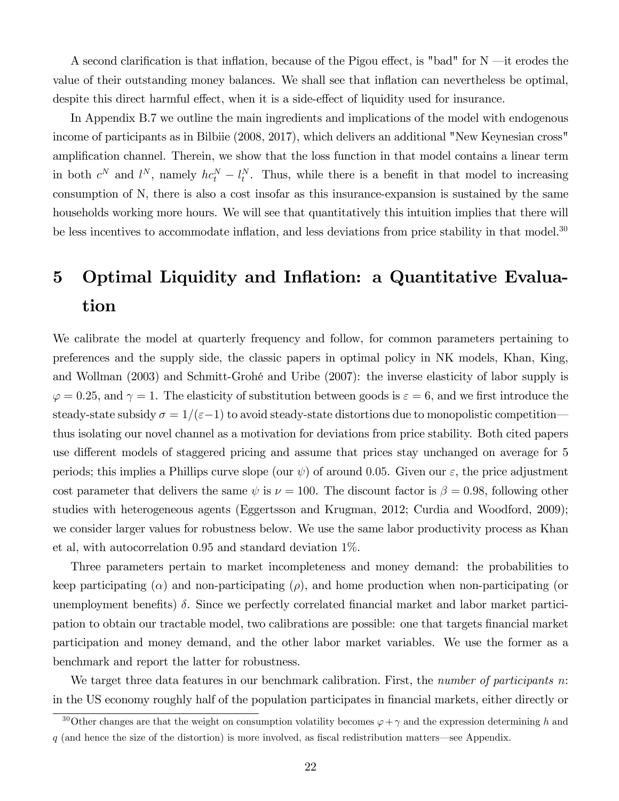A second clarification is that inflation, because of the Pigou effect, is "bad" for  $N \rightarrow i$  erodes the value of their outstanding money balances. We shall see that inflation can nevertheless be optimal, despite this direct harmful effect, when it is a side-effect of liquidity used for insurance.

In Appendix B.7 we outline the main ingredients and implications of the model with endogenous income of participants as in Bilbiie (2008, 2017), which delivers an additional "New Keynesian cross" amplification channel. Therein, we show that the loss function in that model contains a linear term in both  $c^N$  and  $l^N$ , namely  $hc^N_t - l^N_t$ . Thus, while there is a benefit in that model to increasing consumption of N, there is also a cost insofar as this insurance-expansion is sustained by the same households working more hours. We will see that quantitatively this intuition implies that there will be less incentives to accommodate inflation, and less deviations from price stability in that model.<sup>30</sup>

# 5 Optimal Liquidity and Inflation: a Quantitative Evaluation

We calibrate the model at quarterly frequency and follow, for common parameters pertaining to preferences and the supply side, the classic papers in optimal policy in NK models, Khan, King, and Wollman (2003) and Schmitt-Grohé and Uribe (2007): the inverse elasticity of labor supply is  $\varphi = 0.25$ , and  $\gamma = 1$ . The elasticity of substitution between goods is  $\varepsilon = 6$ , and we first introduce the steady-state subsidy  $\sigma = 1/(\varepsilon-1)$  to avoid steady-state distortions due to monopolistic competition thus isolating our novel channel as a motivation for deviations from price stability. Both cited papers use different models of staggered pricing and assume that prices stay unchanged on average for 5 periods; this implies a Phillips curve slope (our  $\psi$ ) of around 0.05. Given our  $\varepsilon$ , the price adjustment cost parameter that delivers the same  $\psi$  is  $\nu = 100$ . The discount factor is  $\beta = 0.98$ , following other studies with heterogeneous agents (Eggertsson and Krugman, 2012; Curdia and Woodford, 2009); we consider larger values for robustness below. We use the same labor productivity process as Khan et al, with autocorrelation 0:95 and standard deviation 1%.

Three parameters pertain to market incompleteness and money demand: the probabilities to keep participating ( $\alpha$ ) and non-participating ( $\rho$ ), and home production when non-participating (or unemployment benefits)  $\delta$ . Since we perfectly correlated financial market and labor market participation to obtain our tractable model, two calibrations are possible: one that targets Önancial market participation and money demand, and the other labor market variables. We use the former as a benchmark and report the latter for robustness.

We target three data features in our benchmark calibration. First, the number of participants n: in the US economy roughly half of the population participates in financial markets, either directly or

<sup>&</sup>lt;sup>30</sup>Other changes are that the weight on consumption volatility becomes  $\varphi + \gamma$  and the expression determining h and  $q$  (and hence the size of the distortion) is more involved, as fiscal redistribution matters—see Appendix.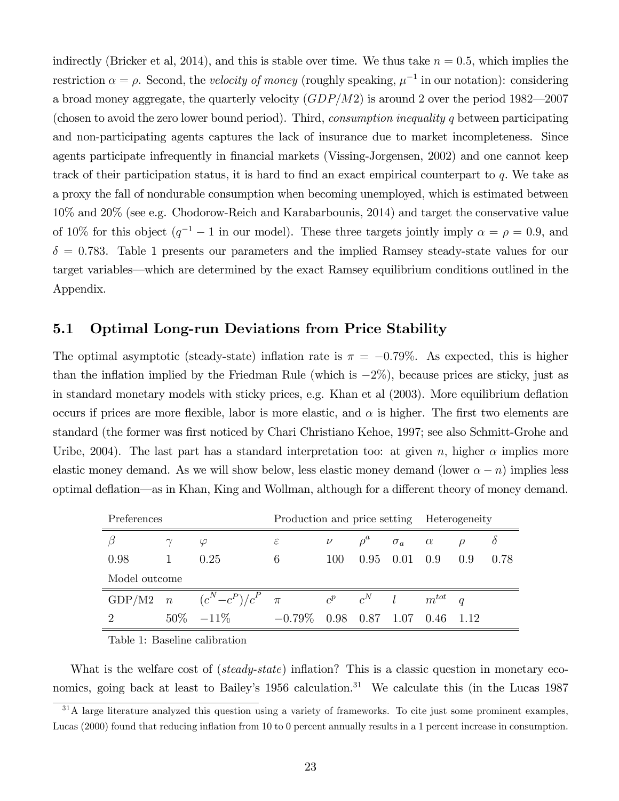indirectly (Bricker et al, 2014), and this is stable over time. We thus take  $n = 0.5$ , which implies the restriction  $\alpha = \rho$ . Second, the *velocity of money* (roughly speaking,  $\mu^{-1}$  in our notation): considering a broad money aggregate, the quarterly velocity  $(GDP/M2)$  is around 2 over the period 1982–2007 (chosen to avoid the zero lower bound period). Third, consumption inequality q between participating and non-participating agents captures the lack of insurance due to market incompleteness. Since agents participate infrequently in financial markets (Vissing-Jorgensen, 2002) and one cannot keep track of their participation status, it is hard to find an exact empirical counterpart to  $q$ . We take as a proxy the fall of nondurable consumption when becoming unemployed, which is estimated between 10% and 20% (see e.g. Chodorow-Reich and Karabarbounis, 2014) and target the conservative value of 10% for this object  $(q^{-1} - 1$  in our model). These three targets jointly imply  $\alpha = \rho = 0.9$ , and  $\delta = 0.783$ . Table 1 presents our parameters and the implied Ramsey steady-state values for our target variables—which are determined by the exact Ramsey equilibrium conditions outlined in the Appendix.

#### 5.1 Optimal Long-run Deviations from Price Stability

The optimal asymptotic (steady-state) inflation rate is  $\pi = -0.79\%$ . As expected, this is higher than the inflation implied by the Friedman Rule (which is  $-2\%$ ), because prices are sticky, just as in standard monetary models with sticky prices, e.g. Khan et al  $(2003)$ . More equilibrium deflation occurs if prices are more flexible, labor is more elastic, and  $\alpha$  is higher. The first two elements are standard (the former was first noticed by Chari Christiano Kehoe, 1997; see also Schmitt-Grohe and Uribe, 2004). The last part has a standard interpretation too: at given n, higher  $\alpha$  implies more elastic money demand. As we will show below, less elastic money demand (lower  $\alpha - n$ ) implies less optimal deflation—as in Khan, King and Wollman, although for a different theory of money demand.

| Preferences                 |          |                                                                                                     | Production and price setting Heterogeneity |       |                              |  |  |        |      |
|-----------------------------|----------|-----------------------------------------------------------------------------------------------------|--------------------------------------------|-------|------------------------------|--|--|--------|------|
| $\beta$                     | $\gamma$ | $\varphi$                                                                                           | $\varepsilon$                              | $\nu$ | $\rho^a$ $\sigma_a$ $\alpha$ |  |  | $\rho$ |      |
| 0.98                        | $\sim$ 1 | 0.25                                                                                                | 6                                          | 100   | $0.95$ 0.01 0.9              |  |  | 0.9    | 0.78 |
| Model outcome               |          |                                                                                                     |                                            |       |                              |  |  |        |      |
|                             |          | GDP/M2 $n \qquad (c^N - c^P)/c^P \qquad \pi \qquad c^p \qquad c^N \qquad l \qquad m^{tot} \qquad q$ |                                            |       |                              |  |  |        |      |
| $\mathcal{D}_{\mathcal{L}}$ |          | $50\% -11\%$                                                                                        | $-0.79\%$ 0.98 0.87 1.07 0.46 1.12         |       |                              |  |  |        |      |

Table 1: Baseline calibration

What is the welfare cost of (steady-state) inflation? This is a classic question in monetary economics, going back at least to Bailey's 1956 calculation.<sup>31</sup> We calculate this (in the Lucas 1987)

 $31A$  large literature analyzed this question using a variety of frameworks. To cite just some prominent examples, Lucas (2000) found that reducing inflation from 10 to 0 percent annually results in a 1 percent increase in consumption.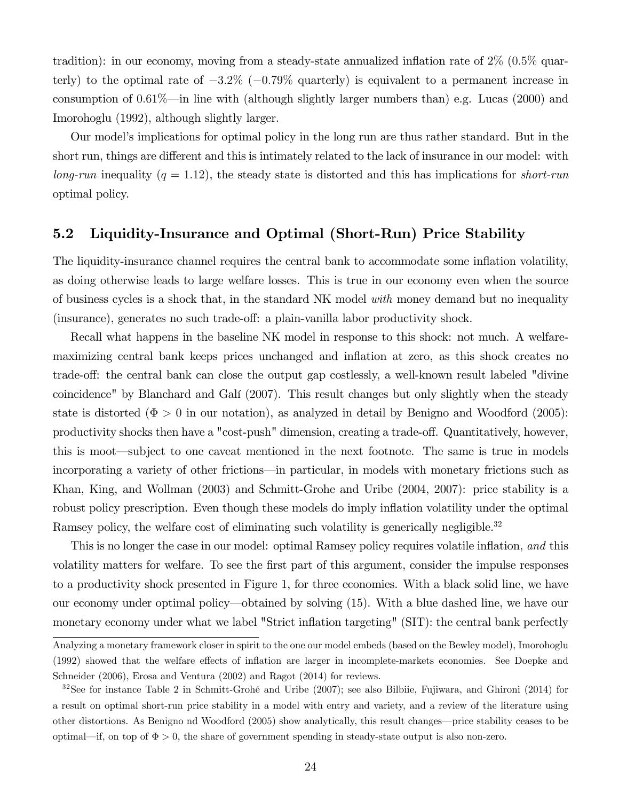tradition): in our economy, moving from a steady-state annualized inflation rate of  $2\%$  (0.5% quarterly) to the optimal rate of  $-3.2\%$  ( $-0.79\%$  quarterly) is equivalent to a permanent increase in consumption of  $0.61\%$  in line with (although slightly larger numbers than) e.g. Lucas (2000) and Imorohoglu (1992), although slightly larger.

Our modelís implications for optimal policy in the long run are thus rather standard. But in the short run, things are different and this is intimately related to the lack of insurance in our model: with long-run inequality  $(q = 1.12)$ , the steady state is distorted and this has implications for short-run optimal policy.

## 5.2 Liquidity-Insurance and Optimal (Short-Run) Price Stability

The liquidity-insurance channel requires the central bank to accommodate some inflation volatility, as doing otherwise leads to large welfare losses. This is true in our economy even when the source of business cycles is a shock that, in the standard NK model with money demand but no inequality (insurance), generates no such trade-off: a plain-vanilla labor productivity shock.

Recall what happens in the baseline NK model in response to this shock: not much. A welfaremaximizing central bank keeps prices unchanged and ináation at zero, as this shock creates no trade-off: the central bank can close the output gap costlessly, a well-known result labeled "divine" coincidence" by Blanchard and Galí (2007). This result changes but only slightly when the steady state is distorted ( $\Phi > 0$  in our notation), as analyzed in detail by Benigno and Woodford (2005): productivity shocks then have a "cost-push" dimension, creating a trade-off. Quantitatively, however, this is moot—subject to one caveat mentioned in the next footnote. The same is true in models incorporating a variety of other frictions—in particular, in models with monetary frictions such as Khan, King, and Wollman (2003) and Schmitt-Grohe and Uribe (2004, 2007): price stability is a robust policy prescription. Even though these models do imply inflation volatility under the optimal Ramsey policy, the welfare cost of eliminating such volatility is generically negligible.<sup>32</sup>

This is no longer the case in our model: optimal Ramsey policy requires volatile inflation, and this volatility matters for welfare. To see the first part of this argument, consider the impulse responses to a productivity shock presented in Figure 1, for three economies. With a black solid line, we have our economy under optimal policy—obtained by solving  $(15)$ . With a blue dashed line, we have our monetary economy under what we label "Strict inflation targeting" (SIT): the central bank perfectly

Analyzing a monetary framework closer in spirit to the one our model embeds (based on the Bewley model), Imorohoglu (1992) showed that the welfare effects of inflation are larger in incomplete-markets economies. See Doepke and Schneider (2006), Erosa and Ventura (2002) and Ragot (2014) for reviews.

 $32$ See for instance Table 2 in Schmitt-Grohé and Uribe (2007); see also Bilbiie, Fujiwara, and Ghironi (2014) for a result on optimal short-run price stability in a model with entry and variety, and a review of the literature using other distortions. As Benigno nd Woodford (2005) show analytically, this result changes—price stability ceases to be optimal—if, on top of  $\Phi > 0$ , the share of government spending in steady-state output is also non-zero.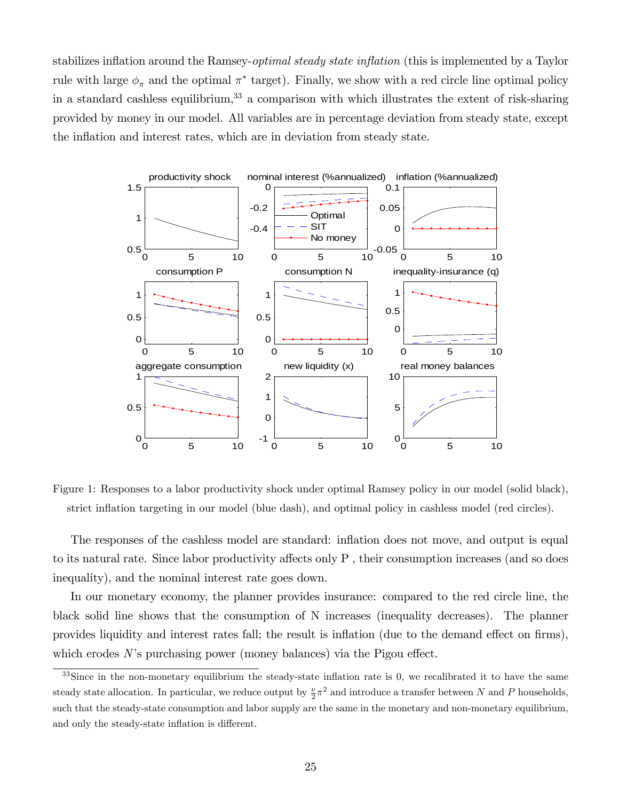stabilizes inflation around the Ramsey-*optimal steady state inflation* (this is implemented by a Taylor rule with large  $\phi_{\pi}$  and the optimal  $\pi^*$  target). Finally, we show with a red circle line optimal policy in a standard cashless equilibrium,<sup>33</sup> a comparison with which illustrates the extent of risk-sharing provided by money in our model. All variables are in percentage deviation from steady state, except the inflation and interest rates, which are in deviation from steady state.



Figure 1: Responses to a labor productivity shock under optimal Ramsey policy in our model (solid black), strict ináation targeting in our model (blue dash), and optimal policy in cashless model (red circles).

The responses of the cashless model are standard: inflation does not move, and output is equal to its natural rate. Since labor productivity affects only P, their consumption increases (and so does inequality), and the nominal interest rate goes down.

In our monetary economy, the planner provides insurance: compared to the red circle line, the black solid line shows that the consumption of N increases (inequality decreases). The planner provides liquidity and interest rates fall; the result is inflation (due to the demand effect on firms), which erodes  $N$ 's purchasing power (money balances) via the Pigou effect.

 $33\,$ Since in the non-monetary equilibrium the steady-state inflation rate is 0, we recalibrated it to have the same steady state allocation. In particular, we reduce output by  $\frac{\nu}{2}\pi^2$  and introduce a transfer between N and P households, such that the steady-state consumption and labor supply are the same in the monetary and non-monetary equilibrium, and only the steady-state inflation is different.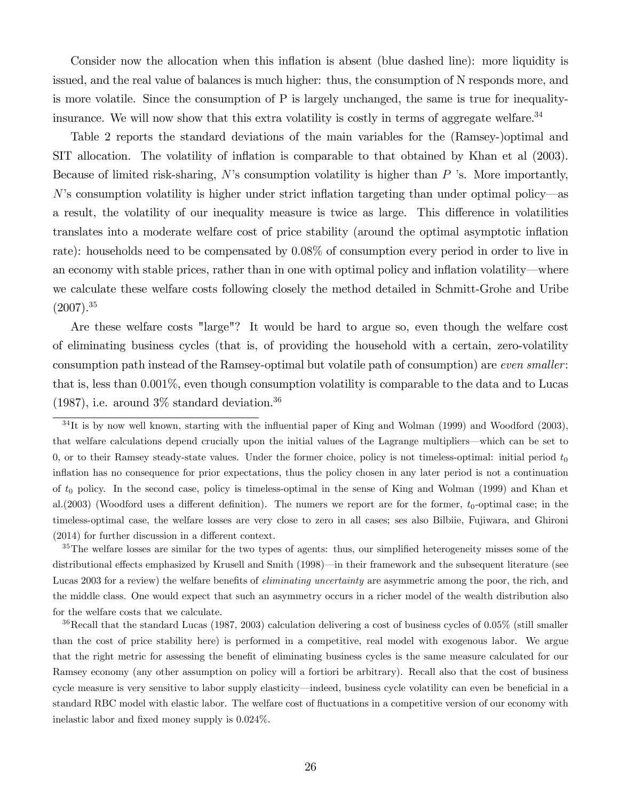Consider now the allocation when this inflation is absent (blue dashed line): more liquidity is issued, and the real value of balances is much higher: thus, the consumption of N responds more, and is more volatile. Since the consumption of P is largely unchanged, the same is true for inequalityinsurance. We will now show that this extra volatility is costly in terms of aggregate welfare.<sup>34</sup>

Table 2 reports the standard deviations of the main variables for the (Ramsey-)optimal and SIT allocation. The volatility of inflation is comparable to that obtained by Khan et al (2003). Because of limited risk-sharing,  $N$ 's consumption volatility is higher than  $P$  's. More importantly,  $N$ 's consumption volatility is higher under strict inflation targeting than under optimal policy—as a result, the volatility of our inequality measure is twice as large. This difference in volatilities translates into a moderate welfare cost of price stability (around the optimal asymptotic ináation rate): households need to be compensated by 0:08% of consumption every period in order to live in an economy with stable prices, rather than in one with optimal policy and inflation volatility—where we calculate these welfare costs following closely the method detailed in Schmitt-Grohe and Uribe  $(2007).^{35}$ 

Are these welfare costs "large"? It would be hard to argue so, even though the welfare cost of eliminating business cycles (that is, of providing the household with a certain, zero-volatility consumption path instead of the Ramsey-optimal but volatile path of consumption) are *even smaller*: that is, less than 0:001%, even though consumption volatility is comparable to the data and to Lucas  $(1987)$ , i.e. around  $3\%$  standard deviation.<sup>36</sup>

 $35$ The welfare losses are similar for the two types of agents: thus, our simplified heterogeneity misses some of the distributional effects emphasized by Krusell and Smith (1998)—in their framework and the subsequent literature (see Lucas 2003 for a review) the welfare benefits of *eliminating uncertainty* are asymmetric among the poor, the rich, and the middle class. One would expect that such an asymmetry occurs in a richer model of the wealth distribution also for the welfare costs that we calculate.

 $36$ Recall that the standard Lucas (1987, 2003) calculation delivering a cost of business cycles of 0.05% (still smaller than the cost of price stability here) is performed in a competitive, real model with exogenous labor. We argue that the right metric for assessing the benefit of eliminating business cycles is the same measure calculated for our Ramsey economy (any other assumption on policy will a fortiori be arbitrary). Recall also that the cost of business cycle measure is very sensitive to labor supply elasticity—indeed, business cycle volatility can even be beneficial in a standard RBC model with elastic labor. The welfare cost of fluctuations in a competitive version of our economy with inelastic labor and fixed money supply is  $0.024\%$ .

 $34$ It is by now well known, starting with the influential paper of King and Wolman (1999) and Woodford (2003), that welfare calculations depend crucially upon the initial values of the Lagrange multipliers—which can be set to 0, or to their Ramsey steady-state values. Under the former choice, policy is not timeless-optimal: initial period  $t_0$ ináation has no consequence for prior expectations, thus the policy chosen in any later period is not a continuation of  $t_0$  policy. In the second case, policy is timeless-optimal in the sense of King and Wolman (1999) and Khan et al.(2003) (Woodford uses a different definition). The numers we report are for the former,  $t_0$ -optimal case; in the timeless-optimal case, the welfare losses are very close to zero in all cases; ses also Bilbiie, Fujiwara, and Ghironi  $(2014)$  for further discussion in a different context.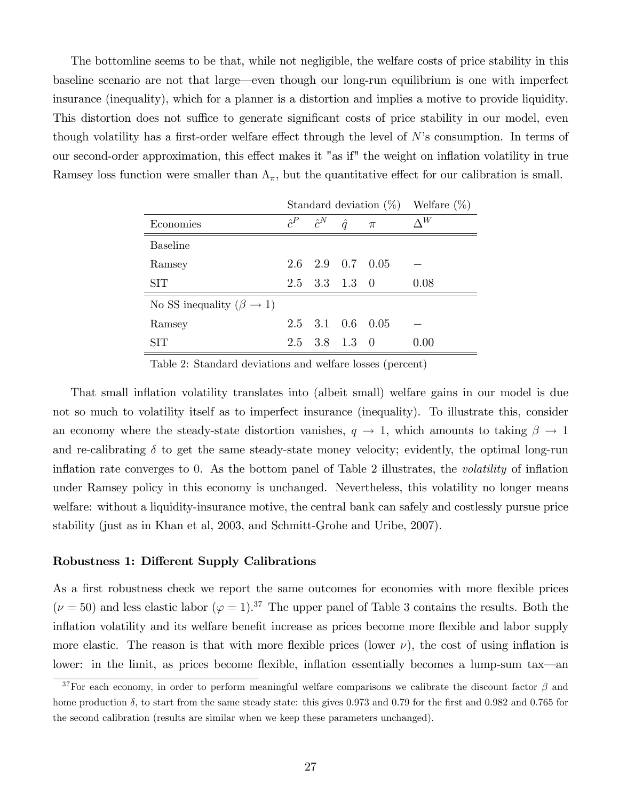The bottomline seems to be that, while not negligible, the welfare costs of price stability in this baseline scenario are not that large—even though our long-run equilibrium is one with imperfect insurance (inequality), which for a planner is a distortion and implies a motive to provide liquidity. This distortion does not suffice to generate significant costs of price stability in our model, even though volatility has a first-order welfare effect through the level of  $N$ 's consumption. In terms of our second-order approximation, this effect makes it "as if" the weight on inflation volatility in true Ramsey loss function were smaller than  $\Lambda_{\pi}$ , but the quantitative effect for our calibration is small.

|                                            |     |                                   | Standard deviation $(\%)$ Welfare $(\%)$ |             |
|--------------------------------------------|-----|-----------------------------------|------------------------------------------|-------------|
| Economies                                  |     | $\hat{c}^P$ $\hat{c}^N$ $\hat{q}$ | $\pi$                                    | $\Lambda^W$ |
| <b>Baseline</b>                            |     |                                   |                                          |             |
| Ramsey                                     |     |                                   | $2.6$ $2.9$ $0.7$ $0.05$                 |             |
| <b>SIT</b>                                 |     | $2.5$ $3.3$ $1.3$ 0               |                                          | 0.08        |
| No SS inequality ( $\beta \rightarrow 1$ ) |     |                                   |                                          |             |
| Ramsey                                     |     |                                   | $2.5$ 3.1 0.6 0.05                       |             |
| <b>SIT</b>                                 | 2.5 | 3.8 1.3 0                         |                                          | (1.00)      |

Table 2: Standard deviations and welfare losses (percent)

That small inflation volatility translates into (albeit small) welfare gains in our model is due not so much to volatility itself as to imperfect insurance (inequality). To illustrate this, consider an economy where the steady-state distortion vanishes,  $q \to 1$ , which amounts to taking  $\beta \to 1$ and re-calibrating  $\delta$  to get the same steady-state money velocity; evidently, the optimal long-run inflation rate converges to  $0$ . As the bottom panel of Table 2 illustrates, the volatility of inflation under Ramsey policy in this economy is unchanged. Nevertheless, this volatility no longer means welfare: without a liquidity-insurance motive, the central bank can safely and costlessly pursue price stability (just as in Khan et al, 2003, and Schmitt-Grohe and Uribe, 2007).

#### Robustness 1: Different Supply Calibrations

As a first robustness check we report the same outcomes for economies with more flexible prices  $(\nu = 50)$  and less elastic labor  $(\varphi = 1)$ .<sup>37</sup> The upper panel of Table 3 contains the results. Both the inflation volatility and its welfare benefit increase as prices become more flexible and labor supply more elastic. The reason is that with more flexible prices (lower  $\nu$ ), the cost of using inflation is lower: in the limit, as prices become flexible, inflation essentially becomes a lump-sum tax—an

<sup>&</sup>lt;sup>37</sup>For each economy, in order to perform meaningful welfare comparisons we calibrate the discount factor  $\beta$  and home production  $\delta$ , to start from the same steady state: this gives 0.973 and 0.79 for the first and 0.982 and 0.765 for the second calibration (results are similar when we keep these parameters unchanged).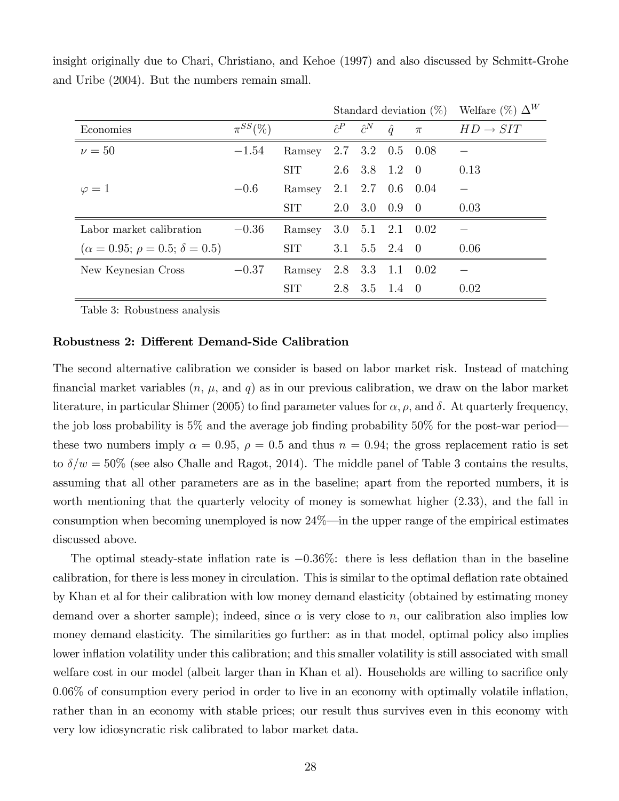|                                             |                |            | Standard deviation $(\%)$ |                                   |                         | Welfare $(\%) \Delta^W$              |                      |
|---------------------------------------------|----------------|------------|---------------------------|-----------------------------------|-------------------------|--------------------------------------|----------------------|
| Economies                                   | $\pi^{SS}(\%)$ |            | $\hat{c}^P$               | $\hat{c}^N$                       | $\hat{q}$               | $\pi$                                | $HD \rightarrow SIT$ |
| $\nu = 50$                                  | $-1.54$        | Ramsey     |                           |                                   |                         | $2.7$ $3.2$ $0.5$ $0.08$             |                      |
|                                             |                | <b>SIT</b> |                           | $2.6$ $3.8$ $1.2$ 0               |                         |                                      | 0.13                 |
| $\varphi=1$                                 | $-0.6$         | Ramsey     |                           |                                   |                         | $2.1$ $2.7$ $0.6$ $0.04$             |                      |
|                                             |                | SIT        | 2.0                       |                                   | $3.0 \quad 0.9 \quad 0$ |                                      | 0.03                 |
| Labor market calibration                    | $-0.36$        | Ramsey     |                           |                                   |                         | $3.0 \quad 5.1 \quad 2.1 \quad 0.02$ |                      |
| $(\alpha = 0.95; \rho = 0.5; \delta = 0.5)$ |                | SIT.       |                           | $3.1 \quad 5.5 \quad 2.4 \quad 0$ |                         |                                      | 0.06                 |
| New Keynesian Cross                         | $-0.37$        | Ramsey     |                           |                                   |                         | $2.8$ $3.3$ $1.1$ $0.02$             |                      |
|                                             |                | SIT        |                           | $2.8$ $3.5$ $1.4$ 0               |                         |                                      | 0.02                 |

insight originally due to Chari, Christiano, and Kehoe (1997) and also discussed by Schmitt-Grohe and Uribe (2004). But the numbers remain small.

Table 3: Robustness analysis

#### Robustness 2: Different Demand-Side Calibration

The second alternative calibration we consider is based on labor market risk. Instead of matching financial market variables  $(n, \mu, \text{and } q)$  as in our previous calibration, we draw on the labor market literature, in particular Shimer (2005) to find parameter values for  $\alpha$ ,  $\rho$ , and  $\delta$ . At quarterly frequency, the job loss probability is  $5\%$  and the average job finding probability  $50\%$  for the post-war period these two numbers imply  $\alpha = 0.95$ ,  $\rho = 0.5$  and thus  $n = 0.94$ ; the gross replacement ratio is set to  $\delta/w = 50\%$  (see also Challe and Ragot, 2014). The middle panel of Table 3 contains the results, assuming that all other parameters are as in the baseline; apart from the reported numbers, it is worth mentioning that the quarterly velocity of money is somewhat higher (2:33), and the fall in consumption when becoming unemployed is now  $24\%$ —in the upper range of the empirical estimates discussed above.

The optimal steady-state inflation rate is  $-0.36\%$ : there is less deflation than in the baseline calibration, for there is less money in circulation. This is similar to the optimal deáation rate obtained by Khan et al for their calibration with low money demand elasticity (obtained by estimating money demand over a shorter sample); indeed, since  $\alpha$  is very close to n, our calibration also implies low money demand elasticity. The similarities go further: as in that model, optimal policy also implies lower inflation volatility under this calibration; and this smaller volatility is still associated with small welfare cost in our model (albeit larger than in Khan et al). Households are willing to sacrifice only  $0.06\%$  of consumption every period in order to live in an economy with optimally volatile inflation, rather than in an economy with stable prices; our result thus survives even in this economy with very low idiosyncratic risk calibrated to labor market data.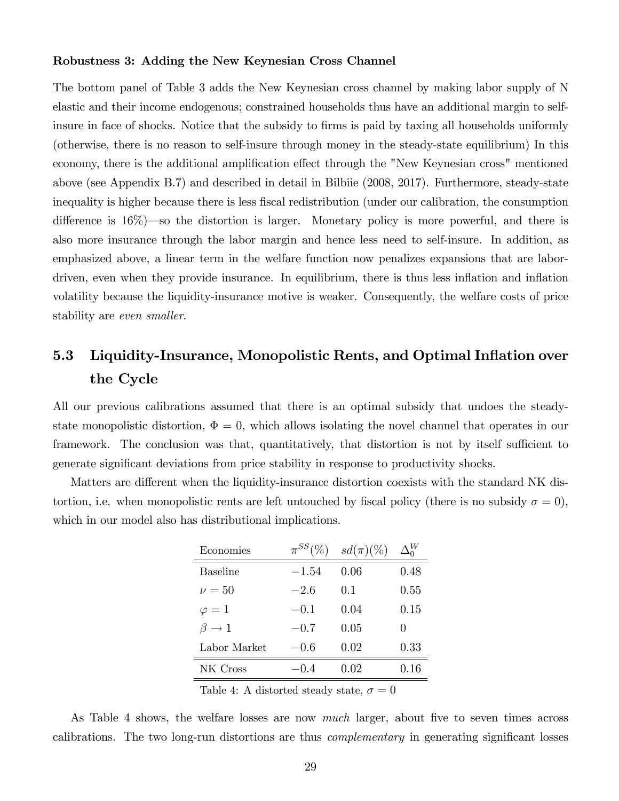#### Robustness 3: Adding the New Keynesian Cross Channel

The bottom panel of Table 3 adds the New Keynesian cross channel by making labor supply of N elastic and their income endogenous; constrained households thus have an additional margin to selfinsure in face of shocks. Notice that the subsidy to firms is paid by taxing all households uniformly (otherwise, there is no reason to self-insure through money in the steady-state equilibrium) In this economy, there is the additional amplification effect through the "New Keynesian cross" mentioned above (see Appendix B.7) and described in detail in Bilbiie (2008, 2017). Furthermore, steady-state inequality is higher because there is less Öscal redistribution (under our calibration, the consumption difference is  $16\%$ )—so the distortion is larger. Monetary policy is more powerful, and there is also more insurance through the labor margin and hence less need to self-insure. In addition, as emphasized above, a linear term in the welfare function now penalizes expansions that are labordriven, even when they provide insurance. In equilibrium, there is thus less inflation and inflation volatility because the liquidity-insurance motive is weaker. Consequently, the welfare costs of price stability are even smaller.

# 5.3 Liquidity-Insurance, Monopolistic Rents, and Optimal Inflation over the Cycle

All our previous calibrations assumed that there is an optimal subsidy that undoes the steadystate monopolistic distortion,  $\Phi = 0$ , which allows isolating the novel channel that operates in our framework. The conclusion was that, quantitatively, that distortion is not by itself sufficient to generate significant deviations from price stability in response to productivity shocks.

Matters are different when the liquidity-insurance distortion coexists with the standard NK distortion, i.e. when monopolistic rents are left untouched by fiscal policy (there is no subsidy  $\sigma = 0$ ), which in our model also has distributional implications.

| Economies             | $\pi^{SS}(\%)$ | $sd(\pi)(\%)$ | $\Delta_0^W$ |
|-----------------------|----------------|---------------|--------------|
| <b>Baseline</b>       | $-1.54$        | 0.06          | 0.48         |
| $\nu = 50$            | $-2.6$         | 0.1           | 0.55         |
| $\varphi=1$           | $-0.1$         | 0.04          | 0.15         |
| $\beta \rightarrow 1$ | $-0.7$         | 0.05          | $\mathbf{0}$ |
| Labor Market          | $-0.6$         | 0.02          | 0.33         |
| NK Cross              | $-0.4$         | 0.02          | 0.16         |
|                       |                |               |              |

Table 4: A distorted steady state,  $\sigma = 0$ 

As Table 4 shows, the welfare losses are now much larger, about five to seven times across calibrations. The two long-run distortions are thus *complementary* in generating significant losses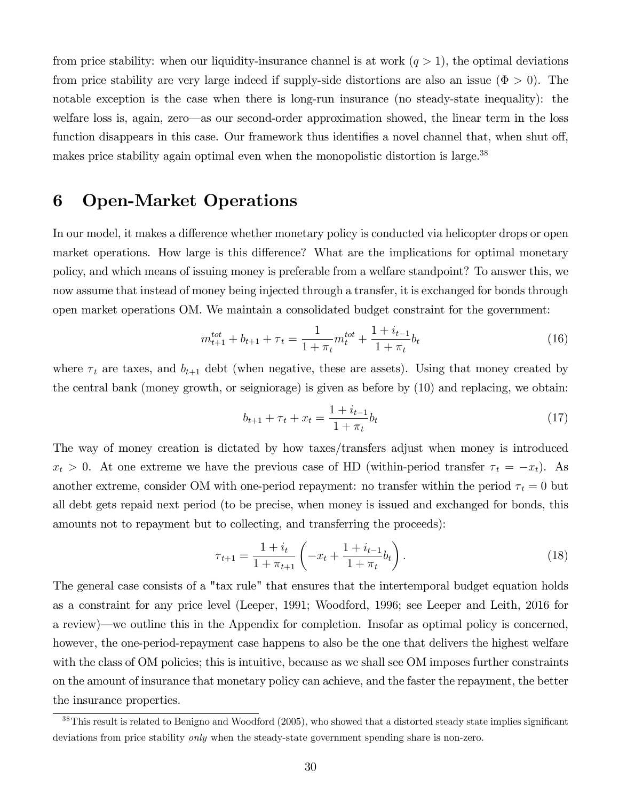from price stability: when our liquidity-insurance channel is at work  $(q > 1)$ , the optimal deviations from price stability are very large indeed if supply-side distortions are also an issue ( $\Phi > 0$ ). The notable exception is the case when there is long-run insurance (no steady-state inequality): the welfare loss is, again, zero—as our second-order approximation showed, the linear term in the loss function disappears in this case. Our framework thus identifies a novel channel that, when shut off, makes price stability again optimal even when the monopolistic distortion is large.<sup>38</sup>

# 6 Open-Market Operations

In our model, it makes a difference whether monetary policy is conducted via helicopter drops or open market operations. How large is this difference? What are the implications for optimal monetary policy, and which means of issuing money is preferable from a welfare standpoint? To answer this, we now assume that instead of money being injected through a transfer, it is exchanged for bonds through open market operations OM. We maintain a consolidated budget constraint for the government:

$$
m_{t+1}^{tot} + b_{t+1} + \tau_t = \frac{1}{1 + \pi_t} m_t^{tot} + \frac{1 + i_{t-1}}{1 + \pi_t} b_t
$$
\n(16)

where  $\tau_t$  are taxes, and  $b_{t+1}$  debt (when negative, these are assets). Using that money created by the central bank (money growth, or seigniorage) is given as before by (10) and replacing, we obtain:

$$
b_{t+1} + \tau_t + x_t = \frac{1 + i_{t-1}}{1 + \pi_t} b_t \tag{17}
$$

The way of money creation is dictated by how taxes/transfers adjust when money is introduced  $x_t > 0$ . At one extreme we have the previous case of HD (within-period transfer  $\tau_t = -x_t$ ). As another extreme, consider OM with one-period repayment: no transfer within the period  $\tau_t = 0$  but all debt gets repaid next period (to be precise, when money is issued and exchanged for bonds, this amounts not to repayment but to collecting, and transferring the proceeds):

$$
\tau_{t+1} = \frac{1+i_t}{1+\pi_{t+1}} \left( -x_t + \frac{1+i_{t-1}}{1+\pi_t} b_t \right). \tag{18}
$$

The general case consists of a "tax rule" that ensures that the intertemporal budget equation holds as a constraint for any price level (Leeper, 1991; Woodford, 1996; see Leeper and Leith, 2016 for a review)—we outline this in the Appendix for completion. Insofar as optimal policy is concerned, however, the one-period-repayment case happens to also be the one that delivers the highest welfare with the class of OM policies; this is intuitive, because as we shall see OM imposes further constraints on the amount of insurance that monetary policy can achieve, and the faster the repayment, the better the insurance properties.

 $38$ This result is related to Benigno and Woodford (2005), who showed that a distorted steady state implies significant deviations from price stability *only* when the steady-state government spending share is non-zero.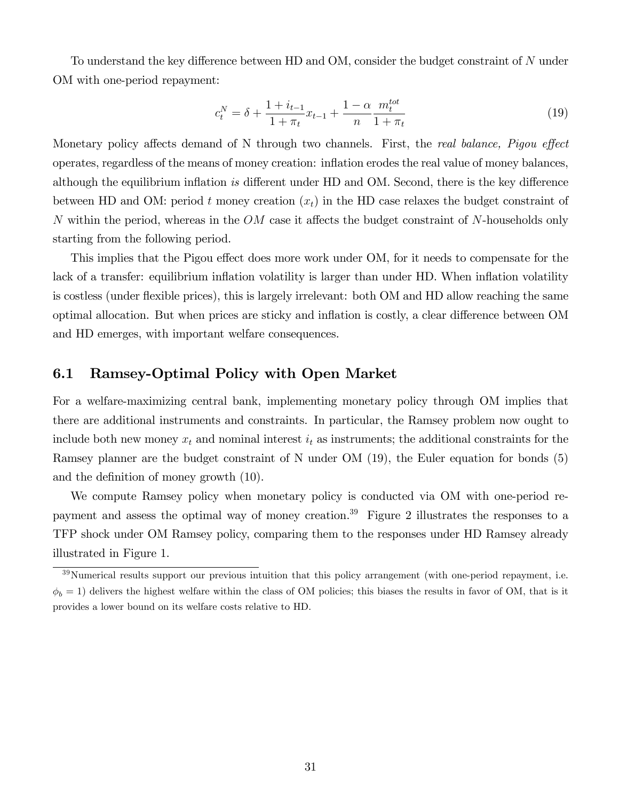To understand the key difference between HD and OM, consider the budget constraint of  $N$  under OM with one-period repayment:

$$
c_t^N = \delta + \frac{1 + i_{t-1}}{1 + \pi_t} x_{t-1} + \frac{1 - \alpha}{n} \frac{m_t^{tot}}{1 + \pi_t}
$$
\n
$$
\tag{19}
$$

Monetary policy affects demand of N through two channels. First, the real balance, Pigou effect operates, regardless of the means of money creation: ináation erodes the real value of money balances, although the equilibrium inflation is different under HD and OM. Second, there is the key difference between HD and OM: period t money creation  $(x_t)$  in the HD case relaxes the budget constraint of N within the period, whereas in the  $OM$  case it affects the budget constraint of N-households only starting from the following period.

This implies that the Pigou effect does more work under OM, for it needs to compensate for the lack of a transfer: equilibrium inflation volatility is larger than under HD. When inflation volatility is costless (under áexible prices), this is largely irrelevant: both OM and HD allow reaching the same optimal allocation. But when prices are sticky and inflation is costly, a clear difference between OM and HD emerges, with important welfare consequences.

## 6.1 Ramsey-Optimal Policy with Open Market

For a welfare-maximizing central bank, implementing monetary policy through OM implies that there are additional instruments and constraints. In particular, the Ramsey problem now ought to include both new money  $x_t$  and nominal interest  $i_t$  as instruments; the additional constraints for the Ramsey planner are the budget constraint of N under OM (19), the Euler equation for bonds (5) and the definition of money growth  $(10)$ .

We compute Ramsey policy when monetary policy is conducted via OM with one-period repayment and assess the optimal way of money creation.<sup>39</sup> Figure 2 illustrates the responses to a TFP shock under OM Ramsey policy, comparing them to the responses under HD Ramsey already illustrated in Figure 1.

<sup>&</sup>lt;sup>39</sup>Numerical results support our previous intuition that this policy arrangement (with one-period repayment, i.e.  $\phi_b = 1$ ) delivers the highest welfare within the class of OM policies; this biases the results in favor of OM, that is it provides a lower bound on its welfare costs relative to HD.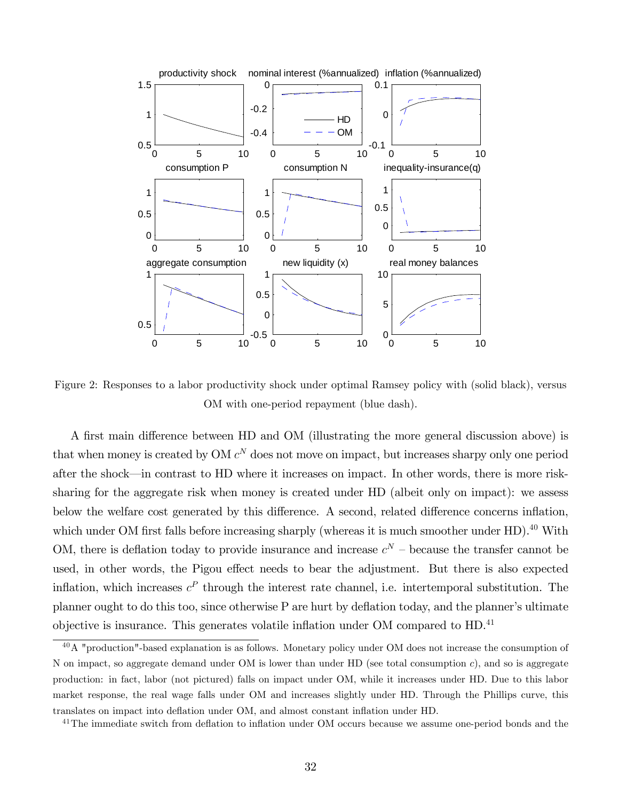

Figure 2: Responses to a labor productivity shock under optimal Ramsey policy with (solid black), versus OM with one-period repayment (blue dash).

A first main difference between HD and OM (illustrating the more general discussion above) is that when money is created by OM  $c^N$  does not move on impact, but increases sharpy only one period after the shock—in contrast to HD where it increases on impact. In other words, there is more risksharing for the aggregate risk when money is created under HD (albeit only on impact): we assess below the welfare cost generated by this difference. A second, related difference concerns inflation, which under OM first falls before increasing sharply (whereas it is much smoother under HD).<sup>40</sup> With OM, there is deflation today to provide insurance and increase  $c^N$  – because the transfer cannot be used, in other words, the Pigou effect needs to bear the adjustment. But there is also expected inflation, which increases  $c^P$  through the interest rate channel, i.e. intertemporal substitution. The planner ought to do this too, since otherwise  $P$  are hurt by deflation today, and the planner's ultimate objective is insurance. This generates volatile inflation under OM compared to  $HD.<sup>41</sup>$ 

 $^{40}$ A "production"-based explanation is as follows. Monetary policy under OM does not increase the consumption of N on impact, so aggregate demand under OM is lower than under HD (see total consumption  $c$ ), and so is aggregate production: in fact, labor (not pictured) falls on impact under OM, while it increases under HD. Due to this labor market response, the real wage falls under OM and increases slightly under HD. Through the Phillips curve, this translates on impact into deflation under OM, and almost constant inflation under HD.

<sup>&</sup>lt;sup>41</sup>The immediate switch from deflation to inflation under OM occurs because we assume one-period bonds and the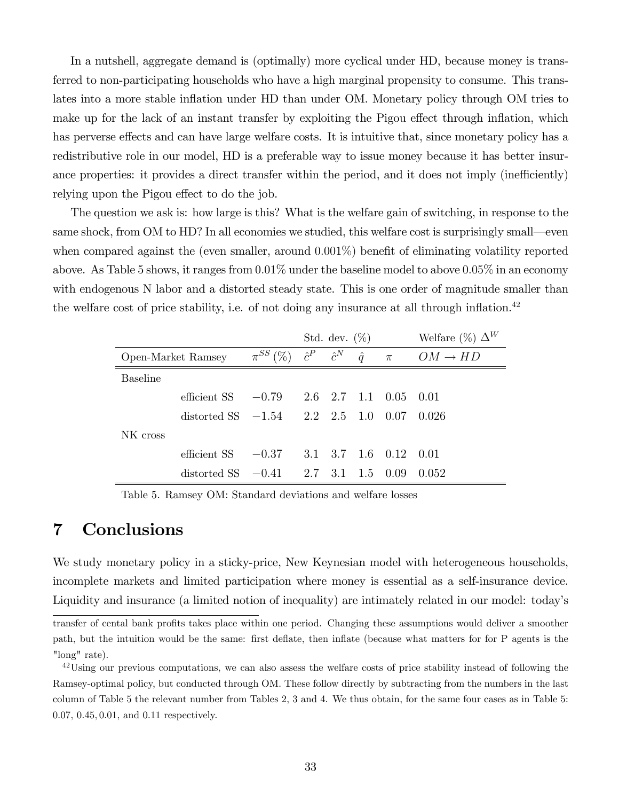In a nutshell, aggregate demand is (optimally) more cyclical under HD, because money is transferred to non-participating households who have a high marginal propensity to consume. This translates into a more stable inflation under HD than under OM. Monetary policy through OM tries to make up for the lack of an instant transfer by exploiting the Pigou effect through inflation, which has perverse effects and can have large welfare costs. It is intuitive that, since monetary policy has a redistributive role in our model, HD is a preferable way to issue money because it has better insurance properties: it provides a direct transfer within the period, and it does not imply (inefficiently) relying upon the Pigou effect to do the job.

The question we ask is: how large is this? What is the welfare gain of switching, in response to the same shock, from OM to HD? In all economies we studied, this welfare cost is surprisingly small—even when compared against the (even smaller, around  $0.001\%$ ) benefit of eliminating volatility reported above. As Table 5 shows, it ranges from  $0.01\%$  under the baseline model to above  $0.05\%$  in an economy with endogenous N labor and a distorted steady state. This is one order of magnitude smaller than the welfare cost of price stability, i.e. of not doing any insurance at all through inflation.<sup>42</sup>

|                                                                           |                                             |  | Std. dev. $(\%)$ |                       | Welfare $(\%) \Delta^W$ |
|---------------------------------------------------------------------------|---------------------------------------------|--|------------------|-----------------------|-------------------------|
| Open-Market Ramsey $\pi^{SS}(\%)$ $\hat{c}^P$ $\hat{c}^N$ $\hat{q}$ $\pi$ |                                             |  |                  |                       | $OM \rightarrow HD$     |
| <b>Baseline</b>                                                           |                                             |  |                  |                       |                         |
|                                                                           | efficient SS $-0.79$ 2.6 2.7 1.1 0.05 0.01  |  |                  |                       |                         |
|                                                                           | distorted SS $-1.54$ 2.2 2.5 1.0 0.07 0.026 |  |                  |                       |                         |
| NK cross                                                                  |                                             |  |                  |                       |                         |
|                                                                           | efficient $SS = -0.37$                      |  |                  | 3.1 3.7 1.6 0.12 0.01 |                         |
|                                                                           | distorted SS $-0.41$ 2.7 3.1 1.5 0.09       |  |                  |                       | 0.052                   |

Table 5. Ramsey OM: Standard deviations and welfare losses

# 7 Conclusions

We study monetary policy in a sticky-price, New Keynesian model with heterogeneous households, incomplete markets and limited participation where money is essential as a self-insurance device. Liquidity and insurance (a limited notion of inequality) are intimately related in our model: today's

transfer of cental bank profits takes place within one period. Changing these assumptions would deliver a smoother path, but the intuition would be the same: first deflate, then inflate (because what matters for for P agents is the "long" rate).

 $42$ Using our previous computations, we can also assess the welfare costs of price stability instead of following the Ramsey-optimal policy, but conducted through OM. These follow directly by subtracting from the numbers in the last column of Table 5 the relevant number from Tables 2, 3 and 4. We thus obtain, for the same four cases as in Table 5: 0:07; 0:45; 0:01; and 0:11 respectively.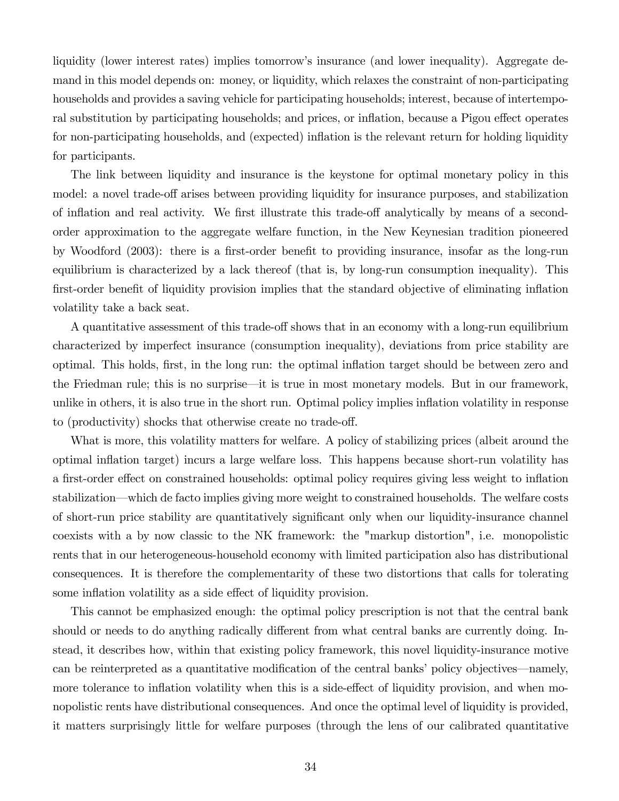liquidity (lower interest rates) implies tomorrow's insurance (and lower inequality). Aggregate demand in this model depends on: money, or liquidity, which relaxes the constraint of non-participating households and provides a saving vehicle for participating households; interest, because of intertemporal substitution by participating households; and prices, or inflation, because a Pigou effect operates for non-participating households, and (expected) inflation is the relevant return for holding liquidity for participants.

The link between liquidity and insurance is the keystone for optimal monetary policy in this model: a novel trade-off arises between providing liquidity for insurance purposes, and stabilization of inflation and real activity. We first illustrate this trade-off analytically by means of a secondorder approximation to the aggregate welfare function, in the New Keynesian tradition pioneered by Woodford (2003): there is a first-order benefit to providing insurance, insofar as the long-run equilibrium is characterized by a lack thereof (that is, by long-run consumption inequality). This first-order benefit of liquidity provision implies that the standard objective of eliminating inflation volatility take a back seat.

A quantitative assessment of this trade-off shows that in an economy with a long-run equilibrium characterized by imperfect insurance (consumption inequality), deviations from price stability are optimal. This holds, first, in the long run: the optimal inflation target should be between zero and the Friedman rule; this is no surprise—it is true in most monetary models. But in our framework, unlike in others, it is also true in the short run. Optimal policy implies ináation volatility in response to (productivity) shocks that otherwise create no trade-off.

What is more, this volatility matters for welfare. A policy of stabilizing prices (albeit around the optimal ináation target) incurs a large welfare loss. This happens because short-run volatility has a first-order effect on constrained households: optimal policy requires giving less weight to inflation stabilization—which de facto implies giving more weight to constrained households. The welfare costs of short-run price stability are quantitatively significant only when our liquidity-insurance channel coexists with a by now classic to the NK framework: the "markup distortion", i.e. monopolistic rents that in our heterogeneous-household economy with limited participation also has distributional consequences. It is therefore the complementarity of these two distortions that calls for tolerating some inflation volatility as a side effect of liquidity provision.

This cannot be emphasized enough: the optimal policy prescription is not that the central bank should or needs to do anything radically different from what central banks are currently doing. Instead, it describes how, within that existing policy framework, this novel liquidity-insurance motive can be reinterpreted as a quantitative modification of the central banks' policy objectives—namely, more tolerance to inflation volatility when this is a side-effect of liquidity provision, and when monopolistic rents have distributional consequences. And once the optimal level of liquidity is provided, it matters surprisingly little for welfare purposes (through the lens of our calibrated quantitative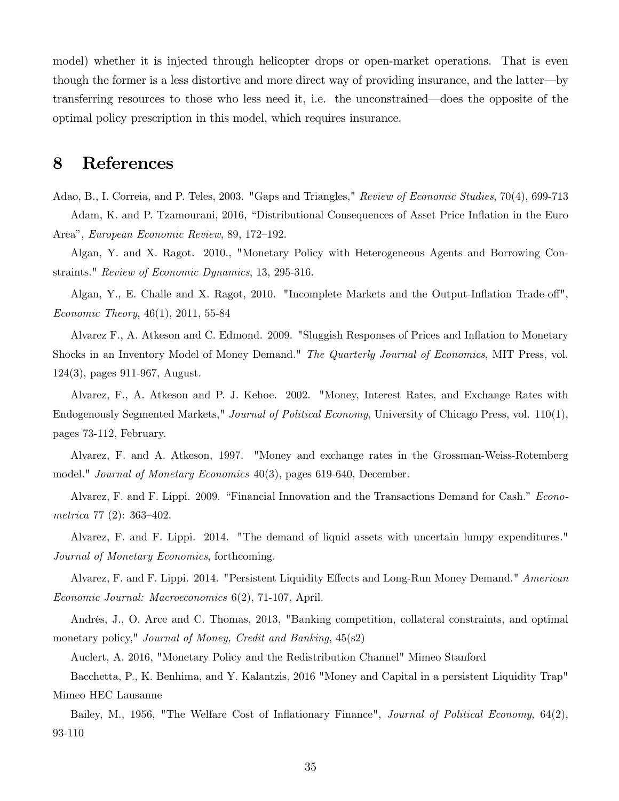model) whether it is injected through helicopter drops or open-market operations. That is even though the former is a less distortive and more direct way of providing insurance, and the latter—by transferring resources to those who less need it, i.e. the unconstrained—does the opposite of the optimal policy prescription in this model, which requires insurance.

# 8 References

Adao, B., I. Correia, and P. Teles, 2003. "Gaps and Triangles," Review of Economic Studies, 70(4), 699-713 Adam, K. and P. Tzamourani, 2016, "Distributional Consequences of Asset Price Inflation in the Euro Area", European Economic Review, 89, 172–192.

Algan, Y. and X. Ragot. 2010., "Monetary Policy with Heterogeneous Agents and Borrowing Constraints." Review of Economic Dynamics, 13, 295-316.

Algan, Y., E. Challe and X. Ragot, 2010. "Incomplete Markets and the Output-Inflation Trade-off", Economic Theory, 46(1), 2011, 55-84

Alvarez F., A. Atkeson and C. Edmond. 2009. "Sluggish Responses of Prices and Inflation to Monetary Shocks in an Inventory Model of Money Demand." The Quarterly Journal of Economics, MIT Press, vol. 124(3), pages 911-967, August.

Alvarez, F., A. Atkeson and P. J. Kehoe. 2002. "Money, Interest Rates, and Exchange Rates with Endogenously Segmented Markets," Journal of Political Economy, University of Chicago Press, vol. 110(1), pages 73-112, February.

Alvarez, F. and A. Atkeson, 1997. "Money and exchange rates in the Grossman-Weiss-Rotemberg model." Journal of Monetary Economics 40(3), pages 619-640, December.

Alvarez, F. and F. Lippi. 2009. "Financial Innovation and the Transactions Demand for Cash." Econometrica 77 $(2)$ : 363-402.

Alvarez, F. and F. Lippi. 2014. "The demand of liquid assets with uncertain lumpy expenditures." Journal of Monetary Economics, forthcoming.

Alvarez, F. and F. Lippi. 2014. "Persistent Liquidity Effects and Long-Run Money Demand." American Economic Journal: Macroeconomics 6(2), 71-107, April.

Andrés, J., O. Arce and C. Thomas, 2013, "Banking competition, collateral constraints, and optimal monetary policy," Journal of Money, Credit and Banking,  $45(s2)$ 

Auclert, A. 2016, "Monetary Policy and the Redistribution Channel" Mimeo Stanford

Bacchetta, P., K. Benhima, and Y. Kalantzis, 2016 "Money and Capital in a persistent Liquidity Trap" Mimeo HEC Lausanne

Bailey, M., 1956, "The Welfare Cost of Inflationary Finance", Journal of Political Economy, 64(2), 93-110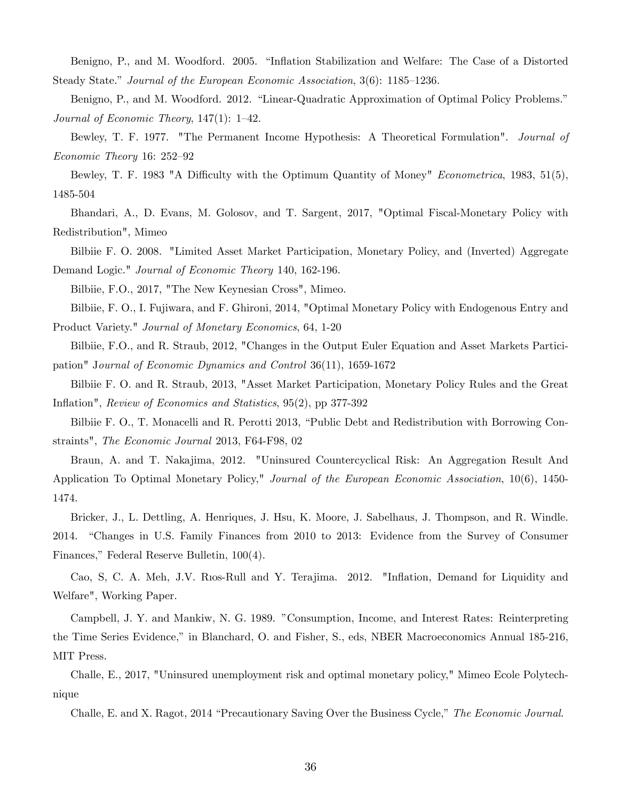Benigno, P., and M. Woodford. 2005. "Inflation Stabilization and Welfare: The Case of a Distorted Steady State." Journal of the European Economic Association,  $3(6)$ : 1185–1236.

Benigno, P., and M. Woodford. 2012. "Linear-Quadratic Approximation of Optimal Policy Problems." Journal of Economic Theory,  $147(1)$ :  $1-42$ .

Bewley, T. F. 1977. "The Permanent Income Hypothesis: A Theoretical Formulation". Journal of  $Economic Theory 16: 252–92$ 

Bewley, T. F. 1983 "A Difficulty with the Optimum Quantity of Money" *Econometrica*, 1983, 51(5), 1485-504

Bhandari, A., D. Evans, M. Golosov, and T. Sargent, 2017, "Optimal Fiscal-Monetary Policy with Redistribution", Mimeo

Bilbiie F. O. 2008. "Limited Asset Market Participation, Monetary Policy, and (Inverted) Aggregate Demand Logic." Journal of Economic Theory 140, 162-196.

Bilbiie, F.O., 2017, "The New Keynesian Cross", Mimeo.

Bilbiie, F. O., I. Fujiwara, and F. Ghironi, 2014, "Optimal Monetary Policy with Endogenous Entry and Product Variety." Journal of Monetary Economics, 64, 1-20

Bilbiie, F.O., and R. Straub, 2012, "Changes in the Output Euler Equation and Asset Markets Participation" Journal of Economic Dynamics and Control 36(11), 1659-1672

Bilbiie F. O. and R. Straub, 2013, "Asset Market Participation, Monetary Policy Rules and the Great Inflation", Review of Economics and Statistics, 95(2), pp 377-392

Bilbiie F. O., T. Monacelli and R. Perotti 2013, "Public Debt and Redistribution with Borrowing Constraints", The Economic Journal 2013, F64-F98, 02

Braun, A. and T. Nakajima, 2012. "Uninsured Countercyclical Risk: An Aggregation Result And Application To Optimal Monetary Policy," Journal of the European Economic Association, 10(6), 1450- 1474.

Bricker, J., L. Dettling, A. Henriques, J. Hsu, K. Moore, J. Sabelhaus, J. Thompson, and R. Windle. 2014. "Changes in U.S. Family Finances from 2010 to 2013: Evidence from the Survey of Consumer Finances," Federal Reserve Bulletin,  $100(4)$ .

Cao, S, C. A. Meh, J.V. Rios-Rull and Y. Terajima. 2012. "Inflation, Demand for Liquidity and Welfare", Working Paper.

Campbell, J. Y. and Mankiw, N. G. 1989. "Consumption, Income, and Interest Rates: Reinterpreting the Time Series Evidence," in Blanchard, O. and Fisher, S., eds, NBER Macroeconomics Annual 185-216, MIT Press.

Challe, E., 2017, "Uninsured unemployment risk and optimal monetary policy," Mimeo Ecole Polytechnique

Challe, E. and X. Ragot, 2014 "Precautionary Saving Over the Business Cycle," The Economic Journal.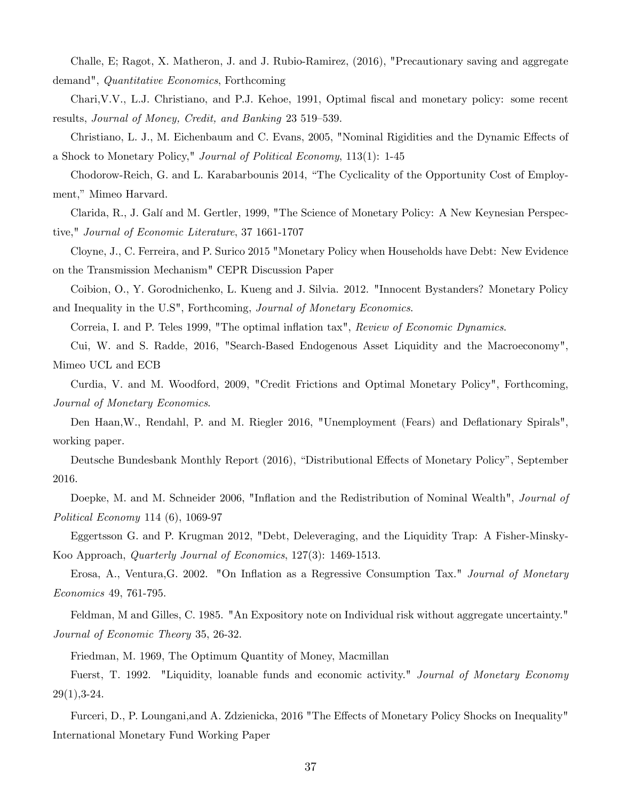Challe, E; Ragot, X. Matheron, J. and J. Rubio-Ramirez, (2016), "Precautionary saving and aggregate demand", Quantitative Economics, Forthcoming

Chari, V.V., L.J. Christiano, and P.J. Kehoe, 1991, Optimal fiscal and monetary policy: some recent results, Journal of Money, Credit, and Banking 23 519–539.

Christiano, L. J., M. Eichenbaum and C. Evans, 2005, "Nominal Rigidities and the Dynamic Effects of a Shock to Monetary Policy," Journal of Political Economy, 113(1): 1-45

Chodorow-Reich, G. and L. Karabarbounis 2014, "The Cyclicality of the Opportunity Cost of Employment," Mimeo Harvard.

Clarida, R., J. Galí and M. Gertler, 1999, "The Science of Monetary Policy: A New Keynesian Perspective," Journal of Economic Literature, 37 1661-1707

Cloyne, J., C. Ferreira, and P. Surico 2015 "Monetary Policy when Households have Debt: New Evidence on the Transmission Mechanism" CEPR Discussion Paper

Coibion, O., Y. Gorodnichenko, L. Kueng and J. Silvia. 2012. "Innocent Bystanders? Monetary Policy and Inequality in the U.S", Forthcoming, Journal of Monetary Economics.

Correia, I. and P. Teles 1999, "The optimal inflation tax", Review of Economic Dynamics.

Cui, W. and S. Radde, 2016, "Search-Based Endogenous Asset Liquidity and the Macroeconomy", Mimeo UCL and ECB

Curdia, V. and M. Woodford, 2009, "Credit Frictions and Optimal Monetary Policy", Forthcoming, Journal of Monetary Economics.

Den Haan, W., Rendahl, P. and M. Riegler 2016, "Unemployment (Fears) and Deflationary Spirals", working paper.

Deutsche Bundesbank Monthly Report (2016), "Distributional Effects of Monetary Policy", September 2016.

Doepke, M. and M. Schneider 2006, "Inflation and the Redistribution of Nominal Wealth", *Journal of* Political Economy 114 (6), 1069-97

Eggertsson G. and P. Krugman 2012, "Debt, Deleveraging, and the Liquidity Trap: A Fisher-Minsky-Koo Approach, Quarterly Journal of Economics, 127(3): 1469-1513.

Erosa, A., Ventura, G. 2002. "On Inflation as a Regressive Consumption Tax." Journal of Monetary Economics 49, 761-795.

Feldman, M and Gilles, C. 1985. "An Expository note on Individual risk without aggregate uncertainty." Journal of Economic Theory 35, 26-32.

Friedman, M. 1969, The Optimum Quantity of Money, Macmillan

Fuerst, T. 1992. "Liquidity, loanable funds and economic activity." Journal of Monetary Economy  $29(1)$ , 3-24.

Furceri, D., P. Loungani, and A. Zdzienicka, 2016 "The Effects of Monetary Policy Shocks on Inequality" International Monetary Fund Working Paper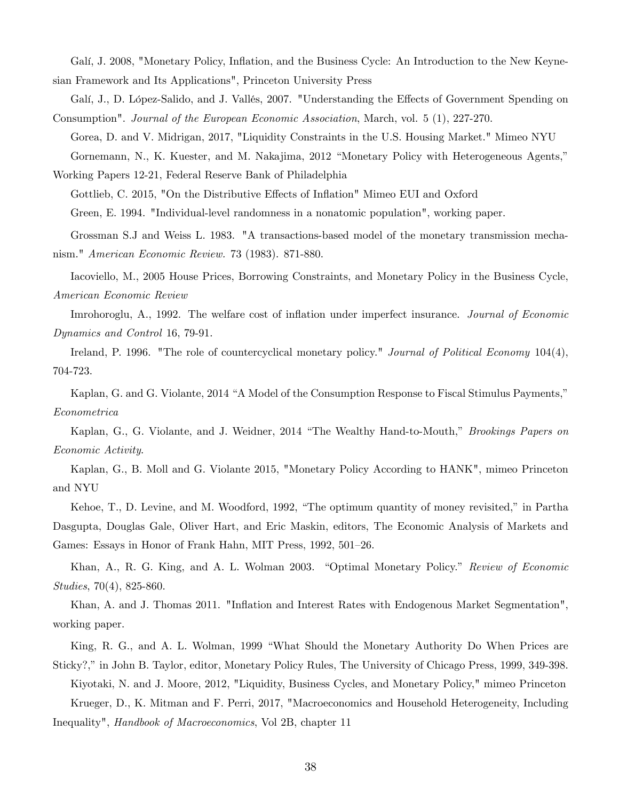Galí, J. 2008, "Monetary Policy, Inflation, and the Business Cycle: An Introduction to the New Keynesian Framework and Its Applications", Princeton University Press

Galí, J., D. López-Salido, and J. Vallés, 2007. "Understanding the Effects of Government Spending on Consumption". Journal of the European Economic Association, March, vol. 5 (1), 227-270.

Gorea, D. and V. Midrigan, 2017, "Liquidity Constraints in the U.S. Housing Market." Mimeo NYU

Gornemann, N., K. Kuester, and M. Nakajima, 2012 "Monetary Policy with Heterogeneous Agents,"

Working Papers 12-21, Federal Reserve Bank of Philadelphia

Gottlieb, C. 2015, "On the Distributive Effects of Inflation" Mimeo EUI and Oxford

Green, E. 1994. "Individual-level randomness in a nonatomic population", working paper.

Grossman S.J and Weiss L. 1983. "A transactions-based model of the monetary transmission mechanism." American Economic Review. 73 (1983). 871-880.

Iacoviello, M., 2005 House Prices, Borrowing Constraints, and Monetary Policy in the Business Cycle, American Economic Review

Imrohoroglu, A., 1992. The welfare cost of inflation under imperfect insurance. *Journal of Economic* Dynamics and Control 16, 79-91.

Ireland, P. 1996. "The role of countercyclical monetary policy." Journal of Political Economy 104(4), 704-723.

Kaplan, G. and G. Violante, 2014 "A Model of the Consumption Response to Fiscal Stimulus Payments," Econometrica

Kaplan, G., G. Violante, and J. Weidner, 2014 "The Wealthy Hand-to-Mouth," Brookings Papers on Economic Activity.

Kaplan, G., B. Moll and G. Violante 2015, "Monetary Policy According to HANK", mimeo Princeton and NYU

Kehoe, T., D. Levine, and M. Woodford, 1992, "The optimum quantity of money revisited," in Partha Dasgupta, Douglas Gale, Oliver Hart, and Eric Maskin, editors, The Economic Analysis of Markets and Games: Essays in Honor of Frank Hahn, MIT Press, 1992, 501-26.

Khan, A., R. G. King, and A. L. Wolman 2003. "Optimal Monetary Policy." Review of Economic Studies, 70(4), 825-860.

Khan, A. and J. Thomas 2011. "Inflation and Interest Rates with Endogenous Market Segmentation", working paper.

King, R. G., and A. L. Wolman, 1999 "What Should the Monetary Authority Do When Prices are Sticky?," in John B. Taylor, editor, Monetary Policy Rules, The University of Chicago Press, 1999, 349-398.

Kiyotaki, N. and J. Moore, 2012, "Liquidity, Business Cycles, and Monetary Policy," mimeo Princeton

Krueger, D., K. Mitman and F. Perri, 2017, "Macroeconomics and Household Heterogeneity, Including Inequality", Handbook of Macroeconomics, Vol 2B, chapter 11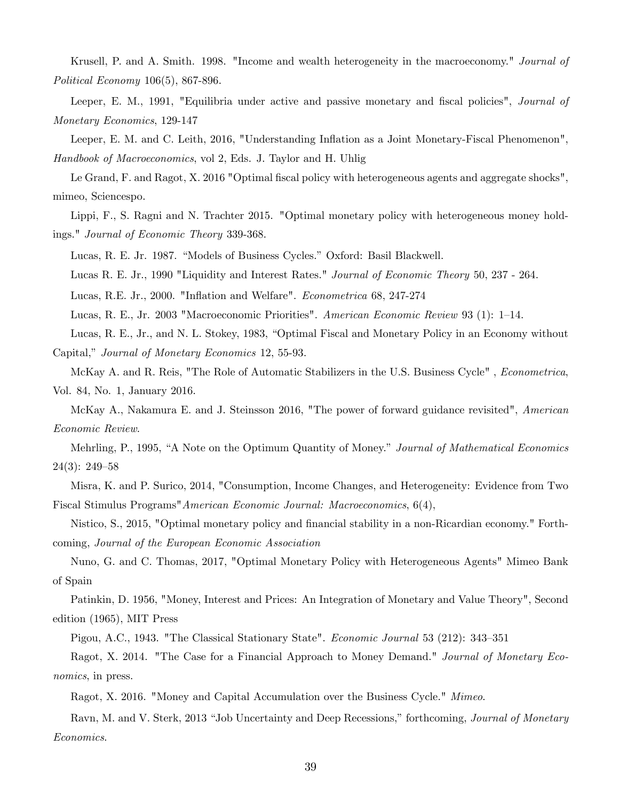Krusell, P. and A. Smith. 1998. "Income and wealth heterogeneity in the macroeconomy." Journal of Political Economy 106(5), 867-896.

Leeper, E. M., 1991, "Equilibria under active and passive monetary and fiscal policies", *Journal of* Monetary Economics, 129-147

Leeper, E. M. and C. Leith, 2016, "Understanding Inflation as a Joint Monetary-Fiscal Phenomenon", Handbook of Macroeconomics, vol 2, Eds. J. Taylor and H. Uhlig

Le Grand, F. and Ragot, X. 2016 "Optimal fiscal policy with heterogeneous agents and aggregate shocks", mimeo, Sciencespo.

Lippi, F., S. Ragni and N. Trachter 2015. "Optimal monetary policy with heterogeneous money holdings." Journal of Economic Theory 339-368.

Lucas, R. E. Jr. 1987. "Models of Business Cycles." Oxford: Basil Blackwell.

Lucas R. E. Jr., 1990 "Liquidity and Interest Rates." Journal of Economic Theory 50, 237 - 264.

Lucas, R.E. Jr., 2000. "Inflation and Welfare". *Econometrica* 68, 247-274

Lucas, R. E., Jr. 2003 "Macroeconomic Priorities". American Economic Review 93 (1): 1–14.

Lucas, R. E., Jr., and N. L. Stokey, 1983, "Optimal Fiscal and Monetary Policy in an Economy without Capital," Journal of Monetary Economics 12, 55-93.

McKay A. and R. Reis, "The Role of Automatic Stabilizers in the U.S. Business Cycle", *Econometrica*, Vol. 84, No. 1, January 2016.

McKay A., Nakamura E. and J. Steinsson 2016, "The power of forward guidance revisited", American Economic Review.

Mehrling, P., 1995, "A Note on the Optimum Quantity of Money." Journal of Mathematical Economics  $24(3): 249-58$ 

Misra, K. and P. Surico, 2014, "Consumption, Income Changes, and Heterogeneity: Evidence from Two Fiscal Stimulus Programs"American Economic Journal: Macroeconomics, 6(4),

Nistico, S., 2015, "Optimal monetary policy and financial stability in a non-Ricardian economy." Forthcoming, Journal of the European Economic Association

Nuno, G. and C. Thomas, 2017, "Optimal Monetary Policy with Heterogeneous Agents" Mimeo Bank of Spain

Patinkin, D. 1956, "Money, Interest and Prices: An Integration of Monetary and Value Theory", Second edition (1965), MIT Press

Pigou, A.C., 1943. "The Classical Stationary State". *Economic Journal* 53 (212): 343–351

Ragot, X. 2014. "The Case for a Financial Approach to Money Demand." Journal of Monetary Economics, in press.

Ragot, X. 2016. "Money and Capital Accumulation over the Business Cycle." Mimeo.

Ravn, M. and V. Sterk, 2013 "Job Uncertainty and Deep Recessions," forthcoming, Journal of Monetary Economics.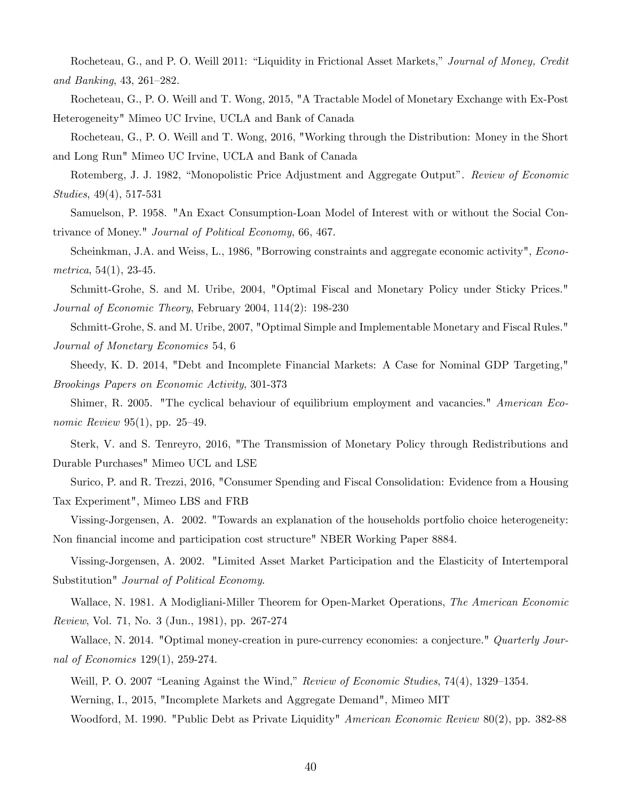Rocheteau, G., and P. O. Weill 2011: "Liquidity in Frictional Asset Markets," Journal of Money, Credit and Banking,  $43, 261-282$ .

Rocheteau, G., P. O. Weill and T. Wong, 2015, "A Tractable Model of Monetary Exchange with Ex-Post Heterogeneity" Mimeo UC Irvine, UCLA and Bank of Canada

Rocheteau, G., P. O. Weill and T. Wong, 2016, "Working through the Distribution: Money in the Short and Long Run" Mimeo UC Irvine, UCLA and Bank of Canada

Rotemberg, J. J. 1982, "Monopolistic Price Adjustment and Aggregate Output". Review of Economic Studies, 49(4), 517-531

Samuelson, P. 1958. "An Exact Consumption-Loan Model of Interest with or without the Social Contrivance of Money." Journal of Political Economy, 66, 467.

Scheinkman, J.A. and Weiss, L., 1986, "Borrowing constraints and aggregate economic activity", *Econo*metrica,  $54(1)$ ,  $23-45$ .

Schmitt-Grohe, S. and M. Uribe, 2004, "Optimal Fiscal and Monetary Policy under Sticky Prices." Journal of Economic Theory, February 2004, 114(2): 198-230

Schmitt-Grohe, S. and M. Uribe, 2007, "Optimal Simple and Implementable Monetary and Fiscal Rules." Journal of Monetary Economics 54, 6

Sheedy, K. D. 2014, "Debt and Incomplete Financial Markets: A Case for Nominal GDP Targeting," Brookings Papers on Economic Activity, 301-373

Shimer, R. 2005. "The cyclical behaviour of equilibrium employment and vacancies." American Eco*nomic Review* 95(1), pp. 25–49.

Sterk, V. and S. Tenreyro, 2016, "The Transmission of Monetary Policy through Redistributions and Durable Purchases" Mimeo UCL and LSE

Surico, P. and R. Trezzi, 2016, "Consumer Spending and Fiscal Consolidation: Evidence from a Housing Tax Experiment", Mimeo LBS and FRB

Vissing-Jorgensen, A. 2002. "Towards an explanation of the households portfolio choice heterogeneity: Non financial income and participation cost structure" NBER Working Paper 8884.

Vissing-Jorgensen, A. 2002. "Limited Asset Market Participation and the Elasticity of Intertemporal Substitution" Journal of Political Economy.

Wallace, N. 1981. A Modigliani-Miller Theorem for Open-Market Operations, *The American Economic* Review, Vol. 71, No. 3 (Jun., 1981), pp. 267-274

Wallace, N. 2014. "Optimal money-creation in pure-currency economies: a conjecture." *Quarterly Jour*nal of Economics 129(1), 259-274.

Weill, P. O. 2007 "Leaning Against the Wind," Review of Economic Studies, 74(4), 1329–1354. Werning, I., 2015, "Incomplete Markets and Aggregate Demand", Mimeo MIT Woodford, M. 1990. "Public Debt as Private Liquidity" American Economic Review 80(2), pp. 382-88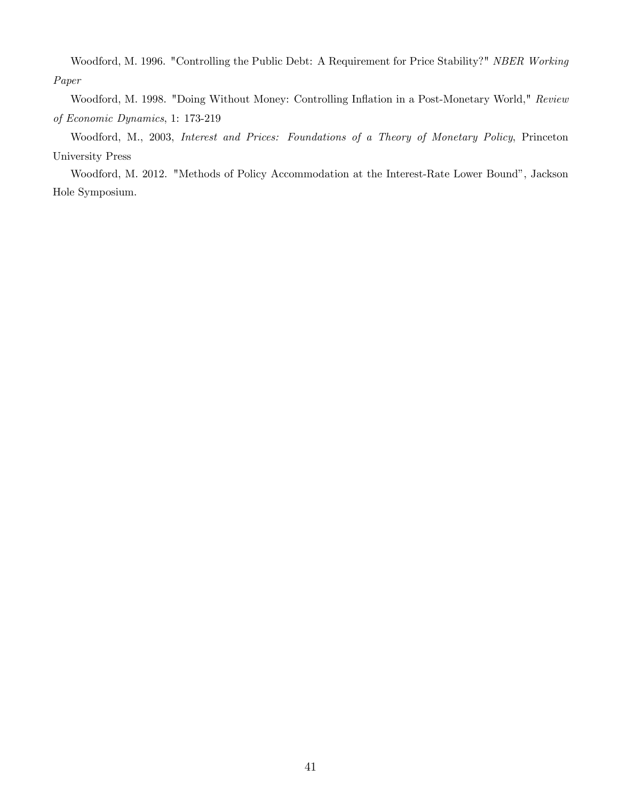Woodford, M. 1996. "Controlling the Public Debt: A Requirement for Price Stability?" NBER Working Paper

Woodford, M. 1998. "Doing Without Money: Controlling Inflation in a Post-Monetary World," Review of Economic Dynamics, 1: 173-219

Woodford, M., 2003, Interest and Prices: Foundations of a Theory of Monetary Policy, Princeton University Press

Woodford, M. 2012. "Methods of Policy Accommodation at the Interest-Rate Lower Bound", Jackson Hole Symposium.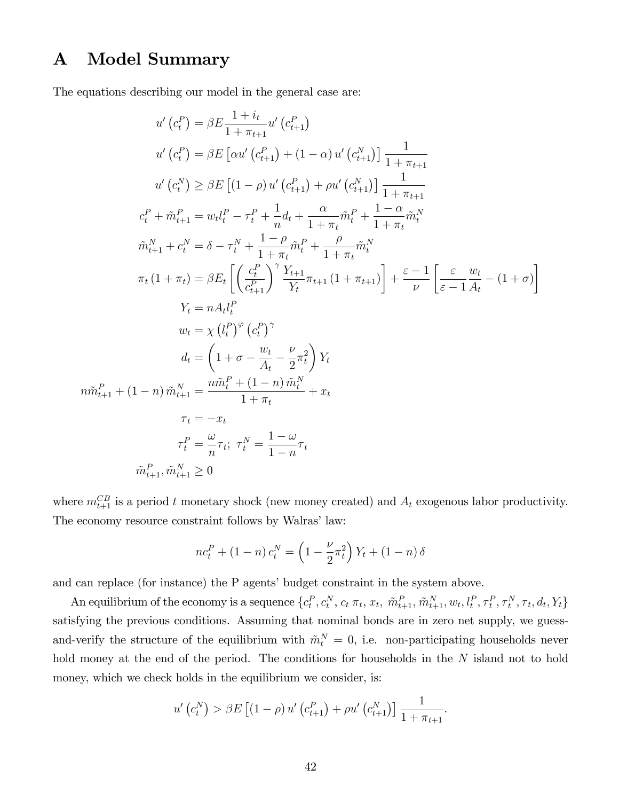# A Model Summary

The equations describing our model in the general case are:

$$
u'(c_t^P) = \beta E \frac{1 + i_t}{1 + \pi_{t+1}} u'(c_{t+1}^P)
$$
  
\n
$$
u'(c_t^P) = \beta E \left[ \alpha u'(c_{t+1}^P) + (1 - \alpha) u'(c_{t+1}^N) \right] \frac{1}{1 + \pi_{t+1}}
$$
  
\n
$$
u'(c_t^N) \ge \beta E \left[ (1 - \rho) u'(c_{t+1}^P) + \rho u'(c_{t+1}^N) \right] \frac{1}{1 + \pi_{t+1}}
$$
  
\n
$$
c_t^P + \tilde{m}_{t+1}^P = w_t l_t^P - \tau_t^P + \frac{1}{n} d_t + \frac{\alpha}{1 + \pi_t} \tilde{m}_t^P + \frac{1 - \alpha}{1 + \pi_t} \tilde{m}_t^N
$$
  
\n
$$
\tilde{m}_{t+1}^N + c_t^N = \delta - \tau_t^N + \frac{1 - \rho}{1 + \pi_t} \tilde{m}_t^P + \frac{\rho}{1 + \pi_t} \tilde{m}_t^N
$$
  
\n
$$
\pi_t (1 + \pi_t) = \beta E_t \left[ \left( \frac{c_t^P}{c_{t+1}^P} \right)^{\gamma} \frac{Y_{t+1}}{Y_t} \pi_{t+1} (1 + \pi_{t+1}) \right] + \frac{\varepsilon - 1}{\nu} \left[ \frac{\varepsilon}{\varepsilon - 1} \frac{w_t}{A_t} - (1 + \sigma) \right]
$$
  
\n
$$
Y_t = n A_t l_t^P
$$
  
\n
$$
w_t = \chi (l_t^P)^{\varphi} (c_t^P)^{\gamma}
$$
  
\n
$$
d_t = \left( 1 + \sigma - \frac{w_t}{A_t} - \frac{\nu}{2} \pi_t^2 \right) Y_t
$$
  
\n
$$
n\tilde{m}_{t+1}^P + (1 - n) \tilde{m}_{t+1}^N = \frac{n\tilde{m}_t^P + (1 - n) \tilde{m}_t^N}{1 + \pi_t} + x_t
$$
  
\n
$$
\tau_t = -x_t
$$
  
\n
$$
\tau_t^P = \frac{\omega}{n} \tau_t; \ \tau_t^N = \frac{1 - \omega}{1 - n} \tau_t
$$

where  $m_{t+1}^{CB}$  is a period t monetary shock (new money created) and  $A_t$  exogenous labor productivity. The economy resource constraint follows by Walras' law:

$$
nc_t^P + (1 - n)c_t^N = \left(1 - \frac{\nu}{2}\pi_t^2\right)Y_t + (1 - n)\delta
$$

and can replace (for instance) the P agents' budget constraint in the system above.

An equilibrium of the economy is a sequence  $\{c_t^P, c_t^N, c_t \pi_t, x_t, \tilde{m}_{t+1}^P, \tilde{m}_{t+1}^N, w_t, l_t^P, \tau_t^P, \tau_t^N, \tau_t, d_t, Y_t\}$ satisfying the previous conditions. Assuming that nominal bonds are in zero net supply, we guessand-verify the structure of the equilibrium with  $\tilde{m}_{t}^{N} = 0$ , i.e. non-participating households never hold money at the end of the period. The conditions for households in the N island not to hold money, which we check holds in the equilibrium we consider, is:

$$
u'\left(c_t^N\right) > \beta E\left[\left(1-\rho\right)u'\left(c_{t+1}^P\right) + \rho u'\left(c_{t+1}^N\right)\right] \frac{1}{1+\pi_{t+1}}.
$$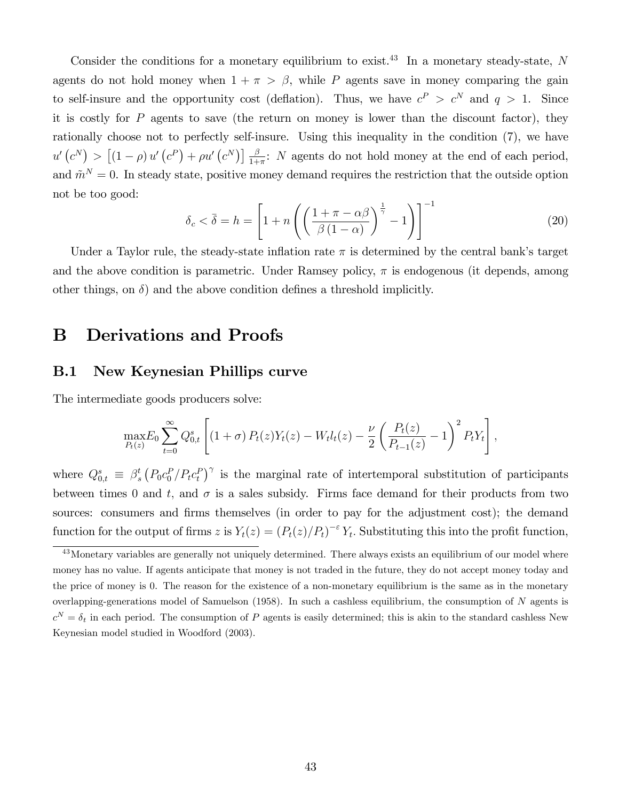Consider the conditions for a monetary equilibrium to exist.<sup>43</sup> In a monetary steady-state, N agents do not hold money when  $1 + \pi > \beta$ , while P agents save in money comparing the gain to self-insure and the opportunity cost (deflation). Thus, we have  $c^P > c^N$  and  $q > 1$ . Since it is costly for  $P$  agents to save (the return on money is lower than the discount factor), they rationally choose not to perfectly self-insure. Using this inequality in the condition (7), we have  $u'(c^N) > [(1-\rho) u'(c^P) + \rho u'(c^N)] \frac{\beta}{1+\pi}$ : N agents do not hold money at the end of each period, and  $\tilde{m}^N = 0$ . In steady state, positive money demand requires the restriction that the outside option not be too good:

$$
\delta_c < \bar{\delta} = h = \left[ 1 + n \left( \left( \frac{1 + \pi - \alpha \beta}{\beta \left( 1 - \alpha \right)} \right)^{\frac{1}{\gamma}} - 1 \right) \right]^{-1} \tag{20}
$$

Under a Taylor rule, the steady-state inflation rate  $\pi$  is determined by the central bank's target and the above condition is parametric. Under Ramsey policy,  $\pi$  is endogenous (it depends, among other things, on  $\delta$ ) and the above condition defines a threshold implicitly.

# B Derivations and Proofs

#### B.1 New Keynesian Phillips curve

The intermediate goods producers solve:

$$
\max_{P_t(z)} E_0 \sum_{t=0}^{\infty} Q_{0,t}^s \left[ (1+\sigma) P_t(z) Y_t(z) - W_t l_t(z) - \frac{\nu}{2} \left( \frac{P_t(z)}{P_{t-1}(z)} - 1 \right)^2 P_t Y_t \right],
$$

where  $Q_{0,t}^s \equiv \beta_s^t$  $\frac{t}{s} \left( P_0 c_0^P / P_t c_t^P \right)^{\gamma}$  is the marginal rate of intertemporal substitution of participants between times 0 and t, and  $\sigma$  is a sales subsidy. Firms face demand for their products from two sources: consumers and firms themselves (in order to pay for the adjustment cost); the demand function for the output of firms z is  $Y_t(z) = (P_t(z)/P_t)^{-\varepsilon} Y_t$ . Substituting this into the profit function,

<sup>&</sup>lt;sup>43</sup>Monetary variables are generally not uniquely determined. There always exists an equilibrium of our model where money has no value. If agents anticipate that money is not traded in the future, they do not accept money today and the price of money is 0. The reason for the existence of a non-monetary equilibrium is the same as in the monetary overlapping-generations model of Samuelson  $(1958)$ . In such a cashless equilibrium, the consumption of N agents is  $c^N = \delta_t$  in each period. The consumption of P agents is easily determined; this is akin to the standard cashless New Keynesian model studied in Woodford (2003).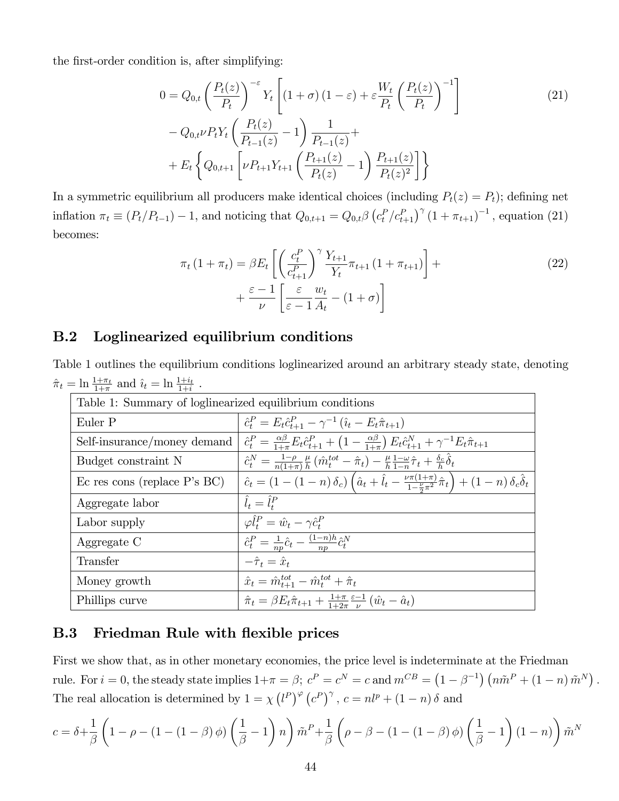the first-order condition is, after simplifying:

$$
0 = Q_{0,t} \left( \frac{P_t(z)}{P_t} \right)^{-\varepsilon} Y_t \left[ (1 + \sigma) (1 - \varepsilon) + \varepsilon \frac{W_t}{P_t} \left( \frac{P_t(z)}{P_t} \right)^{-1} \right]
$$
  
-  $Q_{0,t} \nu P_t Y_t \left( \frac{P_t(z)}{P_{t-1}(z)} - 1 \right) \frac{1}{P_{t-1}(z)} +$   
+  $E_t \left\{ Q_{0,t+1} \left[ \nu P_{t+1} Y_{t+1} \left( \frac{P_{t+1}(z)}{P_t(z)} - 1 \right) \frac{P_{t+1}(z)}{P_t(z)^2} \right] \right\}$  (21)

In a symmetric equilibrium all producers make identical choices (including  $P_t(z) = P_t$ ); defining net inflation  $\pi_t \equiv (P_t/P_{t-1}) - 1$ , and noticing that  $Q_{0,t+1} = Q_{0,t} \beta \left( c_t^P / c_{t+1}^P \right)^\gamma (1 + \pi_{t+1})^{-1}$ , equation (21) becomes:

$$
\pi_t (1 + \pi_t) = \beta E_t \left[ \left( \frac{c_t^P}{c_{t+1}^P} \right)^{\gamma} \frac{Y_{t+1}}{Y_t} \pi_{t+1} (1 + \pi_{t+1}) \right] + \frac{\varepsilon - 1}{\nu} \left[ \frac{\varepsilon}{\varepsilon - 1} \frac{w_t}{A_t} - (1 + \sigma) \right]
$$
\n(22)

### B.2 Loglinearized equilibrium conditions

| $t = \ln \frac{1 - \alpha}{1 + \pi}$ and $t_t = \ln \frac{1 - \alpha}{1 + i}$ |                                                                                                                                                                                                                         |  |  |  |  |
|-------------------------------------------------------------------------------|-------------------------------------------------------------------------------------------------------------------------------------------------------------------------------------------------------------------------|--|--|--|--|
| Table 1: Summary of loglinearized equilibrium conditions                      |                                                                                                                                                                                                                         |  |  |  |  |
| Euler P                                                                       | $\hat{c}_t^P = E_t \hat{c}_{t+1}^P - \gamma^{-1} (\hat{i}_t - E_t \hat{\pi}_{t+1})$                                                                                                                                     |  |  |  |  |
| Self-insurance/money demand                                                   | $\hat{c}_t^P = \frac{\alpha \beta}{1+\pi} E_t \hat{c}_{t+1}^P + \left(1 - \frac{\alpha \beta}{1+\pi}\right) E_t \hat{c}_{t+1}^N + \gamma^{-1} E_t \hat{\pi}_{t+1}$                                                      |  |  |  |  |
| Budget constraint N                                                           | $\hat{c}_t^N = \frac{1-\rho}{n(1+\pi)} \frac{\mu}{h} \left( \hat{m}_t^{tot} - \hat{\pi}_t \right) - \frac{\mu}{h} \frac{1-\omega}{1-n} \hat{\tau}_t + \frac{\delta_c}{h} \hat{\delta}_t$                                |  |  |  |  |
| $\rm Ec$ res cons (replace P's $\rm BC$ )                                     | $\boxed{\hat{c}_t = \left(1 - \left(1 - n\right)\delta_c\right)\left(\hat{a}_t + \hat{l}_t - \frac{\nu\pi\left(1 + \pi\right)}{1 - \frac{\nu}{\pi}\pi^2}\hat{\pi}_t\right) + \left(1 - n\right)\delta_c\hat{\delta}_t}$ |  |  |  |  |
| Aggregate labor                                                               | $\hat{l}_t = \hat{l}_t^P$                                                                                                                                                                                               |  |  |  |  |
| Labor supply                                                                  | $\varphi \hat{l}_{t}^{P} = \hat{w}_{t} - \gamma \hat{c}_{t}^{P}$                                                                                                                                                        |  |  |  |  |
| Aggregate C                                                                   | $\hat{c}_t^P = \frac{1}{nn}\hat{c}_t - \frac{(1-n)h}{nn}\hat{c}_t^N$                                                                                                                                                    |  |  |  |  |
| Transfer                                                                      | $-\hat{\tau}_t = \hat{x}_t$                                                                                                                                                                                             |  |  |  |  |
| Money growth                                                                  | $\hat{x}_t = \hat{m}_{t+1}^{tot} - \hat{m}_t^{tot} + \hat{\pi}_t$                                                                                                                                                       |  |  |  |  |
| Phillips curve                                                                | $\hat{\pi}_t = \beta E_t \hat{\pi}_{t+1} + \frac{1+\pi}{1+2\pi} \frac{\varepsilon-1}{\nu} (\hat{w}_t - \hat{a}_t)$                                                                                                      |  |  |  |  |

| Table 1 outlines the equilibrium conditions loglinearized around an arbitrary steady state, denoting |  |  |  |  |
|------------------------------------------------------------------------------------------------------|--|--|--|--|
| $\hat{\pi}_t = \ln \frac{1 + \pi_t}{1 + \pi}$ and $\hat{i}_t = \ln \frac{1 + i_t}{1 + i}$ .          |  |  |  |  |

## B.3 Friedman Rule with flexible prices

First we show that, as in other monetary economies, the price level is indeterminate at the Friedman rule. For  $i = 0$ , the steady state implies  $1 + \pi = \beta$ ;  $c^P = c^N = c$  and  $m^{CB} = (1 - \beta^{-1}) (n\tilde{m}^P + (1 - n)\tilde{m}^N)$ . The real allocation is determined by  $1 = \chi (l^P)^{\varphi} (c^P)^{\gamma}$ ,  $c = nl^p + (1 - n)\delta$  and

$$
c = \delta + \frac{1}{\beta} \left( 1 - \rho - (1 - (1 - \beta) \phi) \left( \frac{1}{\beta} - 1 \right) n \right) \tilde{m}^P + \frac{1}{\beta} \left( \rho - \beta - (1 - (1 - \beta) \phi) \left( \frac{1}{\beta} - 1 \right) (1 - n) \right) \tilde{m}^N
$$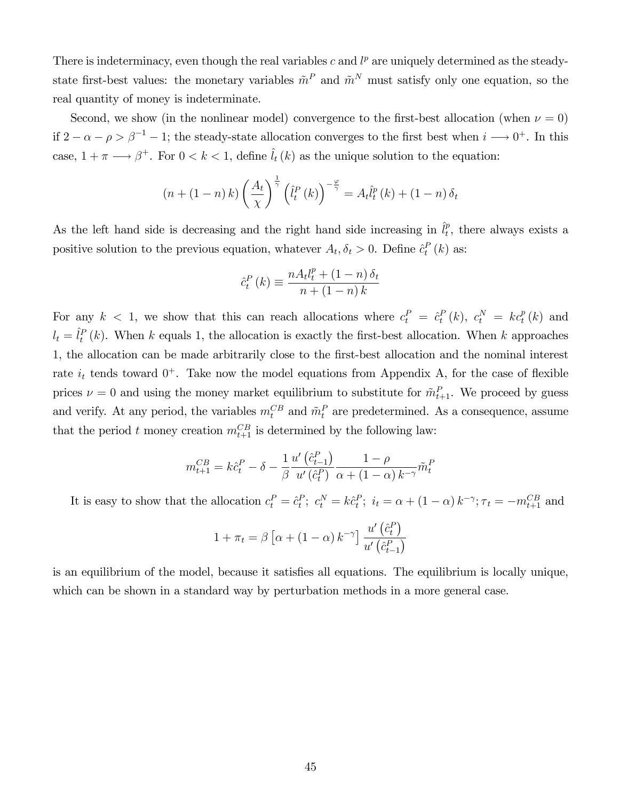There is indeterminacy, even though the real variables  $c$  and  $l^p$  are uniquely determined as the steadystate first-best values: the monetary variables  $\tilde{m}^P$  and  $\tilde{m}^N$  must satisfy only one equation, so the real quantity of money is indeterminate.

Second, we show (in the nonlinear model) convergence to the first-best allocation (when  $\nu = 0$ ) if  $2 - \alpha - \rho > \beta^{-1} - 1$ ; the steady-state allocation converges to the first best when  $i \rightarrow 0^+$ . In this case,  $1 + \pi \longrightarrow \beta^+$ . For  $0 < k < 1$ , define  $\hat{l}_t(k)$  as the unique solution to the equation:

$$
(n + (1 - n) k) \left(\frac{A_t}{\chi}\right)^{\frac{1}{\gamma}} \left(\hat{l}_t^P(k)\right)^{-\frac{\varphi}{\gamma}} = A_t \hat{l}_t^P(k) + (1 - n) \delta_t
$$

As the left hand side is decreasing and the right hand side increasing in  $\hat{l}^p_t$  $t<sup>p</sup>$ , there always exists a positive solution to the previous equation, whatever  $A_t, \delta_t > 0$ . Define  $\hat{c}_t^P(k)$  as:

$$
\hat{c}_t^P(k) \equiv \frac{n A_t l_t^P + (1 - n) \,\delta_t}{n + (1 - n) \,k}
$$

For any  $k < 1$ , we show that this can reach allocations where  $c_t^P = \hat{c}_t^P(k)$ ,  $c_t^N = k c_t^P(k)$  and  $l_t = \hat{l}_t^P(k)$ . When k equals 1, the allocation is exactly the first-best allocation. When k approaches 1, the allocation can be made arbitrarily close to the first-best allocation and the nominal interest rate  $i_t$  tends toward  $0^+$ . Take now the model equations from Appendix A, for the case of flexible prices  $\nu = 0$  and using the money market equilibrium to substitute for  $\tilde{m}_{t+1}^P$ . We proceed by guess and verify. At any period, the variables  $m_t^{CB}$  and  $\tilde{m}_t^P$  are predetermined. As a consequence, assume that the period t money creation  $m_{t+1}^{CB}$  is determined by the following law:

$$
m_{t+1}^{CB} = k\hat{c}_t^P - \delta - \frac{1}{\beta} \frac{u'\left(\hat{c}_{t-1}^P\right)}{u'\left(\hat{c}_t^P\right)} \frac{1-\rho}{\alpha + (1-\alpha) k^{-\gamma}} \tilde{m}_t^P
$$

It is easy to show that the allocation  $c_t^P = \hat{c}_t^P$ ;  $c_t^N = k\hat{c}_t^P$ ;  $i_t = \alpha + (1 - \alpha) k^{-\gamma}$ ;  $\tau_t = -m_{t+1}^{CB}$  and

$$
1 + \pi_t = \beta \left[ \alpha + (1 - \alpha) k^{-\gamma} \right] \frac{u' \left( \hat{c}_t^P \right)}{u' \left( \hat{c}_{t-1}^P \right)}
$$

is an equilibrium of the model, because it satisfies all equations. The equilibrium is locally unique, which can be shown in a standard way by perturbation methods in a more general case.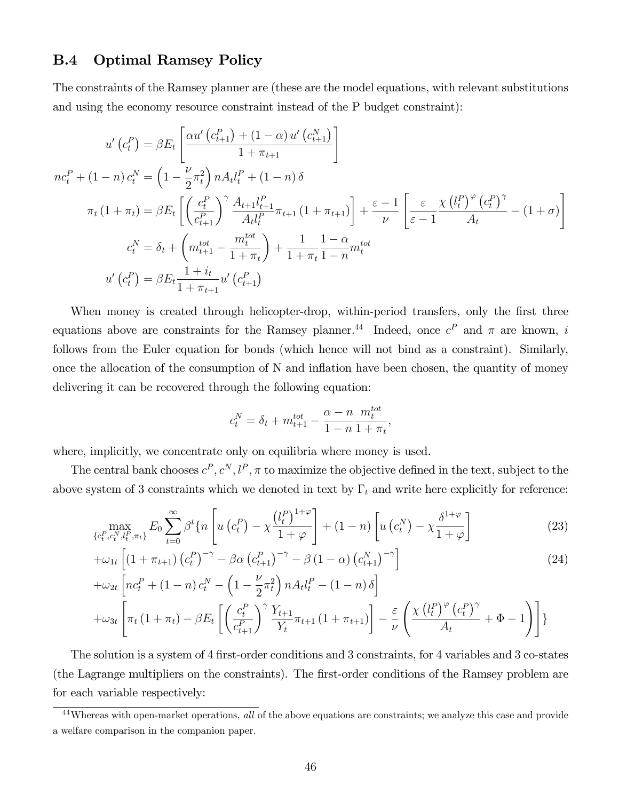### B.4 Optimal Ramsey Policy

The constraints of the Ramsey planner are (these are the model equations, with relevant substitutions and using the economy resource constraint instead of the P budget constraint):

$$
u'(c_t^P) = \beta E_t \left[ \frac{\alpha u'(c_{t+1}^P) + (1 - \alpha) u'(c_{t+1}^N)}{1 + \pi_{t+1}} \right]
$$
  
\n
$$
nc_t^P + (1 - n) c_t^N = \left( 1 - \frac{\nu}{2} \pi_t^2 \right) n A_t l_t^P + (1 - n) \delta
$$
  
\n
$$
\pi_t (1 + \pi_t) = \beta E_t \left[ \left( \frac{c_t^P}{c_{t+1}^P} \right)^{\gamma} \frac{A_{t+1} l_{t+1}^P}{A_t l_t^P} \pi_{t+1} (1 + \pi_{t+1}) \right] + \frac{\varepsilon - 1}{\nu} \left[ \frac{\varepsilon}{\varepsilon - 1} \frac{\chi(l_t^P)^{\varphi}(c_t^P)^{\gamma}}{A_t} - (1 + \sigma) \right]
$$
  
\n
$$
c_t^N = \delta_t + \left( m_{t+1}^{tot} - \frac{m_t^{tot}}{1 + \pi_t} \right) + \frac{1}{1 + \pi_t} \frac{1 - \alpha}{1 - n} m_t^{tot}
$$
  
\n
$$
u'(c_t^P) = \beta E_t \frac{1 + i_t}{1 + \pi_{t+1}} u'(c_{t+1}^P)
$$

When money is created through helicopter-drop, within-period transfers, only the first three equations above are constraints for the Ramsey planner.<sup>44</sup> Indeed, once  $c^P$  and  $\pi$  are known, i follows from the Euler equation for bonds (which hence will not bind as a constraint). Similarly, once the allocation of the consumption of  $N$  and inflation have been chosen, the quantity of money delivering it can be recovered through the following equation:

$$
c_t^N = \delta_t + m_{t+1}^{tot} - \frac{\alpha - n}{1 - n} \frac{m_t^{tot}}{1 + \pi_t},
$$

where, implicitly, we concentrate only on equilibria where money is used.

The central bank chooses  $c^P$ ,  $c^N$ ,  $l^P$ ,  $\pi$  to maximize the objective defined in the text, subject to the above system of 3 constraints which we denoted in text by  $\Gamma_t$  and write here explicitly for reference:

$$
\max_{\{c_t^P, c_t^N, l_t^P, \pi_t\}} E_0 \sum_{t=0}^{\infty} \beta^t \{ n \left[ u\left(c_t^P\right) - \chi \frac{\left(l_t^P\right)^{1+\varphi}}{1+\varphi} \right] + (1-n) \left[ u\left(c_t^N\right) - \chi \frac{\delta^{1+\varphi}}{1+\varphi} \right] \tag{23}
$$

$$
+\omega_{1t}\left[\left(1+\pi_{t+1}\right)\left(c_{t}^{P}\right)^{-\gamma}-\beta\alpha\left(c_{t+1}^{P}\right)^{-\gamma}-\beta\left(1-\alpha\right)\left(c_{t+1}^{N}\right)^{-\gamma}\right]
$$
\n
$$
+\omega_{1t}\left[\left(c_{t}^{P}+(1-n)\right)c_{t}^{N}\left(1-\frac{\nu}{\pi^{2}}\right)\left(c_{t}^{P}+(1-n)\right)\delta\right]
$$
\n
$$
(24)
$$

$$
+\omega_{2t}\left[nc_t^P + (1-n)c_t^N - \left(1 - \frac{\nu}{2}\pi_t^2\right)nA_t l_t^P - (1-n)\delta\right] +\omega_{3t}\left[\pi_t\left(1 + \pi_t\right) - \beta E_t\left[\left(\frac{c_t^P}{c_{t+1}^P}\right)^{\gamma}\frac{Y_{t+1}}{Y_t}\pi_{t+1}\left(1 + \pi_{t+1}\right)\right] - \frac{\varepsilon}{\nu}\left(\frac{\chi\left(l_t^P\right)^{\varphi}\left(c_t^P\right)^{\gamma}}{A_t} + \Phi - 1\right)\right]\right\}
$$

The solution is a system of 4 first-order conditions and 3 constraints, for 4 variables and 3 co-states (the Lagrange multipliers on the constraints). The first-order conditions of the Ramsey problem are for each variable respectively:

 $44$ Whereas with open-market operations, all of the above equations are constraints; we analyze this case and provide a welfare comparison in the companion paper.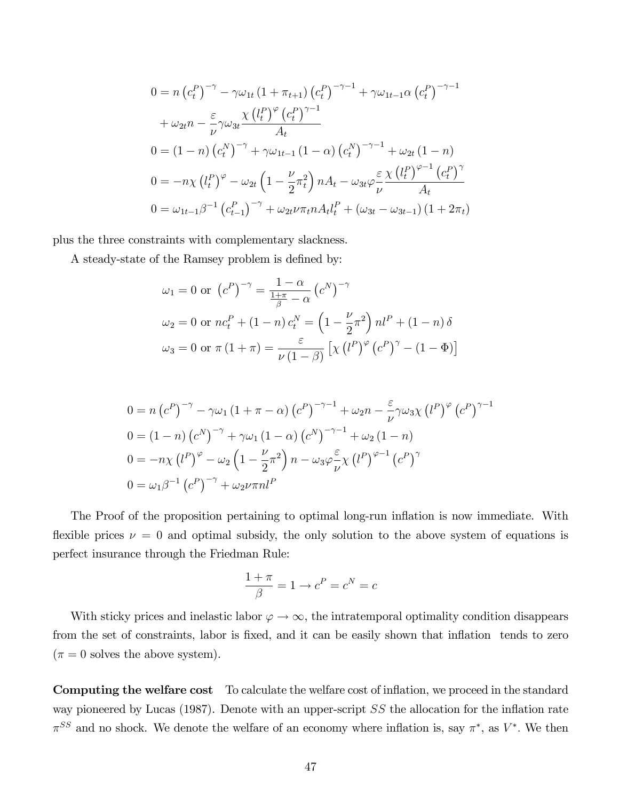$$
0 = n (c_t^P)^{-\gamma} - \gamma \omega_{1t} (1 + \pi_{t+1}) (c_t^P)^{-\gamma - 1} + \gamma \omega_{1t-1} \alpha (c_t^P)^{-\gamma - 1}
$$
  
+  $\omega_{2t} n - \frac{\varepsilon}{\nu} \gamma \omega_{3t} \frac{\chi (l_t^P)^{\varphi} (c_t^P)^{\gamma - 1}}{A_t}$   

$$
0 = (1 - n) (c_t^N)^{-\gamma} + \gamma \omega_{1t-1} (1 - \alpha) (c_t^N)^{-\gamma - 1} + \omega_{2t} (1 - n)
$$
  

$$
0 = -n\chi (l_t^P)^{\varphi} - \omega_{2t} (1 - \frac{\nu}{2} \pi_t^2) n A_t - \omega_{3t} \varphi \frac{\varepsilon}{\nu} \frac{\chi (l_t^P)^{\varphi - 1} (c_t^P)^{\gamma}}{A_t}
$$
  

$$
0 = \omega_{1t-1} \beta^{-1} (c_{t-1}^P)^{-\gamma} + \omega_{2t} \nu \pi_t n A_t l_t^P + (\omega_{3t} - \omega_{3t-1}) (1 + 2\pi_t)
$$

plus the three constraints with complementary slackness.

A steady-state of the Ramsey problem is defined by:

$$
\omega_1 = 0 \text{ or } (c^P)^{-\gamma} = \frac{1 - \alpha}{\frac{1 + \pi}{\beta} - \alpha} (c^N)^{-\gamma}
$$

$$
\omega_2 = 0 \text{ or } nc_t^P + (1 - n) c_t^N = \left(1 - \frac{\nu}{2} \pi^2\right) n l^P + (1 - n) \delta
$$

$$
\omega_3 = 0 \text{ or } \pi (1 + \pi) = \frac{\varepsilon}{\nu (1 - \beta)} \left[\chi (l^P)^{\varphi} (c^P)^{\gamma} - (1 - \Phi)\right]
$$

$$
0 = n (cP)-γ – γω1 (1 + π – α) (cP)-γ-1 + ω2n –  $\frac{\varepsilon}{\nu}$ γω<sub>3</sub>χ (l<sup>P</sup>)<sup>φ</sup> (c<sup>P</sup>)<sup>γ-1</sup>  
\n0 = (1 – n) (c<sup>N</sup>)<sup>-γ</sup> + γω<sub>1</sub> (1 – α) (c<sup>N</sup>)<sup>-γ-1</sup> + ω<sub>2</sub> (1 – n)  
\n0 = –nχ (l<sup>P</sup>)<sup>φ</sup> – ω<sub>2</sub> (1 –  $\frac{\nu}{2}$ π<sup>2</sup>) n – ω<sub>3</sub>φ $\frac{\varepsilon}{\nu}$ χ (l<sup>P</sup>)<sup>φ-1</sup> (c<sup>P</sup>)<sup>γ</sup>  
\n0 = ω<sub>1</sub>β<sup>-1</sup> (c<sup>P</sup>)<sup>-γ</sup> + ω<sub>2</sub>νπnl<sup>P</sup>
$$

The Proof of the proposition pertaining to optimal long-run inflation is now immediate. With flexible prices  $\nu = 0$  and optimal subsidy, the only solution to the above system of equations is perfect insurance through the Friedman Rule:

$$
\frac{1+\pi}{\beta} = 1 \to c^P = c^N = c
$$

With sticky prices and inelastic labor  $\varphi \to \infty$ , the intratemporal optimality condition disappears from the set of constraints, labor is fixed, and it can be easily shown that inflation tends to zero  $(\pi = 0$  solves the above system).

**Computing the welfare cost** To calculate the welfare cost of inflation, we proceed in the standard way pioneered by Lucas  $(1987)$ . Denote with an upper-script SS the allocation for the inflation rate  $\pi^{SS}$  and no shock. We denote the welfare of an economy where inflation is, say  $\pi^*$ , as  $V^*$ . We then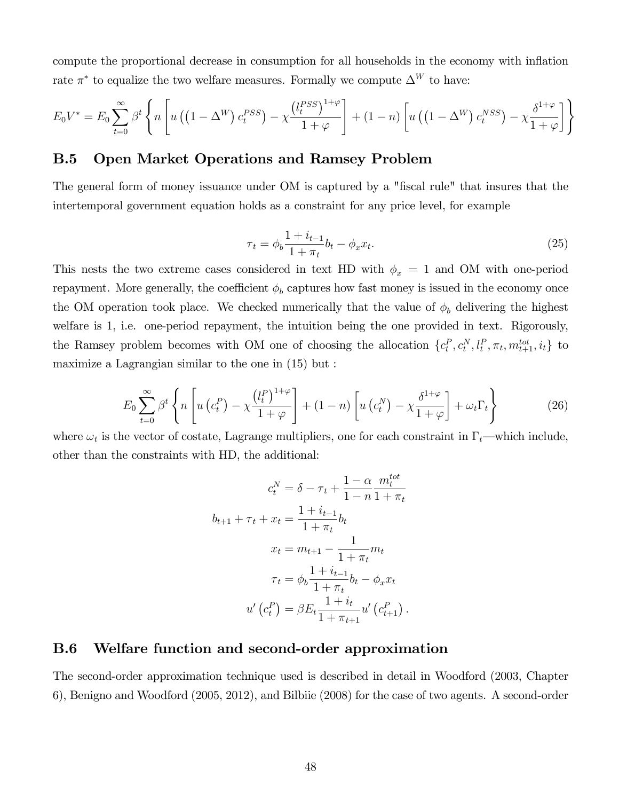compute the proportional decrease in consumption for all households in the economy with inflation rate  $\pi^*$  to equalize the two welfare measures. Formally we compute  $\Delta^W$  to have:

$$
E_0 V^* = E_0 \sum_{t=0}^{\infty} \beta^t \left\{ n \left[ u \left( \left( 1 - \Delta^W \right) c_t^{PSS} \right) - \chi \frac{\left( l_t^{PSS} \right)^{1+\varphi}}{1+\varphi} \right] + (1-n) \left[ u \left( \left( 1 - \Delta^W \right) c_t^{NSS} \right) - \chi \frac{\delta^{1+\varphi}}{1+\varphi} \right] \right\}
$$

#### B.5 Open Market Operations and Ramsey Problem

The general form of money issuance under OM is captured by a "fiscal rule" that insures that the intertemporal government equation holds as a constraint for any price level, for example

$$
\tau_t = \phi_b \frac{1 + i_{t-1}}{1 + \pi_t} b_t - \phi_x x_t.
$$
\n(25)

This nests the two extreme cases considered in text HD with  $\phi_x = 1$  and OM with one-period repayment. More generally, the coefficient  $\phi_b$  captures how fast money is issued in the economy once the OM operation took place. We checked numerically that the value of  $\phi_b$  delivering the highest welfare is 1, i.e. one-period repayment, the intuition being the one provided in text. Rigorously, the Ramsey problem becomes with OM one of choosing the allocation  $\{c_t^P, c_t^N, l_t^P, \pi_t, m_{t+1}^{tot}, i_t\}$  to maximize a Lagrangian similar to the one in (15) but :

$$
E_0 \sum_{t=0}^{\infty} \beta^t \left\{ n \left[ u \left( c_t^P \right) - \chi \frac{\left( l_t^P \right)^{1+\varphi}}{1+\varphi} \right] + (1-n) \left[ u \left( c_t^N \right) - \chi \frac{\delta^{1+\varphi}}{1+\varphi} \right] + \omega_t \Gamma_t \right\}
$$
(26)

where  $\omega_t$  is the vector of costate, Lagrange multipliers, one for each constraint in  $\Gamma_t$ —which include, other than the constraints with HD, the additional:

$$
c_t^N = \delta - \tau_t + \frac{1 - \alpha}{1 - n} \frac{m_t^{tot}}{1 + \pi_t}
$$
  

$$
b_{t+1} + \tau_t + x_t = \frac{1 + i_{t-1}}{1 + \pi_t} b_t
$$
  

$$
x_t = m_{t+1} - \frac{1}{1 + \pi_t} m_t
$$
  

$$
\tau_t = \phi_b \frac{1 + i_{t-1}}{1 + \pi_t} b_t - \phi_x x_t
$$
  

$$
u' (c_t^P) = \beta E_t \frac{1 + i_t}{1 + \pi_{t+1}} u' (c_{t+1}^P).
$$

#### B.6 Welfare function and second-order approximation

The second-order approximation technique used is described in detail in Woodford (2003, Chapter 6), Benigno and Woodford (2005, 2012), and Bilbiie (2008) for the case of two agents. A second-order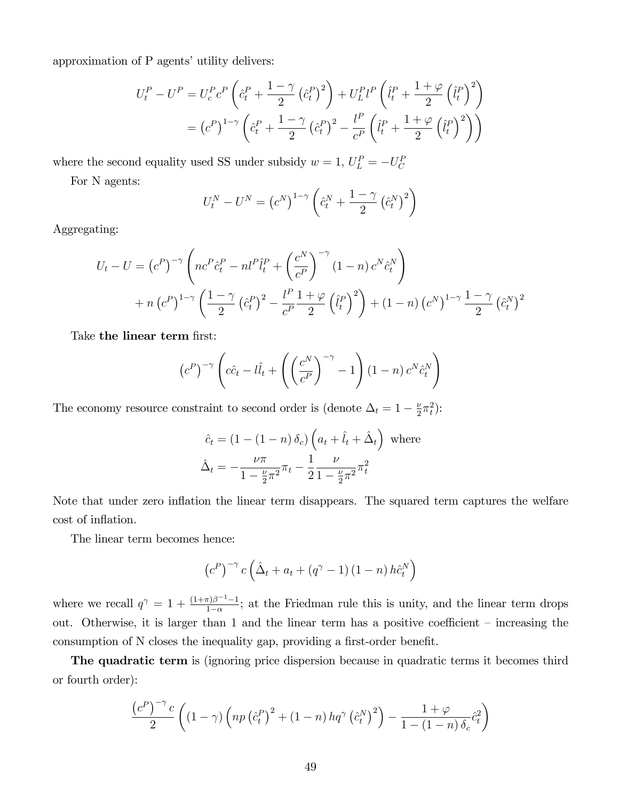approximation of  $P$  agents' utility delivers:

$$
U_t^P - U^P = U_c^P c^P \left(\hat{c}_t^P + \frac{1-\gamma}{2} (\hat{c}_t^P)^2\right) + U_L^P l^P \left(\hat{l}_t^P + \frac{1+\varphi}{2} (\hat{l}_t^P)^2\right)
$$
  
= 
$$
(c^P)^{1-\gamma} \left(\hat{c}_t^P + \frac{1-\gamma}{2} (\hat{c}_t^P)^2 - \frac{l^P}{c^P} \left(\hat{l}_t^P + \frac{1+\varphi}{2} (\hat{l}_t^P)^2\right)\right)
$$

where the second equality used SS under subsidy  $w = 1, U_L^P = -U_C^F$ 

For N agents:

$$
U_t^N - U^N = (c^N)^{1-\gamma} \left(\hat{c}_t^N + \frac{1-\gamma}{2} \left(\hat{c}_t^N\right)^2\right)
$$

Aggregating:

$$
U_t - U = (c^P)^{-\gamma} \left( nc^P \hat{c}_t^P - nl^P \hat{l}_t^P + \left( \frac{c^N}{c^P} \right)^{-\gamma} (1 - n) c^N \hat{c}_t^N \right) + n (c^P)^{1 - \gamma} \left( \frac{1 - \gamma}{2} \left( \hat{c}_t^P \right)^2 - \frac{l^P}{c^P} \frac{1 + \varphi}{2} \left( \hat{l}_t^P \right)^2 \right) + (1 - n) (c^N)^{1 - \gamma} \frac{1 - \gamma}{2} \left( \hat{c}_t^N \right)^2
$$

Take the linear term first:

$$
\left(c^{P}\right)^{-\gamma}\left(c\hat{c}_{t}-l\hat{l}_{t}+\left(\left(\frac{c^{N}}{c^{P}}\right)^{-\gamma}-1\right)\left(1-n\right)c^{N}\hat{c}_{t}^{N}\right)
$$

The economy resource constraint to second order is (denote  $\Delta_t = 1 - \frac{\nu}{2}$  $(\frac{\nu}{2}\pi_t^2)$ :

$$
\hat{c}_t = (1 - (1 - n) \delta_c) \left( a_t + \hat{l}_t + \hat{\Delta}_t \right) \text{ where}
$$

$$
\hat{\Delta}_t = -\frac{\nu \pi}{1 - \frac{\nu}{2} \pi^2} \pi_t - \frac{1}{2} \frac{\nu}{1 - \frac{\nu}{2} \pi^2} \pi_t^2
$$

Note that under zero inflation the linear term disappears. The squared term captures the welfare cost of inflation.

The linear term becomes hence:

$$
(c^{P})^{-\gamma} c \left( \hat{\Delta}_{t} + a_{t} + (q^{\gamma} - 1) (1 - n) h \hat{c}_{t}^{N} \right)
$$

where we recall  $q^{\gamma} = 1 + \frac{(1+\pi)\beta^{-1}-1}{1-\alpha}$  $\frac{\tau_{1/2}}{1-\alpha}$ ; at the Friedman rule this is unity, and the linear term drops out. Otherwise, it is larger than 1 and the linear term has a positive coefficient  $-$  increasing the consumption of N closes the inequality gap, providing a first-order benefit.

The quadratic term is (ignoring price dispersion because in quadratic terms it becomes third or fourth order):

$$
\frac{\left(c^{P}\right)^{-\gamma}c}{2}\left(\left(1-\gamma\right)\left(np\left(\hat{c}_{t}^{P}\right)^{2}+\left(1-n\right)hq^{\gamma}\left(\hat{c}_{t}^{N}\right)^{2}\right)-\frac{1+\varphi}{1-\left(1-n\right)\delta_{c}}\hat{c}_{t}^{2}\right)
$$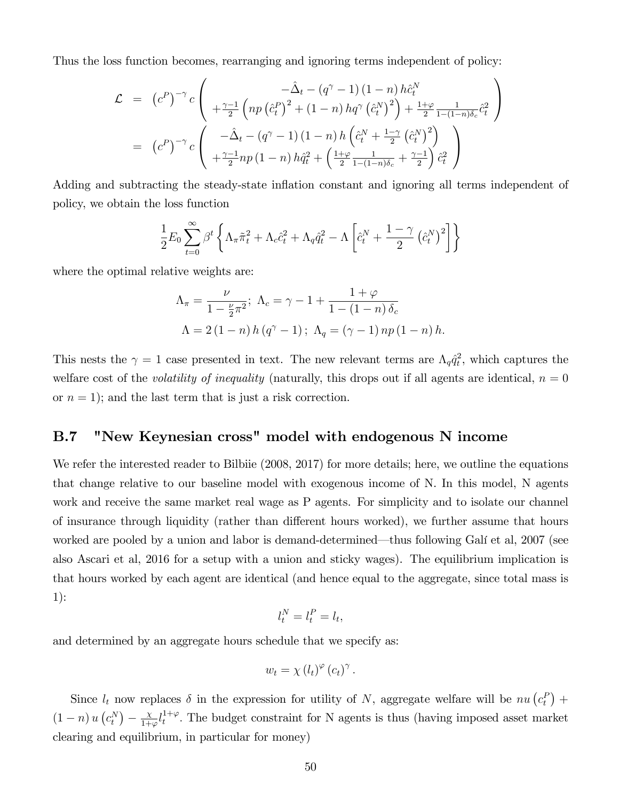Thus the loss function becomes, rearranging and ignoring terms independent of policy:

$$
\mathcal{L} = (c^P)^{-\gamma} c \left( \frac{-\hat{\Delta}_t - (q^{\gamma} - 1) (1 - n) h \hat{c}_t^N}{+ \frac{\gamma - 1}{2} \left( np \left( \hat{c}_t^P \right)^2 + (1 - n) h q^{\gamma} \left( \hat{c}_t^N \right)^2 \right) + \frac{1 + \varphi}{2} \frac{1}{1 - (1 - n) \delta_c} \hat{c}_t^2} \right)
$$
  
= 
$$
(c^P)^{-\gamma} c \left( \frac{-\hat{\Delta}_t - (q^{\gamma} - 1) (1 - n) h \left( \hat{c}_t^N + \frac{1 - \gamma}{2} \left( \hat{c}_t^N \right)^2 \right)}{+ \frac{\gamma - 1}{2} np (1 - n) h \hat{q}_t^2 + \left( \frac{1 + \varphi}{2} \frac{1}{1 - (1 - n) \delta_c} + \frac{\gamma - 1}{2} \right) \hat{c}_t^2} \right)
$$

Adding and subtracting the steady-state inflation constant and ignoring all terms independent of policy, we obtain the loss function

$$
\frac{1}{2}E_0\sum_{t=0}^{\infty}\beta^t\left\{\Lambda_{\pi}\tilde{\pi}_t^2+\Lambda_c\hat{c}_t^2+\Lambda_q\hat{q}_t^2-\Lambda\left[\hat{c}_t^N+\frac{1-\gamma}{2}\left(\hat{c}_t^N\right)^2\right]\right\}
$$

where the optimal relative weights are:

$$
\Lambda_{\pi} = \frac{\nu}{1 - \frac{\nu}{2}\pi^2}; \ \Lambda_c = \gamma - 1 + \frac{1 + \varphi}{1 - (1 - n)\,\delta_c} \n\Lambda = 2(1 - n) h (q^{\gamma} - 1); \ \Lambda_q = (\gamma - 1) np (1 - n) h.
$$

This nests the  $\gamma = 1$  case presented in text. The new relevant terms are  $\Lambda_q \hat{q}_t^2$ , which captures the welfare cost of the *volatility of inequality* (naturally, this drops out if all agents are identical,  $n = 0$ or  $n = 1$ ; and the last term that is just a risk correction.

## B.7 "New Keynesian cross" model with endogenous N income

We refer the interested reader to Bilbiie (2008, 2017) for more details; here, we outline the equations that change relative to our baseline model with exogenous income of N. In this model, N agents work and receive the same market real wage as P agents. For simplicity and to isolate our channel of insurance through liquidity (rather than different hours worked), we further assume that hours worked are pooled by a union and labor is demand-determined—thus following Gali et al, 2007 (see also Ascari et al, 2016 for a setup with a union and sticky wages). The equilibrium implication is that hours worked by each agent are identical (and hence equal to the aggregate, since total mass is 1):

$$
l_t^N = l_t^P = l_t,
$$

and determined by an aggregate hours schedule that we specify as:

$$
w_t = \chi (l_t)^{\varphi} (c_t)^{\gamma}.
$$

Since  $l_t$  now replaces  $\delta$  in the expression for utility of N, aggregate welfare will be  $nu (c_t^P)$  +  $(1 - n) u (c_i^N) - \frac{\chi}{1 + \chi}$  $\frac{\chi}{1+\varphi}l_t^{1+\varphi}$  $t_t^{1+\varphi}$ . The budget constraint for N agents is thus (having imposed asset market clearing and equilibrium, in particular for money)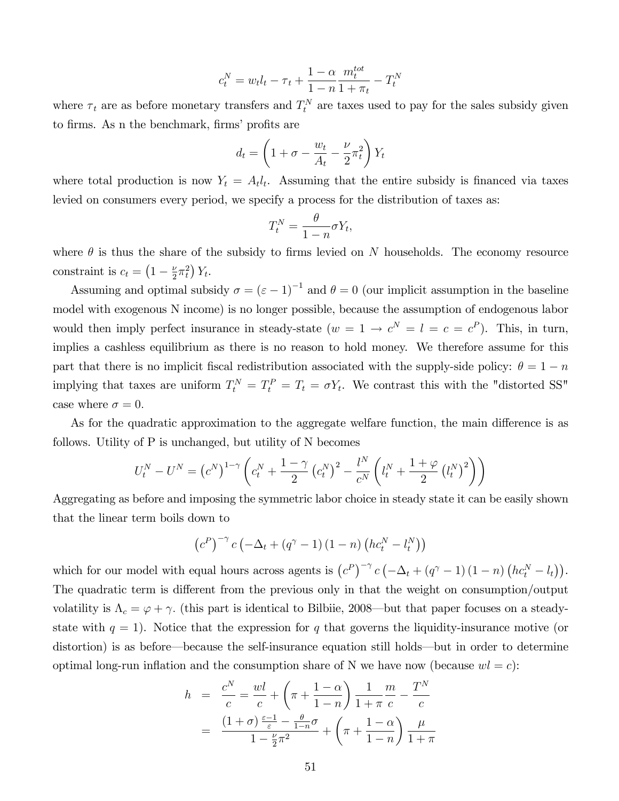$$
c_t^N = w_t l_t - \tau_t + \frac{1 - \alpha}{1 - n} \frac{m_t^{tot}}{1 + \pi_t} - T_t^N
$$

where  $\tau_t$  are as before monetary transfers and  $T_t^N$  are taxes used to pay for the sales subsidy given to firms. As n the benchmark, firms' profits are

$$
d_t = \left(1 + \sigma - \frac{w_t}{A_t} - \frac{\nu}{2}\pi_t^2\right)Y_t
$$

where total production is now  $Y_t = A_t l_t$ . Assuming that the entire subsidy is financed via taxes levied on consumers every period, we specify a process for the distribution of taxes as:

$$
T_t^N = \frac{\theta}{1-n} \sigma Y_t,
$$

where  $\theta$  is thus the share of the subsidy to firms levied on N households. The economy resource constraint is  $c_t = \left(1 - \frac{\nu}{2}\right)$  $\frac{\nu}{2} \pi_t^2 Y_t$ .

Assuming and optimal subsidy  $\sigma = (\varepsilon - 1)^{-1}$  and  $\theta = 0$  (our implicit assumption in the baseline model with exogenous N income) is no longer possible, because the assumption of endogenous labor would then imply perfect insurance in steady-state  $(w = 1 \rightarrow c^N = l = c = c^P)$ . This, in turn, implies a cashless equilibrium as there is no reason to hold money. We therefore assume for this part that there is no implicit fiscal redistribution associated with the supply-side policy:  $\theta = 1 - n$ implying that taxes are uniform  $T_t^N = T_t^P = T_t = \sigma Y_t$ . We contrast this with the "distorted SS" case where  $\sigma = 0$ .

As for the quadratic approximation to the aggregate welfare function, the main difference is as follows. Utility of P is unchanged, but utility of N becomes

$$
U_t^N - U^N = (c^N)^{1-\gamma} \left( c_t^N + \frac{1-\gamma}{2} (c_t^N)^2 - \frac{l^N}{c^N} \left( l_t^N + \frac{1+\varphi}{2} (l_t^N)^2 \right) \right)
$$

Aggregating as before and imposing the symmetric labor choice in steady state it can be easily shown that the linear term boils down to

$$
(c^{P})^{-\gamma} c \left(-\Delta_{t} + (q^{\gamma} - 1) (1 - n) (hc_{t}^{N} - l_{t}^{N})\right)
$$

which for our model with equal hours across agents is  $(c^P)^{-\gamma} c(-\Delta_t + (q^{\gamma} - 1)(1 - n)(hc^N_t - l_t)).$ The quadratic term is different from the previous only in that the weight on consumption/output volatility is  $\Lambda_c = \varphi + \gamma$ . (this part is identical to Bilbiie, 2008—but that paper focuses on a steadystate with  $q = 1$ ). Notice that the expression for q that governs the liquidity-insurance motive (or distortion) is as before—because the self-insurance equation still holds—but in order to determine optimal long-run inflation and the consumption share of N we have now (because  $wl = c$ ):

$$
h = \frac{c^N}{c} = \frac{wl}{c} + \left(\pi + \frac{1-\alpha}{1-n}\right) \frac{1}{1+\pi} \frac{m}{c} - \frac{T^N}{c}
$$

$$
= \frac{(1+\sigma)\frac{\varepsilon-1}{\varepsilon} - \frac{\theta}{1-n}\sigma}{1-\frac{\nu}{2}\pi^2} + \left(\pi + \frac{1-\alpha}{1-n}\right) \frac{\mu}{1+\pi}
$$